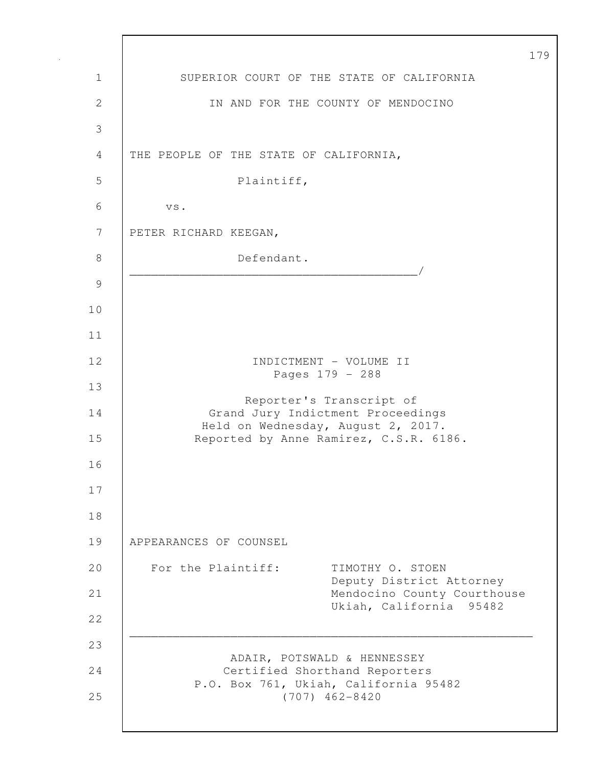|              | $\mathbf 1$                                                             |
|--------------|-------------------------------------------------------------------------|
| $\mathbf 1$  | SUPERIOR COURT OF THE STATE OF CALIFORNIA                               |
| $\mathbf{2}$ | IN AND FOR THE COUNTY OF MENDOCINO                                      |
| 3            |                                                                         |
| 4            | THE PEOPLE OF THE STATE OF CALIFORNIA,                                  |
| 5            | Plaintiff,                                                              |
| 6            | VS.                                                                     |
| 7            | PETER RICHARD KEEGAN,                                                   |
| 8            | Defendant.                                                              |
| 9            | <u> 1989 - Johann John Harry Maria (b. 1989)</u>                        |
| 10           |                                                                         |
| 11           |                                                                         |
| 12           | INDICTMENT - VOLUME II<br>Pages 179 - 288                               |
| 13           | Reporter's Transcript of                                                |
| 14           | Grand Jury Indictment Proceedings<br>Held on Wednesday, August 2, 2017. |
| 15           | Reported by Anne Ramirez, C.S.R. 6186.                                  |
| 16           |                                                                         |
| 17           |                                                                         |
| 18           |                                                                         |
| 19           | APPEARANCES OF COUNSEL                                                  |
| 20           | For the Plaintiff:<br>TIMOTHY O. STOEN<br>Deputy District Attorney      |
| 21           | Mendocino County Courthouse<br>Ukiah, California 95482                  |
| 22           |                                                                         |
| 23           | ADAIR, POTSWALD & HENNESSEY                                             |
| 24           | Certified Shorthand Reporters<br>P.O. Box 761, Ukiah, California 95482  |
| 25           | $(707)$ 462-8420                                                        |
|              |                                                                         |

Г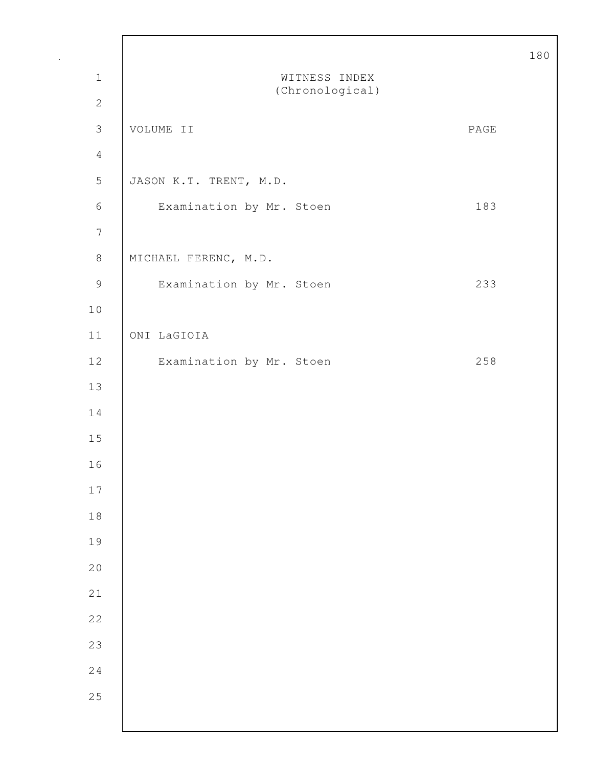|                                                           |                                  |      | 18 |
|-----------------------------------------------------------|----------------------------------|------|----|
| $\mathbf 1$                                               | WITNESS INDEX<br>(Chronological) |      |    |
| $\sqrt{2}$                                                |                                  |      |    |
| $\mathfrak{Z}$                                            | VOLUME II                        | PAGE |    |
| $\overline{4}$                                            |                                  |      |    |
| $\mathsf S$                                               | JASON K.T. TRENT, M.D.           |      |    |
| $\sqrt{6}$                                                | Examination by Mr. Stoen         | 183  |    |
| $\overline{7}$                                            |                                  |      |    |
| $\,8\,$                                                   | MICHAEL FERENC, M.D.             |      |    |
| $\mathcal{G}% _{M_{1},M_{2}}^{\alpha,\beta}(\varepsilon)$ | Examination by Mr. Stoen         | 233  |    |
| $1\,0$                                                    |                                  |      |    |
| $11$                                                      | ONI LaGIOIA                      |      |    |
| 12                                                        | Examination by Mr. Stoen         | 258  |    |
| 13                                                        |                                  |      |    |
| 14                                                        |                                  |      |    |
| 15                                                        |                                  |      |    |
| 16                                                        |                                  |      |    |
| 17                                                        |                                  |      |    |
| $1\,8$                                                    |                                  |      |    |
| 19                                                        |                                  |      |    |
| 20                                                        |                                  |      |    |
| 21                                                        |                                  |      |    |
| 22                                                        |                                  |      |    |
| 23                                                        |                                  |      |    |
| 24                                                        |                                  |      |    |
| 25                                                        |                                  |      |    |
|                                                           |                                  |      |    |

Г

 $\overline{0}$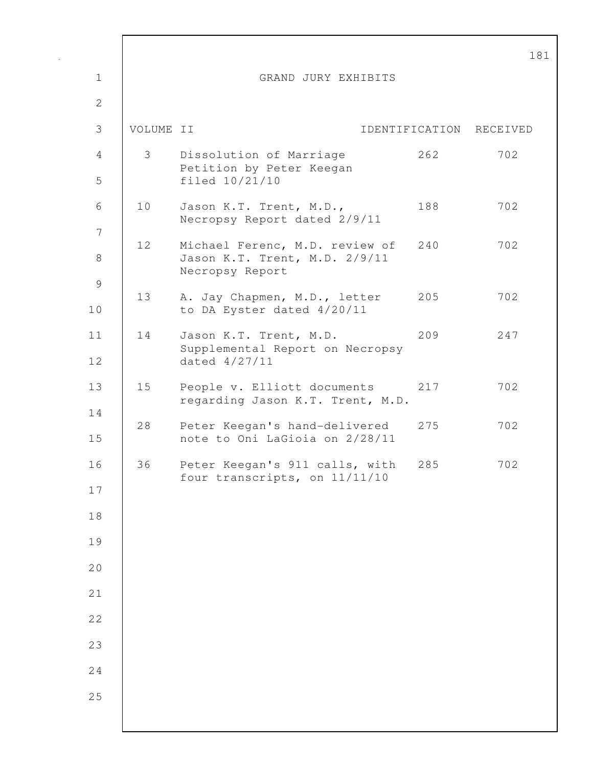|                     |           |                                                                                    |                | $\mathbf 1$ |
|---------------------|-----------|------------------------------------------------------------------------------------|----------------|-------------|
| $\mathbf 1$         |           | GRAND JURY EXHIBITS                                                                |                |             |
| $\overline{2}$      |           |                                                                                    |                |             |
| 3                   | VOLUME II |                                                                                    | IDENTIFICATION | RECEIVED    |
| 4<br>5              | 3         | Dissolution of Marriage<br>Petition by Peter Keegan<br>filed 10/21/10              | 262            | 702         |
| 6                   | 10        | Jason K.T. Trent, M.D.,<br>Necropsy Report dated 2/9/11                            | 188            | 702         |
| 7<br>$8\,$          | 12        | Michael Ferenc, M.D. review of<br>Jason K.T. Trent, M.D. 2/9/11<br>Necropsy Report | 240            | 702         |
| $\mathcal{G}$<br>10 | 13        | A. Jay Chapmen, M.D., letter<br>to DA Eyster dated 4/20/11                         | 205            | 702         |
| 11<br>12            | 14        | Jason K.T. Trent, M.D.<br>Supplemental Report on Necropsy<br>dated 4/27/11         | 209            | 247         |
| 13                  | 15        | People v. Elliott documents<br>regarding Jason K.T. Trent, M.D.                    | 217            | 702         |
| 14<br>15            | 28        | Peter Keegan's hand-delivered<br>note to Oni LaGioia on 2/28/11                    | 275            | 702         |
| 16                  | 36        | Peter Keegan's 911 calls, with<br>four transcripts, on 11/11/10                    | 285            | 702         |
| 17                  |           |                                                                                    |                |             |
| 18                  |           |                                                                                    |                |             |
| 19                  |           |                                                                                    |                |             |
| 20                  |           |                                                                                    |                |             |
| 21                  |           |                                                                                    |                |             |
| 22                  |           |                                                                                    |                |             |
| 23                  |           |                                                                                    |                |             |
| 24                  |           |                                                                                    |                |             |
| 25                  |           |                                                                                    |                |             |
|                     |           |                                                                                    |                |             |

 $\mathsf{I}$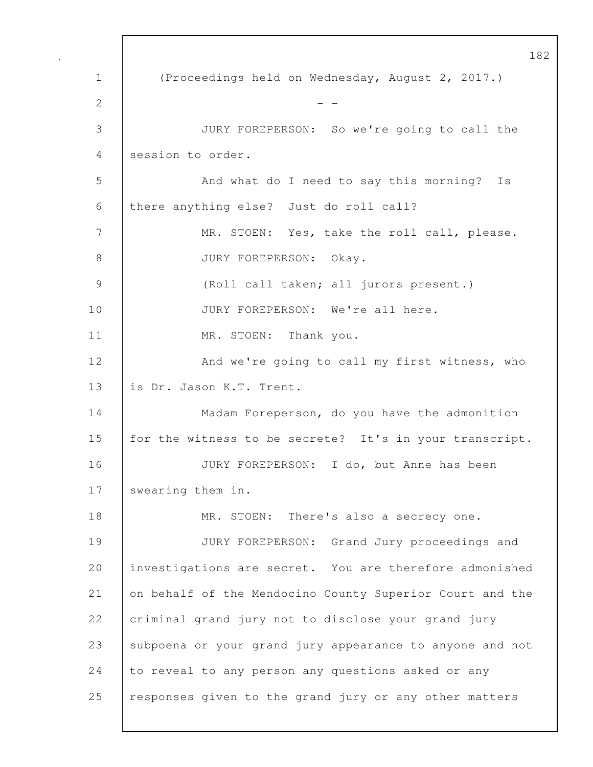182 1 (Proceedings held on Wednesday, August 2, 2017.) 2  $-$ 3 JURY FOREPERSON: So we're going to call the 4 session to order. 5 And what do I need to say this morning? Is 6 there anything else? Just do roll call? 7 | MR. STOEN: Yes, take the roll call, please. 8 JURY FOREPERSON: Okay. 9 (Roll call taken; all jurors present.) 10 | JURY FOREPERSON: We're all here. 11 MR. STOEN: Thank you. 12 | And we're going to call my first witness, who 13 is Dr. Jason K.T. Trent. 14 | Madam Foreperson, do you have the admonition 15 for the witness to be secrete? It's in your transcript. 16 JURY FOREPERSON: I do, but Anne has been 17 swearing them in. 18 MR. STOEN: There's also a secrecy one. 19 JURY FOREPERSON: Grand Jury proceedings and 20 investigations are secret. You are therefore admonished 21 on behalf of the Mendocino County Superior Court and the 22 criminal grand jury not to disclose your grand jury 23 Subpoena or your grand jury appearance to anyone and not 24 to reveal to any person any questions asked or any 25 responses given to the grand jury or any other matters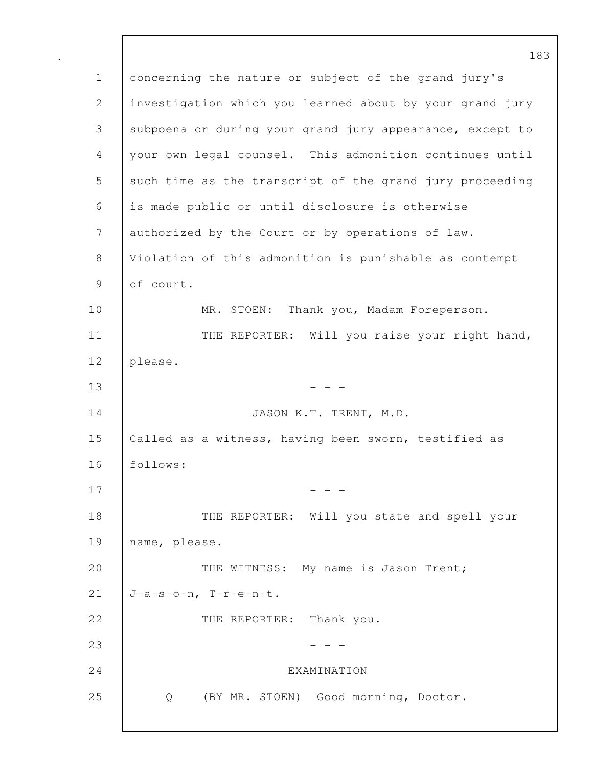183 1 concerning the nature or subject of the grand jury's 2 investigation which you learned about by your grand jury 3 subpoena or during your grand jury appearance, except to 4 your own legal counsel. This admonition continues until 5 such time as the transcript of the grand jury proceeding 6 is made public or until disclosure is otherwise 7 authorized by the Court or by operations of law. 8 Violation of this admonition is punishable as contempt 9 of court. 10 | MR. STOEN: Thank you, Madam Foreperson. 11 | THE REPORTER: Will you raise your right hand, 12 please.  $13$  - - -14 JASON K.T. TRENT, M.D. 15 Called as a witness, having been sworn, testified as 16 follows:  $17$  - - -18 | THE REPORTER: Will you state and spell your 19 name, please. 20 THE WITNESS: My name is Jason Trent; 21  $J-a-s-o-n$ ,  $T-r-e-n-t$ . 22 THE REPORTER: Thank you. 23 - - - 24 EXAMINATION 25 Q (BY MR. STOEN) Good morning, Doctor.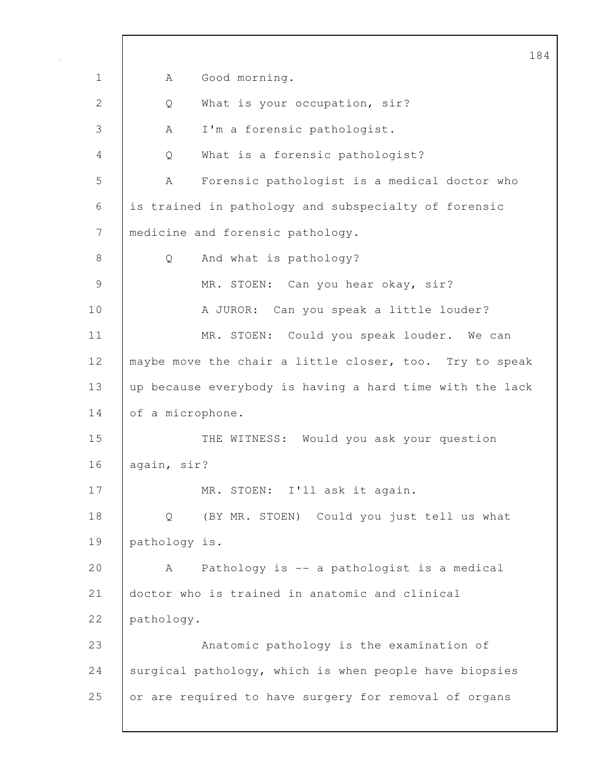184 1 | A Good morning. 2 | Q What is your occupation, sir? 3 | A I'm a forensic pathologist. 4 Q What is a forensic pathologist? 5 A Forensic pathologist is a medical doctor who 6 is trained in pathology and subspecialty of forensic 7 | medicine and forensic pathology. 8 Q And what is pathology? 9 MR. STOEN: Can you hear okay, sir? 10 | A JUROR: Can you speak a little louder? 11 | MR. STOEN: Could you speak louder. We can 12 | maybe move the chair a little closer, too. Try to speak 13 up because everybody is having a hard time with the lack 14 of a microphone. 15 THE WITNESS: Would you ask your question 16 again, sir? 17 MR. STOEN: I'll ask it again. 18 Q (BY MR. STOEN) Could you just tell us what 19 pathology is. 20 A Pathology is -- a pathologist is a medical 21 doctor who is trained in anatomic and clinical 22 pathology. 23 Anatomic pathology is the examination of 24 Surgical pathology, which is when people have biopsies 25 or are required to have surgery for removal of organs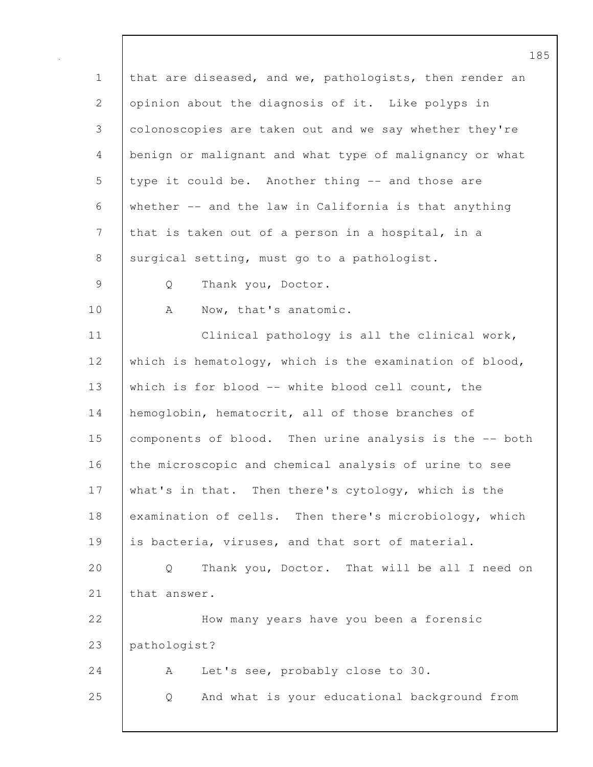185 1 that are diseased, and we, pathologists, then render an 2 opinion about the diagnosis of it. Like polyps in 3 colonoscopies are taken out and we say whether they're 4 benign or malignant and what type of malignancy or what 5 type it could be. Another thing -- and those are 6 whether -- and the law in California is that anything 7 that is taken out of a person in a hospital, in a 8 | surgical setting, must go to a pathologist. 9 Q Thank you, Doctor. 10 | A Now, that's anatomic. 11 | Clinical pathology is all the clinical work, 12 which is hematology, which is the examination of blood, 13 which is for blood -- white blood cell count, the 14 | hemoglobin, hematocrit, all of those branches of 15 components of blood. Then urine analysis is the -- both 16 the microscopic and chemical analysis of urine to see 17 what's in that. Then there's cytology, which is the 18 examination of cells. Then there's microbiology, which 19 is bacteria, viruses, and that sort of material. 20 Q Thank you, Doctor. That will be all I need on 21 | that answer. 22 How many years have you been a forensic 23 pathologist? 24 A Let's see, probably close to 30. 25 Q And what is your educational background from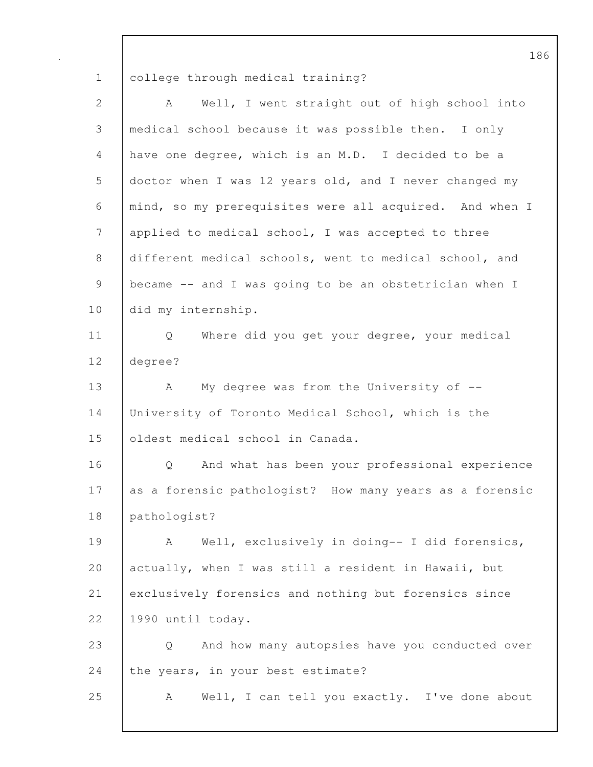1 college through medical training?

| $\overline{2}$ | Well, I went straight out of high school into<br>A      |
|----------------|---------------------------------------------------------|
| 3              | medical school because it was possible then. I only     |
| 4              | have one degree, which is an M.D. I decided to be a     |
| 5              | doctor when I was 12 years old, and I never changed my  |
| 6              | mind, so my prerequisites were all acquired. And when I |
| 7              | applied to medical school, I was accepted to three      |
| 8              | different medical schools, went to medical school, and  |
| 9              | became -- and I was going to be an obstetrician when I  |
| 10             | did my internship.                                      |
| 11             | Where did you get your degree, your medical<br>Q        |
| 12             | degree?                                                 |
| 13             | My degree was from the University of $-$ -<br>A         |
| 14             | University of Toronto Medical School, which is the      |
| 15             | oldest medical school in Canada.                        |
| 16             | And what has been your professional experience<br>Q     |
| 17             | as a forensic pathologist? How many years as a forensic |
| 18             | pathologist?                                            |
| 19             | Well, exclusively in doing-- I did forensics,<br>A      |
| 20             | actually, when I was still a resident in Hawaii, but    |
| 21             | exclusively forensics and nothing but forensics since   |
| 22             | 1990 until today.                                       |
| 23             | And how many autopsies have you conducted over<br>Q     |
| 24             | the years, in your best estimate?                       |
| 25             | Well, I can tell you exactly. I've done about<br>A      |
|                |                                                         |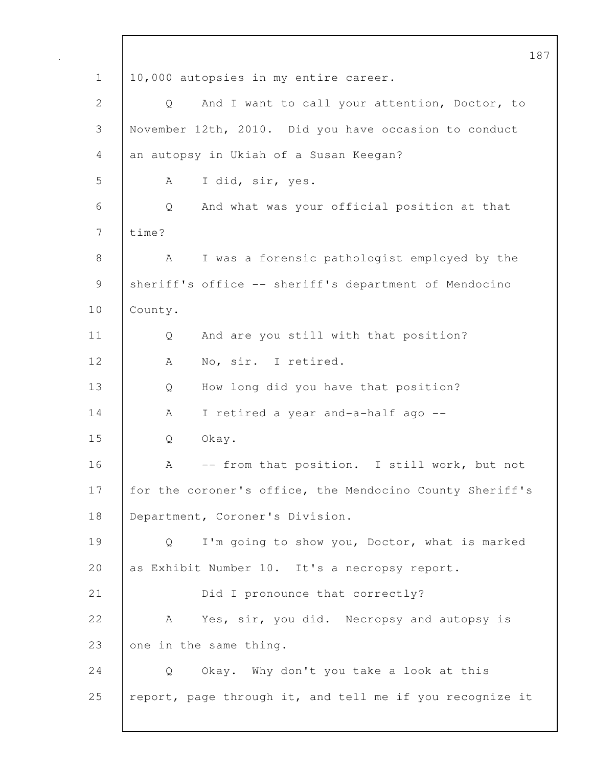187 1 | 10,000 autopsies in my entire career. 2 Q And I want to call your attention, Doctor, to 3 November 12th, 2010. Did you have occasion to conduct 4 an autopsy in Ukiah of a Susan Keegan? 5 A I did, sir, yes. 6 Q And what was your official position at that 7 time? 8 A I was a forensic pathologist employed by the 9 sheriff's office -- sheriff's department of Mendocino 10 County. 11 | Q And are you still with that position? 12 | A No, sir. I retired. 13 Q How long did you have that position? 14 | A I retired a year and-a-half ago --15 Q Okay. 16 | A -- from that position. I still work, but not 17 | for the coroner's office, the Mendocino County Sheriff's 18 Department, Coroner's Division. 19 Q I'm going to show you, Doctor, what is marked 20 as Exhibit Number 10. It's a necropsy report. 21 **Did I** pronounce that correctly? 22 A Yes, sir, you did. Necropsy and autopsy is 23 one in the same thing. 24 Q Okay. Why don't you take a look at this 25 | report, page through it, and tell me if you recognize it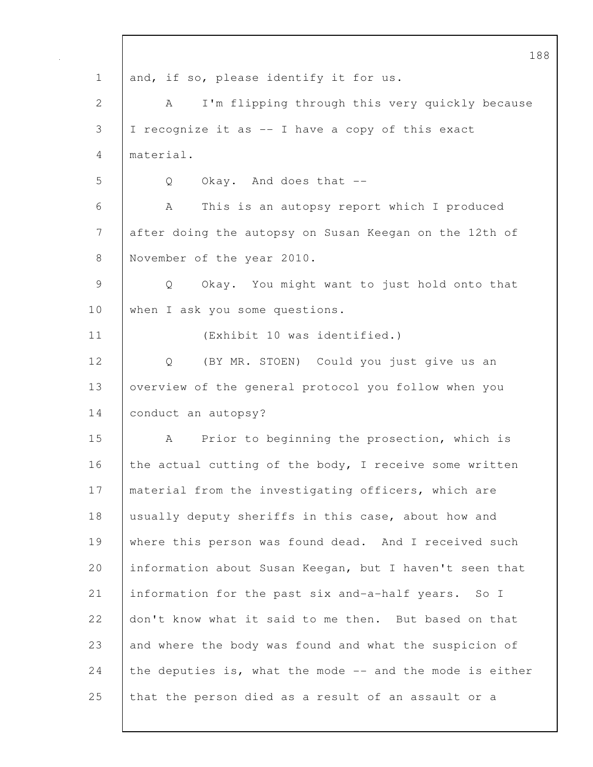188 1 and, if so, please identify it for us. 2 | A I'm flipping through this very quickly because 3 I recognize it as -- I have a copy of this exact 4 material. 5 Q Okay. And does that -- 6 A This is an autopsy report which I produced 7 after doing the autopsy on Susan Keegan on the 12th of 8 November of the year 2010. 9 Q Okay. You might want to just hold onto that 10 when I ask you some questions. 11 (Exhibit 10 was identified.) 12 Q (BY MR. STOEN) Could you just give us an 13 | overview of the general protocol you follow when you 14 | conduct an autopsy? 15 A Prior to beginning the prosection, which is 16 the actual cutting of the body, I receive some written 17 | material from the investigating officers, which are 18 usually deputy sheriffs in this case, about how and 19 where this person was found dead. And I received such 20 information about Susan Keegan, but I haven't seen that 21 information for the past six and-a-half years. So I 22 don't know what it said to me then. But based on that 23 and where the body was found and what the suspicion of 24 the deputies is, what the mode  $-$  and the mode is either 25 that the person died as a result of an assault or a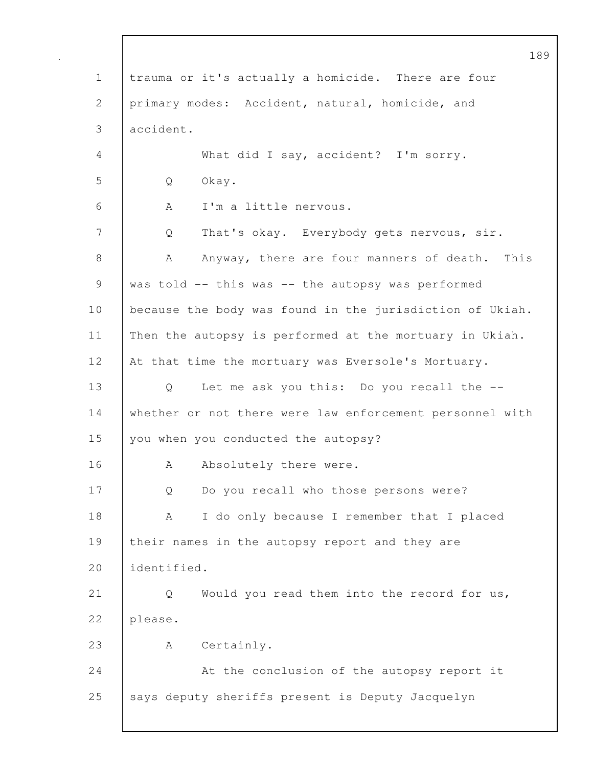189 1 trauma or it's actually a homicide. There are four 2 primary modes: Accident, natural, homicide, and 3 accident. 4 What did I say, accident? I'm sorry. 5 Q Okay. 6 A I'm a little nervous. 7 Q That's okay. Everybody gets nervous, sir. 8 A Anyway, there are four manners of death. This 9 was told -- this was -- the autopsy was performed 10 | because the body was found in the jurisdiction of Ukiah. 11 Then the autopsy is performed at the mortuary in Ukiah. 12 At that time the mortuary was Eversole's Mortuary. 13 Q Let me ask you this: Do you recall the --14 whether or not there were law enforcement personnel with 15 you when you conducted the autopsy? 16 | A Absolutely there were. 17 Q Do you recall who those persons were? 18 A I do only because I remember that I placed 19 their names in the autopsy report and they are 20 identified. 21 | Q Would you read them into the record for us, 22 please. 23 A Certainly. 24 | At the conclusion of the autopsy report it 25 says deputy sheriffs present is Deputy Jacquelyn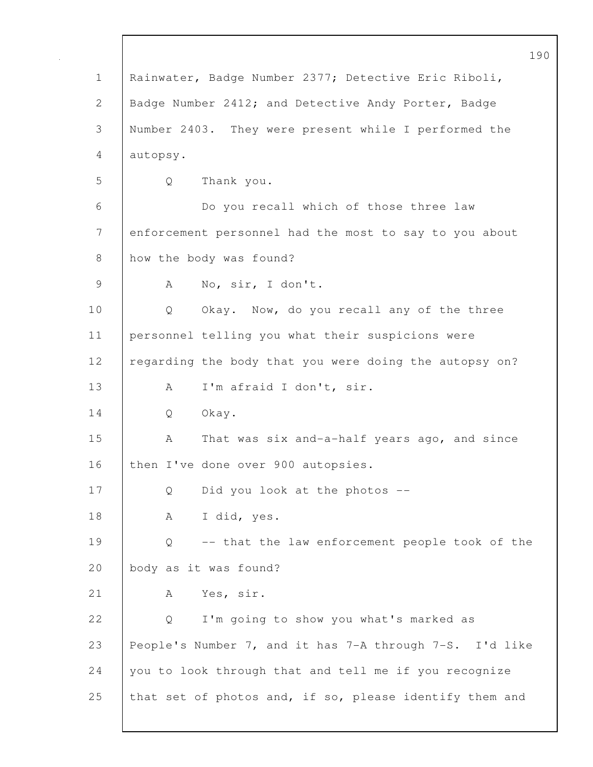|              | 190                                                     |
|--------------|---------------------------------------------------------|
| $\mathbf 1$  | Rainwater, Badge Number 2377; Detective Eric Riboli,    |
| $\mathbf{2}$ | Badge Number 2412; and Detective Andy Porter, Badge     |
| 3            | Number 2403. They were present while I performed the    |
| 4            | autopsy.                                                |
| 5            | Thank you.<br>Q                                         |
| 6            | Do you recall which of those three law                  |
| 7            | enforcement personnel had the most to say to you about  |
| 8            | how the body was found?                                 |
| 9            | No, sir, I don't.<br>A                                  |
| 10           | Okay. Now, do you recall any of the three<br>Q          |
| 11           | personnel telling you what their suspicions were        |
| 12           | regarding the body that you were doing the autopsy on?  |
| 13           | I'm afraid I don't, sir.<br>A                           |
| 14           | Okay.<br>Q                                              |
| 15           | That was six and-a-half years ago, and since<br>A       |
| 16           | then I've done over 900 autopsies.                      |
| 17           | Did you look at the photos --<br>Q                      |
| 18           | I did, yes.<br>А                                        |
| 19           | -- that the law enforcement people took of the<br>Q     |
| 20           | body as it was found?                                   |
| 21           | Yes, sir.<br>A                                          |
| 22           | I'm going to show you what's marked as<br>Q             |
| 23           | People's Number 7, and it has 7-A through 7-S. I'd like |
| 24           | you to look through that and tell me if you recognize   |
| 25           | that set of photos and, if so, please identify them and |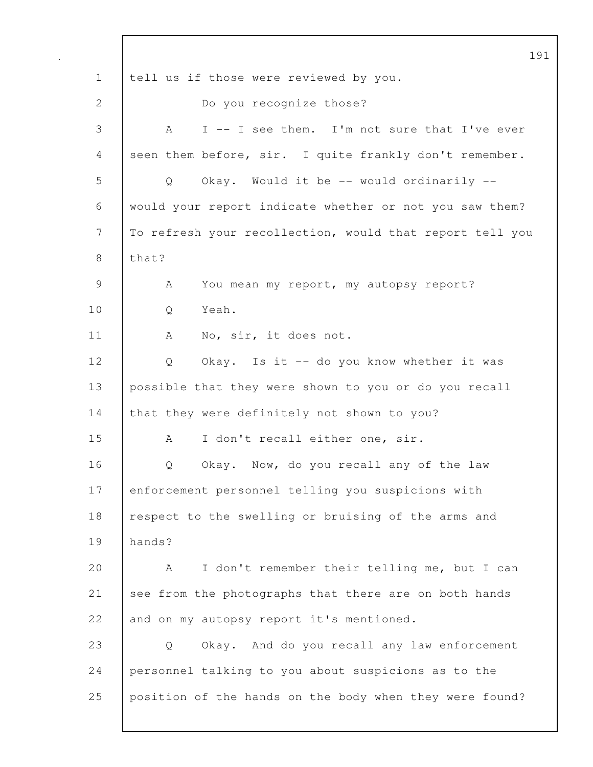191 1 tell us if those were reviewed by you. 2 Do you recognize those? 3 A I -- I see them. I'm not sure that I've ever 4 seen them before, sir. I quite frankly don't remember. 5 Q Okay. Would it be -- would ordinarily -- 6 would your report indicate whether or not you saw them? 7 To refresh your recollection, would that report tell you  $8$  | that? 9 A You mean my report, my autopsy report? 10 Q Yeah. 11 | A No, sir, it does not. 12 Q Okay. Is it -- do you know whether it was 13 possible that they were shown to you or do you recall 14 that they were definitely not shown to you? 15 A I don't recall either one, sir. 16 | Q Okay. Now, do you recall any of the law 17 enforcement personnel telling you suspicions with 18 | respect to the swelling or bruising of the arms and 19 hands? 20 A I don't remember their telling me, but I can 21 see from the photographs that there are on both hands 22 and on my autopsy report it's mentioned. 23 Q Okay. And do you recall any law enforcement 24 personnel talking to you about suspicions as to the 25 position of the hands on the body when they were found?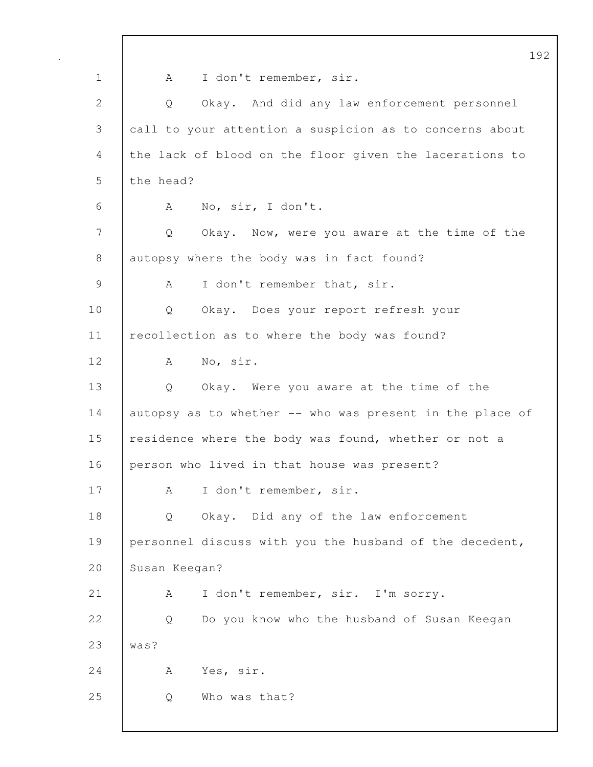|              | 192                                                      |
|--------------|----------------------------------------------------------|
| $\mathbf 1$  | I don't remember, sir.<br>A                              |
| $\mathbf{2}$ | Okay. And did any law enforcement personnel<br>Q         |
| 3            | call to your attention a suspicion as to concerns about  |
| 4            | the lack of blood on the floor given the lacerations to  |
| 5            | the head?                                                |
| 6            | No, sir, I don't.<br>A                                   |
| 7            | Okay. Now, were you aware at the time of the<br>Q        |
| 8            | autopsy where the body was in fact found?                |
| 9            | I don't remember that, sir.<br>A                         |
| 10           | Okay. Does your report refresh your<br>Q                 |
| 11           | recollection as to where the body was found?             |
| 12           | No, sir.<br>A                                            |
| 13           | Okay. Were you aware at the time of the<br>Q             |
| 14           | autopsy as to whether -- who was present in the place of |
| 15           | residence where the body was found, whether or not a     |
| 16           | person who lived in that house was present?              |
| 17           | I don't remember, sir.<br>Α                              |
| 18           | Okay. Did any of the law enforcement<br>Q                |
| 19           | personnel discuss with you the husband of the decedent,  |
| 20           | Susan Keegan?                                            |
| 21           | I don't remember, sir. I'm sorry.<br>А                   |
| 22           | Do you know who the husband of Susan Keegan<br>Q         |
| 23           | was?                                                     |
| 24           | Yes, sir.<br>A                                           |
| 25           | Who was that?<br>Q                                       |
|              |                                                          |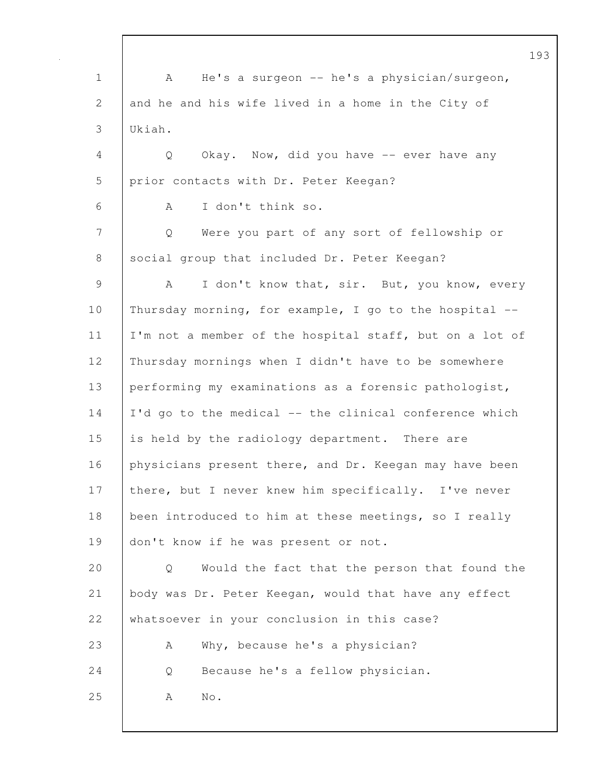|                |                                                         | 193 |
|----------------|---------------------------------------------------------|-----|
| $\mathbf 1$    | He's a surgeon $-$ he's a physician/surgeon,<br>A       |     |
| $\overline{2}$ | and he and his wife lived in a home in the City of      |     |
| 3              | Ukiah.                                                  |     |
| 4              | Okay. Now, did you have -- ever have any<br>Q           |     |
| 5              | prior contacts with Dr. Peter Keegan?                   |     |
| 6              | I don't think so.<br>A                                  |     |
| 7              | Were you part of any sort of fellowship or<br>Q         |     |
| 8              | social group that included Dr. Peter Keegan?            |     |
| $\mathcal{G}$  | I don't know that, sir. But, you know, every<br>A       |     |
| 10             | Thursday morning, for example, I go to the hospital --  |     |
| 11             | I'm not a member of the hospital staff, but on a lot of |     |
| 12             | Thursday mornings when I didn't have to be somewhere    |     |
| 13             | performing my examinations as a forensic pathologist,   |     |
| 14             | I'd go to the medical -- the clinical conference which  |     |
| 15             | is held by the radiology department. There are          |     |
| 16             | physicians present there, and Dr. Keegan may have been  |     |
| 17             | there, but I never knew him specifically. I've never    |     |
| 18             | been introduced to him at these meetings, so I really   |     |
| 19             | don't know if he was present or not.                    |     |
| 20             | Would the fact that the person that found the<br>Q      |     |
| 21             | body was Dr. Peter Keegan, would that have any effect   |     |
| 22             | whatsoever in your conclusion in this case?             |     |
| 23             | Why, because he's a physician?<br>A                     |     |
| 24             | Because he's a fellow physician.<br>Q                   |     |
| 25             | $\mathrm{No}$ .<br>A                                    |     |
|                |                                                         |     |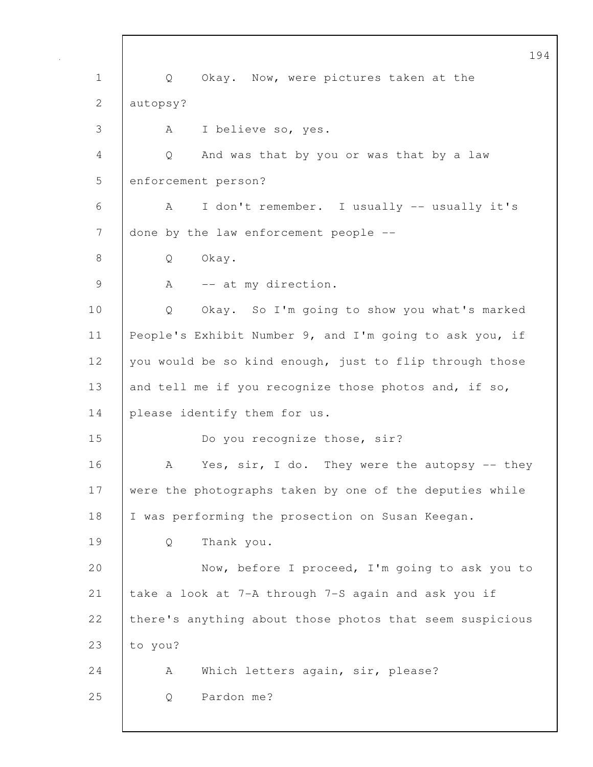194 1 Q Okay. Now, were pictures taken at the 2 autopsy? 3 A I believe so, yes. 4 Q And was that by you or was that by a law 5 enforcement person? 6 A I don't remember. I usually -- usually it's 7 done by the law enforcement people --8 | Q Okay. 9 | A -- at my direction. 10 Q Okay. So I'm going to show you what's marked 11 People's Exhibit Number 9, and I'm going to ask you, if 12 you would be so kind enough, just to flip through those 13 and tell me if you recognize those photos and, if so, 14 please identify them for us. 15 Do you recognize those, sir? 16 A Yes, sir, I do. They were the autopsy -- they 17 were the photographs taken by one of the deputies while 18 | I was performing the prosection on Susan Keegan. 19 Q Thank you. 20 Now, before I proceed, I'm going to ask you to 21 take a look at 7-A through 7-S again and ask you if 22 there's anything about those photos that seem suspicious 23  $|$  to you? 24 | A Which letters again, sir, please? 25 Q Pardon me?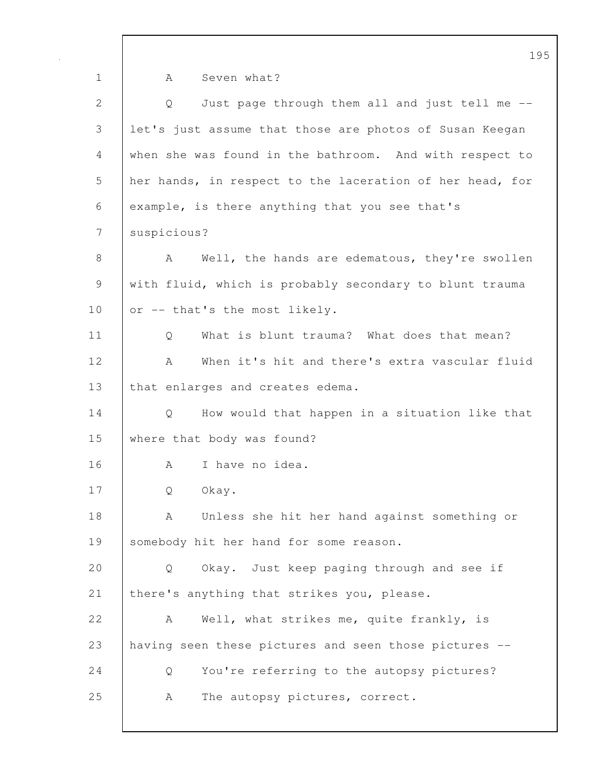1 | A Seven what? 2 Q Just page through them all and just tell me --3 let's just assume that those are photos of Susan Keegan 4 when she was found in the bathroom. And with respect to 5 her hands, in respect to the laceration of her head, for 6 example, is there anything that you see that's 7 suspicious? 8 | A Well, the hands are edematous, they're swollen 9 with fluid, which is probably secondary to blunt trauma 10  $\sigma$  -- that's the most likely. 11 | O What is blunt trauma? What does that mean? 12 A When it's hit and there's extra vascular fluid 13 | that enlarges and creates edema. 14 Q How would that happen in a situation like that 15 where that body was found? 16 | A I have no idea. 17 Q Okay. 18 | A Unless she hit her hand against something or 19 | somebody hit her hand for some reason. 20 Q Okay. Just keep paging through and see if 21 there's anything that strikes you, please. 22 A Well, what strikes me, quite frankly, is 23 having seen these pictures and seen those pictures -- 24 Q You're referring to the autopsy pictures? 25 A The autopsy pictures, correct.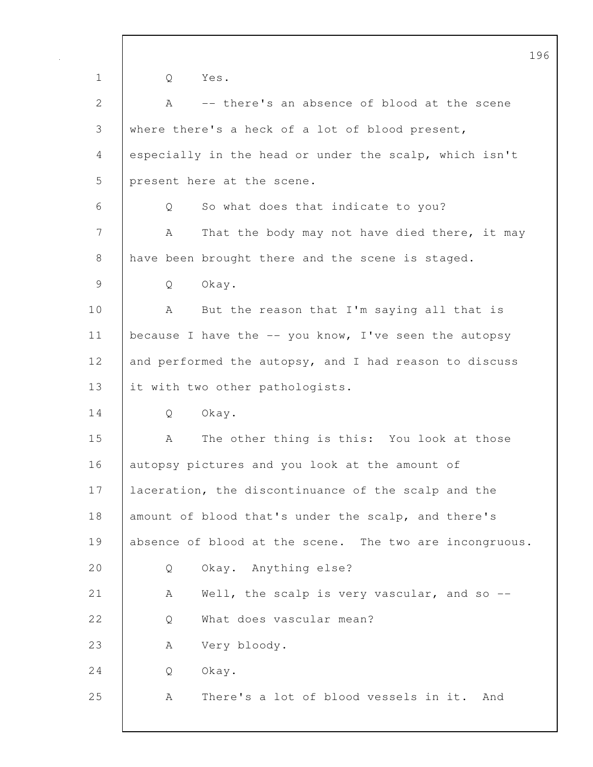196 1 Q Yes. 2 A -- there's an absence of blood at the scene 3 where there's a heck of a lot of blood present, 4 especially in the head or under the scalp, which isn't 5 present here at the scene. 6 Q So what does that indicate to you? 7 | A That the body may not have died there, it may 8 have been brought there and the scene is staged. 9 Q Okay. 10 | A But the reason that I'm saying all that is 11 | because I have the -- you know, I've seen the autopsy 12 and performed the autopsy, and I had reason to discuss 13 it with two other pathologists. 14 Q Okay. 15 A The other thing is this: You look at those 16 autopsy pictures and you look at the amount of 17 | laceration, the discontinuance of the scalp and the 18 amount of blood that's under the scalp, and there's 19 absence of blood at the scene. The two are incongruous. 20 Q Okay. Anything else? 21 | A Well, the scalp is very vascular, and so --22 | O What does vascular mean? 23 A Very bloody. 24 Q Okay. 25 A There's a lot of blood vessels in it. And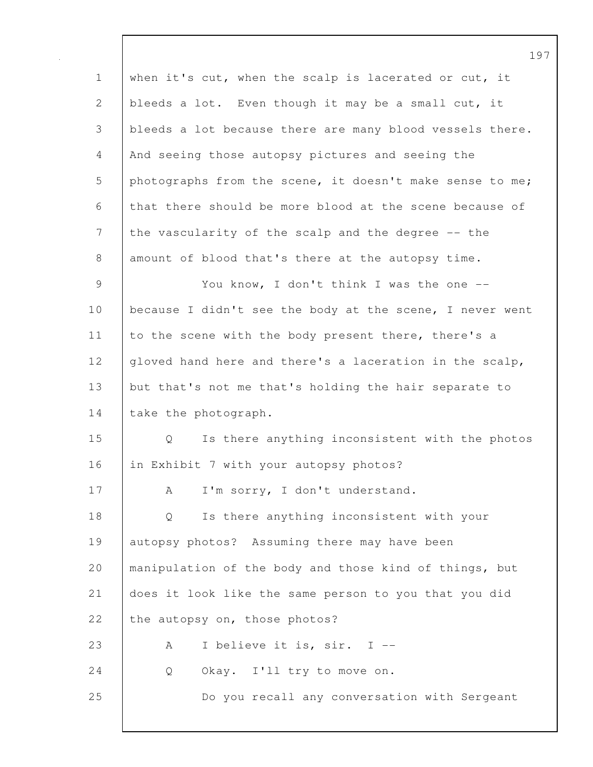1 when it's cut, when the scalp is lacerated or cut, it 2 bleeds a lot. Even though it may be a small cut, it 3 bleeds a lot because there are many blood vessels there. 4 And seeing those autopsy pictures and seeing the 5 photographs from the scene, it doesn't make sense to me; 6 that there should be more blood at the scene because of 7 the vascularity of the scalp and the degree -- the 8 amount of blood that's there at the autopsy time. 9 | You know, I don't think I was the one --10 | because I didn't see the body at the scene, I never went 11 to the scene with the body present there, there's a 12 gloved hand here and there's a laceration in the scalp, 13 but that's not me that's holding the hair separate to 14 | take the photograph. 15 Q Is there anything inconsistent with the photos 16 in Exhibit 7 with your autopsy photos? 17 | A I'm sorry, I don't understand. 18 Q Is there anything inconsistent with your 19 autopsy photos? Assuming there may have been 20 manipulation of the body and those kind of things, but 21 does it look like the same person to you that you did 22 the autopsy on, those photos? 23 A I believe it is, sir. I --24 | Q Okay. I'll try to move on. 25 Do you recall any conversation with Sergeant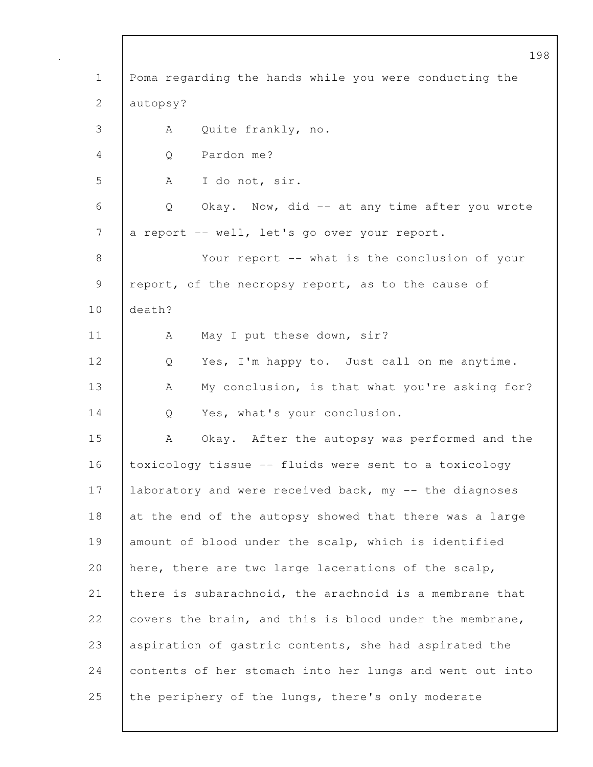|              | 198                                                      |
|--------------|----------------------------------------------------------|
| $\mathbf 1$  | Poma regarding the hands while you were conducting the   |
| $\mathbf{2}$ | autopsy?                                                 |
| 3            | Quite frankly, no.<br>A                                  |
| 4            | Pardon me?<br>Q                                          |
| 5            | I do not, sir.<br>A                                      |
| 6            | Okay. Now, did -- at any time after you wrote<br>Q       |
| 7            | a report -- well, let's go over your report.             |
| 8            | Your report -- what is the conclusion of your            |
| 9            | report, of the necropsy report, as to the cause of       |
| 10           | death?                                                   |
| 11           | May I put these down, sir?<br>A                          |
| 12           | Yes, I'm happy to. Just call on me anytime.<br>Q         |
| 13           | My conclusion, is that what you're asking for?<br>A      |
| 14           | Yes, what's your conclusion.<br>Q                        |
| 15           | Okay. After the autopsy was performed and the<br>A       |
| 16           | toxicology tissue -- fluids were sent to a toxicology    |
| 17           | laboratory and were received back, my -- the diagnoses   |
| 18           | at the end of the autopsy showed that there was a large  |
| 19           | amount of blood under the scalp, which is identified     |
| 20           | here, there are two large lacerations of the scalp,      |
| 21           | there is subarachnoid, the arachnoid is a membrane that  |
| 22           | covers the brain, and this is blood under the membrane,  |
| 23           | aspiration of gastric contents, she had aspirated the    |
| 24           | contents of her stomach into her lungs and went out into |
| 25           | the periphery of the lungs, there's only moderate        |

 $\mathsf{l}$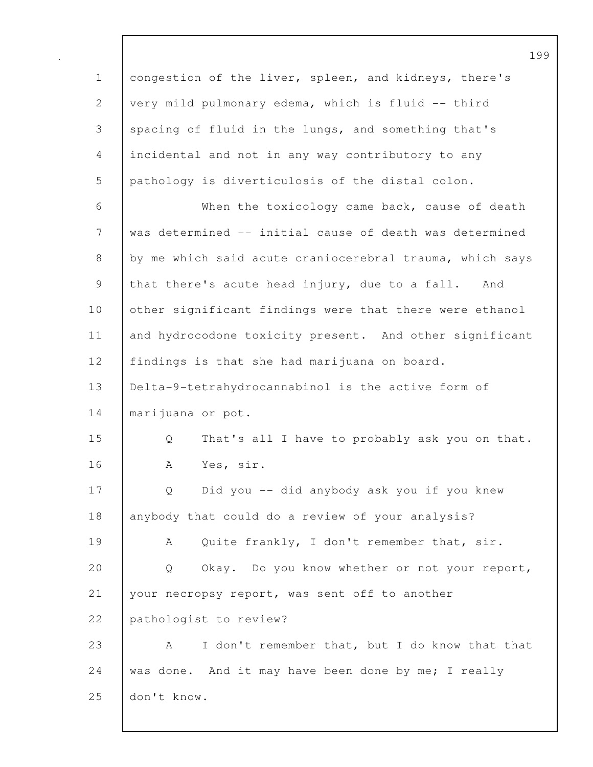1 congestion of the liver, spleen, and kidneys, there's 2 very mild pulmonary edema, which is fluid -- third 3 spacing of fluid in the lungs, and something that's 4 incidental and not in any way contributory to any 5 pathology is diverticulosis of the distal colon. 6 When the toxicology came back, cause of death 7 was determined -- initial cause of death was determined 8 by me which said acute craniocerebral trauma, which says 9 that there's acute head injury, due to a fall. And 10 other significant findings were that there were ethanol 11 and hydrocodone toxicity present. And other significant 12 findings is that she had marijuana on board. 13 Delta-9-tetrahydrocannabinol is the active form of 14 | marijuana or pot. 15 Q That's all I have to probably ask you on that. 16 A Yes, sir. 17 Q Did you -- did anybody ask you if you knew 18 anybody that could do a review of your analysis? 19 A Quite frankly, I don't remember that, sir. 20 Q Okay. Do you know whether or not your report, 21 your necropsy report, was sent off to another 22 pathologist to review? 23 A I don't remember that, but I do know that that 24 was done. And it may have been done by me; I really 25 don't know.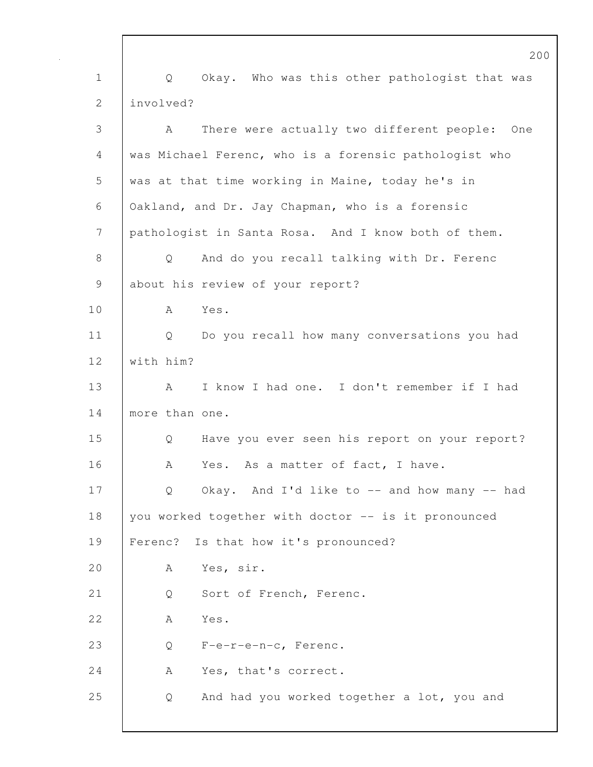200 1 | Q Okay. Who was this other pathologist that was 2 linvolved? 3 A There were actually two different people: One 4 was Michael Ferenc, who is a forensic pathologist who 5 was at that time working in Maine, today he's in 6 Oakland, and Dr. Jay Chapman, who is a forensic 7 pathologist in Santa Rosa. And I know both of them. 8 Q And do you recall talking with Dr. Ferenc 9 about his review of your report? 10 A Yes. 11 | Q Do you recall how many conversations you had 12 with him? 13 A I know I had one. I don't remember if I had 14 more than one. 15 Q Have you ever seen his report on your report? 16 A Yes. As a matter of fact, I have. 17 | Q Okay. And I'd like to -- and how many -- had 18 you worked together with doctor -- is it pronounced 19 Ferenc? Is that how it's pronounced? 20 | A Yes, sir. 21 Q Sort of French, Ferenc. 22 A Yes. 23 Q F-e-r-e-n-c, Ferenc. 24 A Yes, that's correct. 25 Q And had you worked together a lot, you and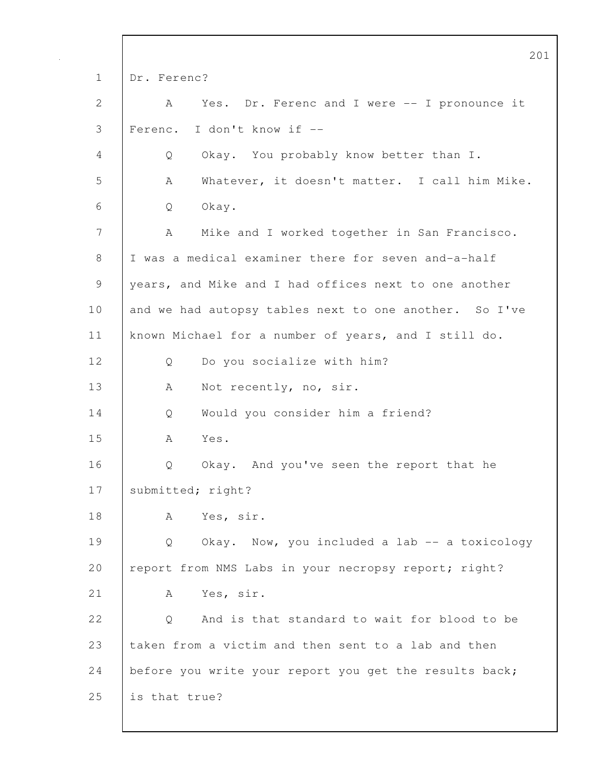|             | 201                                                    |
|-------------|--------------------------------------------------------|
| $\mathbf 1$ | Dr. Ferenc?                                            |
| 2           | Yes. Dr. Ferenc and I were -- I pronounce it<br>A      |
| 3           | Ferenc. I don't know if --                             |
| 4           | Okay. You probably know better than I.<br>Q            |
| 5           | Whatever, it doesn't matter. I call him Mike.<br>A     |
| 6           | Okay.<br>Q                                             |
| 7           | Mike and I worked together in San Francisco.<br>А      |
| 8           | I was a medical examiner there for seven and-a-half    |
| 9           | years, and Mike and I had offices next to one another  |
| 10          | and we had autopsy tables next to one another. So I've |
| 11          | known Michael for a number of years, and I still do.   |
| 12          | Do you socialize with him?<br>Q                        |
| 13          | Not recently, no, sir.<br>A                            |
| 14          | Would you consider him a friend?<br>Q                  |
| 15          | Yes.<br>A                                              |
| 16          | Okay. And you've seen the report that he<br>Q          |
| 17          | submitted; right?                                      |
| 18          | Yes, sir.<br>А                                         |
| 19          | Okay. Now, you included a lab -- a toxicology<br>Q     |
| 20          | report from NMS Labs in your necropsy report; right?   |
| 21          | Yes, sir.<br>A                                         |
| 22          | And is that standard to wait for blood to be<br>Q      |
| 23          | taken from a victim and then sent to a lab and then    |
| 24          | before you write your report you get the results back; |
| 25          | is that true?                                          |
|             |                                                        |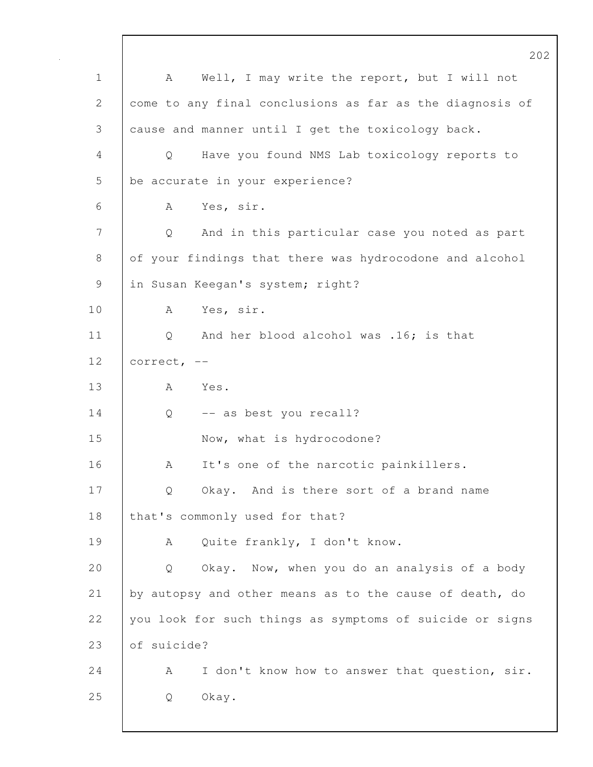202 1 | A Well, I may write the report, but I will not 2 come to any final conclusions as far as the diagnosis of 3 cause and manner until I get the toxicology back. 4 Q Have you found NMS Lab toxicology reports to 5 be accurate in your experience? 6 A Yes, sir. 7 Q And in this particular case you noted as part 8 of your findings that there was hydrocodone and alcohol 9 in Susan Keegan's system; right? 10 | A Yes, sir. 11 | Q And her blood alcohol was .16; is that 12 | correct, --13 A Yes. 14 Q -- as best you recall? 15 Now, what is hydrocodone? 16 A It's one of the narcotic painkillers. 17 | Q Okay. And is there sort of a brand name 18 | that's commonly used for that? 19 | A Quite frankly, I don't know. 20 Q Okay. Now, when you do an analysis of a body 21 by autopsy and other means as to the cause of death, do 22 you look for such things as symptoms of suicide or signs 23 of suicide? 24 | A I don't know how to answer that question, sir. 25 Q Okay.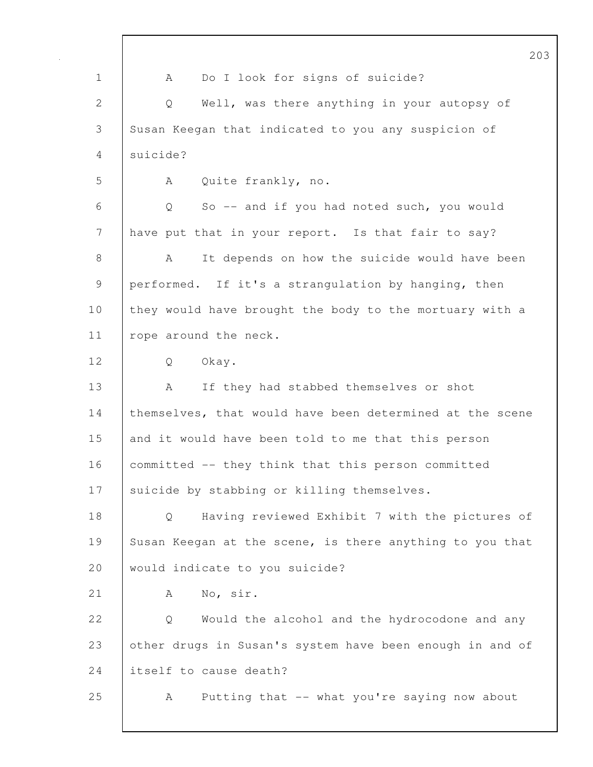|              | 20                                                          |
|--------------|-------------------------------------------------------------|
| $\mathbf 1$  | Do I look for signs of suicide?<br>A                        |
| $\mathbf{2}$ | Well, was there anything in your autopsy of<br>$\mathsf{Q}$ |
| 3            | Susan Keegan that indicated to you any suspicion of         |
| 4            | suicide?                                                    |
| 5            | Quite frankly, no.<br>A                                     |
| 6            | Q<br>So -- and if you had noted such, you would             |
| 7            | have put that in your report. Is that fair to say?          |
| 8            | It depends on how the suicide would have been<br>A          |
| 9            | performed. If it's a strangulation by hanging, then         |
| 10           | they would have brought the body to the mortuary with a     |
| 11           | rope around the neck.                                       |
| 12           | Okay.<br>Q                                                  |
| 13           | If they had stabbed themselves or shot<br>A                 |
| 14           | themselves, that would have been determined at the scene    |
| 15           | and it would have been told to me that this person          |
| 16           | committed -- they think that this person committed          |
| 17           | suicide by stabbing or killing themselves.                  |
| 18           | Having reviewed Exhibit 7 with the pictures of<br>$\circ$   |
| 19           | Susan Keegan at the scene, is there anything to you that    |
| 20           | would indicate to you suicide?                              |
| 21           | No, sir.<br>A                                               |
| 22           | Would the alcohol and the hydrocodone and any<br>Q          |
| 23           | other drugs in Susan's system have been enough in and of    |
| 24           | itself to cause death?                                      |
| 25           | Putting that -- what you're saying now about<br>A           |
|              |                                                             |

 $\mathsf{I}$ 

 $3<sup>0</sup>$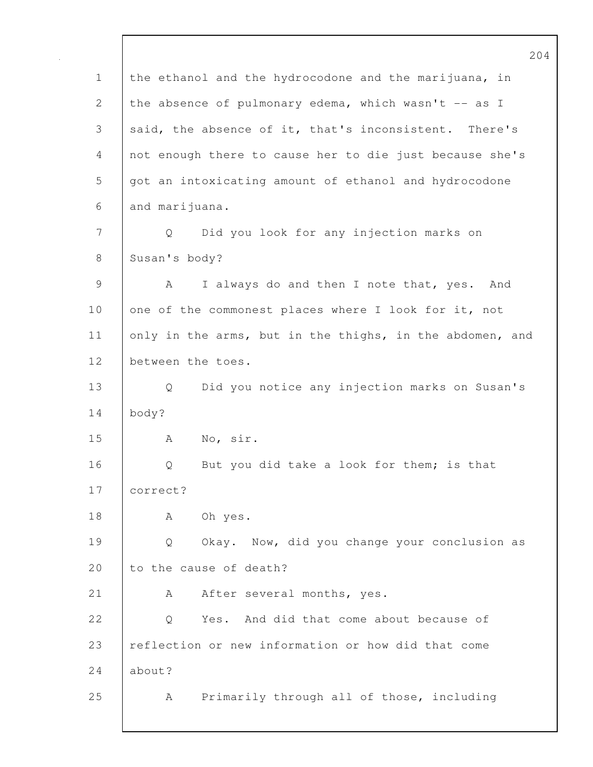204 1 the ethanol and the hydrocodone and the marijuana, in 2 the absence of pulmonary edema, which wasn't -- as I 3 said, the absence of it, that's inconsistent. There's 4 not enough there to cause her to die just because she's 5 got an intoxicating amount of ethanol and hydrocodone 6 and marijuana. 7 Q Did you look for any injection marks on 8 Susan's body? 9 | A I always do and then I note that, yes. And 10 one of the commonest places where I look for it, not 11 only in the arms, but in the thighs, in the abdomen, and 12 between the toes. 13 Q Did you notice any injection marks on Susan's 14 body? 15 A No, sir. 16 Q But you did take a look for them; is that 17 correct? 18 | A Oh yes. 19 Q Okay. Now, did you change your conclusion as 20 to the cause of death? 21 | A After several months, yes. 22 | O Yes. And did that come about because of 23 reflection or new information or how did that come  $24$  about? 25 A Primarily through all of those, including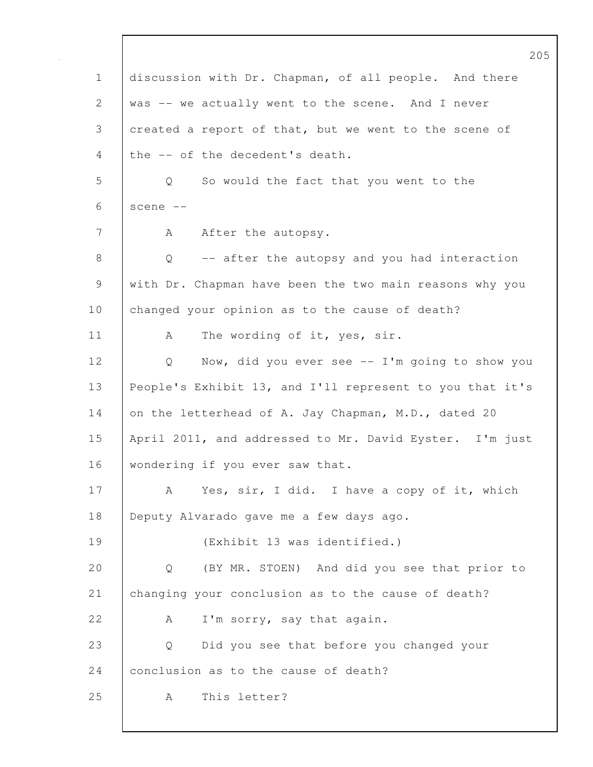|               | 205                                                      |
|---------------|----------------------------------------------------------|
| $\mathbf 1$   | discussion with Dr. Chapman, of all people. And there    |
| $\mathbf{2}$  | was -- we actually went to the scene. And I never        |
| 3             | created a report of that, but we went to the scene of    |
| 4             | the -- of the decedent's death.                          |
| 5             | So would the fact that you went to the<br>Q              |
| 6             | scene --                                                 |
| 7             | After the autopsy.<br>A                                  |
| 8             | -- after the autopsy and you had interaction<br>Q        |
| $\mathcal{G}$ | with Dr. Chapman have been the two main reasons why you  |
| 10            | changed your opinion as to the cause of death?           |
| 11            | The wording of it, yes, sir.<br>A                        |
| 12            | Now, did you ever see $-$ I'm going to show you<br>Q     |
| 13            | People's Exhibit 13, and I'll represent to you that it's |
| 14            | on the letterhead of A. Jay Chapman, M.D., dated 20      |
| 15            | April 2011, and addressed to Mr. David Eyster. I'm just  |
| 16            | wondering if you ever saw that.                          |
| 17            | Yes, sir, I did. I have a copy of it, which<br>A         |
| 18            | Deputy Alvarado gave me a few days ago.                  |
| 19            | (Exhibit 13 was identified.)                             |
| 20            | (BY MR. STOEN) And did you see that prior to<br>Q        |
| 21            | changing your conclusion as to the cause of death?       |
| 22            | I'm sorry, say that again.<br>А                          |
| 23            | Did you see that before you changed your<br>Q            |
| 24            | conclusion as to the cause of death?                     |
| 25            | This letter?<br>A                                        |
|               |                                                          |

 $\mathsf{I}$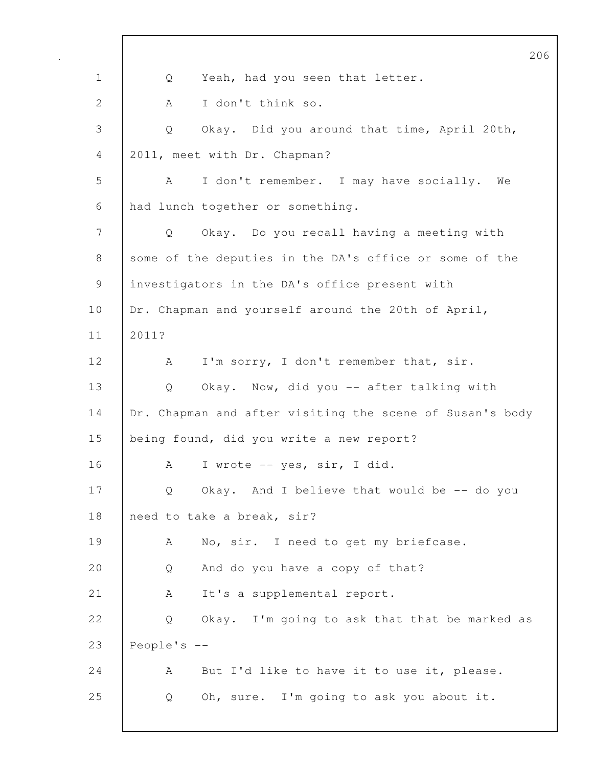|             | 2C                                                             |
|-------------|----------------------------------------------------------------|
| $\mathbf 1$ | Yeah, had you seen that letter.<br>Q                           |
| 2           | I don't think so.<br>A                                         |
| 3           | Okay. Did you around that time, April 20th,<br>Q               |
| 4           | 2011, meet with Dr. Chapman?                                   |
| 5           | I don't remember. I may have socially. We<br>A                 |
| 6           | had lunch together or something.                               |
| 7           | Okay. Do you recall having a meeting with<br>$Q \qquad \qquad$ |
| 8           | some of the deputies in the DA's office or some of the         |
| $\mathsf 9$ | investigators in the DA's office present with                  |
| 10          | Dr. Chapman and yourself around the 20th of April,             |
| 11          | 2011?                                                          |
| 12          | I'm sorry, I don't remember that, sir.<br>A                    |
| 13          | Okay. Now, did you -- after talking with<br>$Q \qquad \qquad$  |
| 14          | Dr. Chapman and after visiting the scene of Susan's body       |
| 15          | being found, did you write a new report?                       |
| 16          | I wrote -- yes, sir, I did.<br>A                               |
| 17          | Okay. And I believe that would be -- do you<br>Q               |
| 18          | need to take a break, sir?                                     |
| 19          | No, sir. I need to get my briefcase.<br>A                      |
| 20          | And do you have a copy of that?<br>Q                           |
| 21          | It's a supplemental report.<br>A                               |
| 22          | Okay. I'm going to ask that that be marked as<br>Q             |
| 23          | People's $-$                                                   |
| 24          | But I'd like to have it to use it, please.<br>А                |
| 25          | Oh, sure. I'm going to ask you about it.<br>Q                  |
|             |                                                                |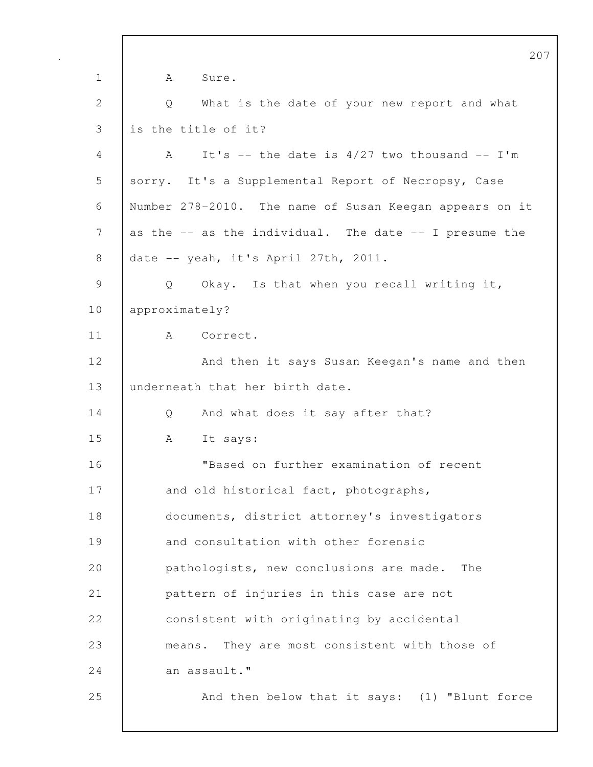207 1 | A Sure. 2 Q What is the date of your new report and what 3 is the title of it? 4  $A$  It's -- the date is 4/27 two thousand -- I'm 5 sorry. It's a Supplemental Report of Necropsy, Case 6 Number 278-2010. The name of Susan Keegan appears on it 7 as the -- as the individual. The date -- I presume the 8 date -- yeah, it's April 27th, 2011. 9 | Q Okay. Is that when you recall writing it, 10 approximately? 11 | A Correct. 12 | And then it says Susan Keegan's name and then 13 underneath that her birth date. 14 Q And what does it say after that? 15 A It says: 16 "Based on further examination of recent 17 and old historical fact, photographs, 18 documents, district attorney's investigators 19 and consultation with other forensic 20 **pathologists, new conclusions are made.** The 21 pattern of injuries in this case are not 22 **consistent with originating by accidental** 23 means. They are most consistent with those of  $24$  an assault." 25 And then below that it says: (1) "Blunt force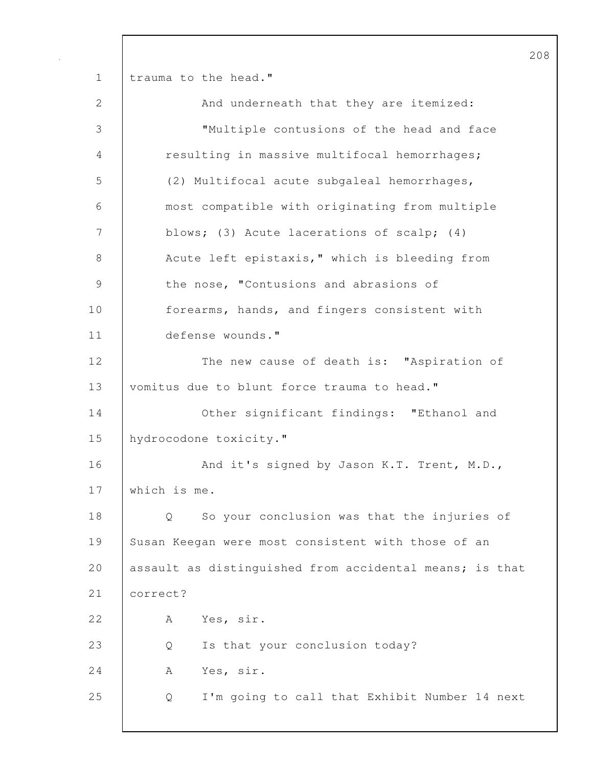208 1 | trauma to the head." 2 And underneath that they are itemized: 3 "Multiple contusions of the head and face 4 resulting in massive multifocal hemorrhages; 5 (2) Multifocal acute subgaleal hemorrhages, 6 most compatible with originating from multiple 7 blows; (3) Acute lacerations of scalp; (4) 8 | Acute left epistaxis," which is bleeding from 9 the nose, "Contusions and abrasions of 10 **forearms, hands, and fingers consistent with** 11 defense wounds." 12 The new cause of death is: "Aspiration of 13 vomitus due to blunt force trauma to head." 14 **Other significant findings: "Ethanol and** 15 | hydrocodone toxicity." 16 And it's signed by Jason K.T. Trent, M.D., 17 which is me. 18 Q So your conclusion was that the injuries of 19 Susan Keegan were most consistent with those of an 20 assault as distinguished from accidental means; is that 21 correct? 22 | A Yes, sir. 23 Q Is that your conclusion today? 24 | A Yes, sir. 25 Q I'm going to call that Exhibit Number 14 next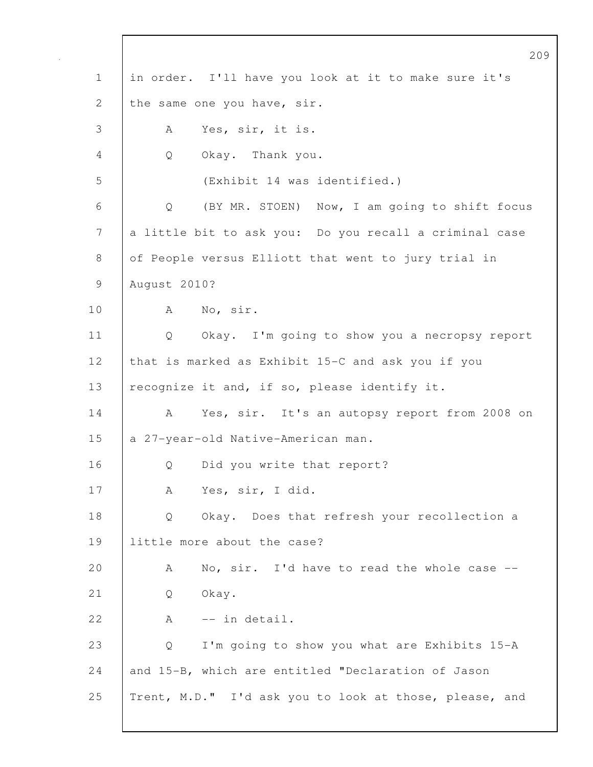|              | 209                                                    |
|--------------|--------------------------------------------------------|
| $\mathbf 1$  | in order. I'll have you look at it to make sure it's   |
| $\mathbf{2}$ | the same one you have, sir.                            |
| 3            | Yes, sir, it is.<br>A                                  |
| 4            | Okay. Thank you.<br>Q                                  |
| 5            | (Exhibit 14 was identified.)                           |
| 6            | (BY MR. STOEN) Now, I am going to shift focus<br>Q     |
| 7            | a little bit to ask you: Do you recall a criminal case |
| 8            | of People versus Elliott that went to jury trial in    |
| 9            | August 2010?                                           |
| 10           | No, sir.<br>A                                          |
| 11           | Okay. I'm going to show you a necropsy report<br>Q     |
| 12           | that is marked as Exhibit 15-C and ask you if you      |
| 13           | recognize it and, if so, please identify it.           |
| 14           | Yes, sir. It's an autopsy report from 2008 on<br>A     |
| 15           | a 27-year-old Native-American man.                     |
| 16           | Did you write that report?<br>Q                        |
| 17           | Yes, sir, I did.<br>A                                  |
| 18           | Okay. Does that refresh your recollection a<br>Q       |
| 19           | little more about the case?                            |
| 20           | No, sir. I'd have to read the whole case --<br>A       |
| 21           | Okay.<br>Q                                             |
| 22           | -- in detail.<br>A                                     |
| 23           | I'm going to show you what are Exhibits 15-A<br>Q      |
| 24           | and 15-B, which are entitled "Declaration of Jason     |
| 25           | Trent, M.D." I'd ask you to look at those, please, and |
|              |                                                        |

 $\mathbf l$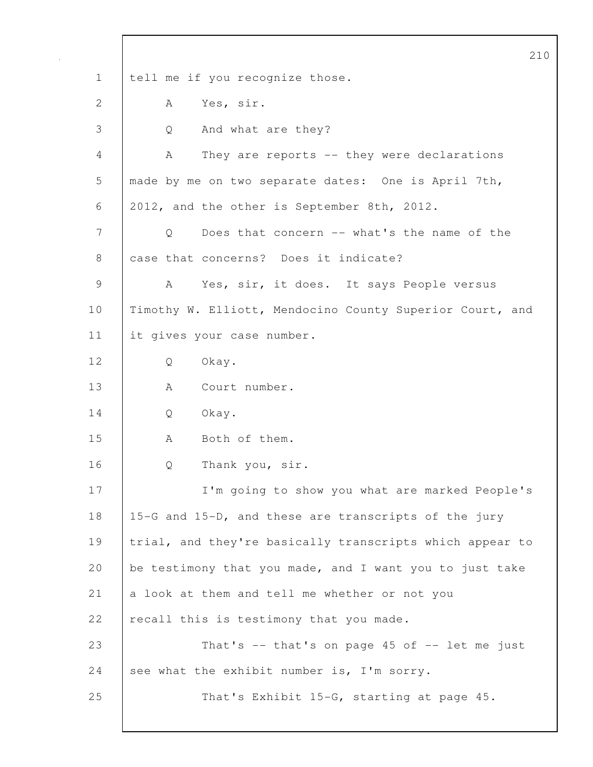|              | 210                                                      |
|--------------|----------------------------------------------------------|
| $\mathbf 1$  | tell me if you recognize those.                          |
| $\mathbf{2}$ | Yes, sir.<br>А                                           |
| 3            | And what are they?<br>Q                                  |
| 4            | They are reports -- they were declarations<br>A          |
| 5            | made by me on two separate dates: One is April 7th,      |
| 6            | 2012, and the other is September 8th, 2012.              |
| 7            | Does that concern -- what's the name of the<br>Q         |
| 8            | case that concerns? Does it indicate?                    |
| $\mathsf 9$  | Yes, sir, it does. It says People versus<br>A            |
| 10           | Timothy W. Elliott, Mendocino County Superior Court, and |
| 11           | it gives your case number.                               |
| 12           | Okay.<br>Q                                               |
| 13           | Court number.<br>A                                       |
| 14           | Okay.<br>Q                                               |
| 15           | Both of them.<br>A                                       |
| 16           | Thank you, sir.<br>Q                                     |
| 17           | I'm going to show you what are marked People's           |
| 18           | 15-G and 15-D, and these are transcripts of the jury     |
| 19           | trial, and they're basically transcripts which appear to |
| 20           | be testimony that you made, and I want you to just take  |
| 21           | a look at them and tell me whether or not you            |
| 22           | recall this is testimony that you made.                  |
| 23           | That's $--$ that's on page 45 of $--$ let me just        |
| 24           | see what the exhibit number is, I'm sorry.               |
| 25           | That's Exhibit 15-G, starting at page 45.                |
|              |                                                          |

 $\mathsf{I}$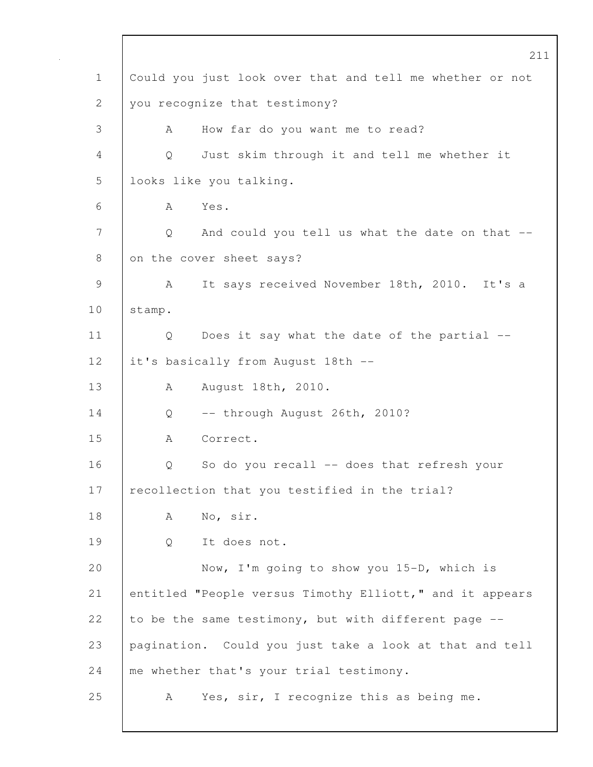211 1 Could you just look over that and tell me whether or not 2 you recognize that testimony? 3 A How far do you want me to read? 4 Q Just skim through it and tell me whether it 5 looks like you talking. 6 A Yes. 7 | Q And could you tell us what the date on that --8 on the cover sheet says? 9 | A It says received November 18th, 2010. It's a 10 | stamp. 11 | Q Does it say what the date of the partial --12 | it's basically from August 18th --13 | A August 18th, 2010. 14 Q -- through August 26th, 2010? 15 A Correct. 16 | O So do you recall -- does that refresh your 17 recollection that you testified in the trial? 18 | A No, sir. 19 Q It does not. 20 Now, I'm going to show you 15-D, which is 21 entitled "People versus Timothy Elliott," and it appears 22 to be the same testimony, but with different page  $-$ -23 pagination. Could you just take a look at that and tell 24 me whether that's your trial testimony. 25 | A Yes, sir, I recognize this as being me.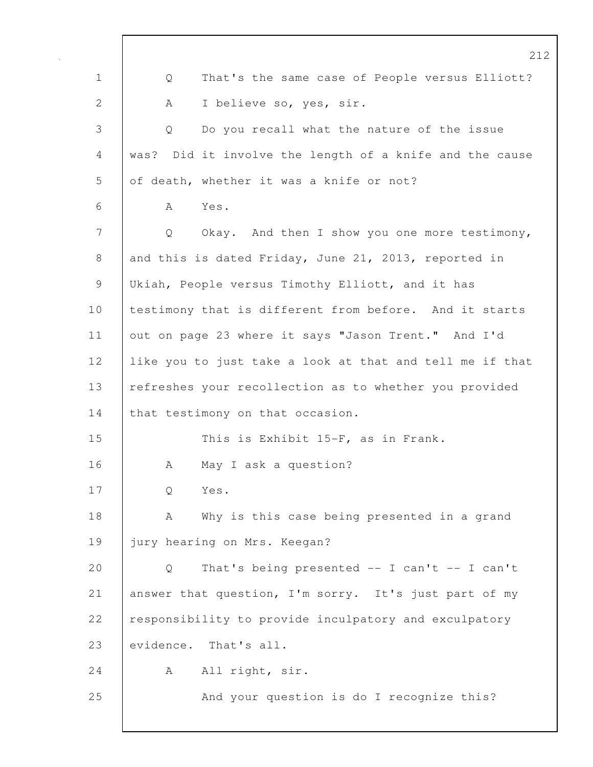|                | 212                                                      |
|----------------|----------------------------------------------------------|
| $\mathbf 1$    | That's the same case of People versus Elliott?<br>Q      |
| $\overline{2}$ | I believe so, yes, sir.<br>А                             |
| 3              | Do you recall what the nature of the issue<br>Q          |
| 4              | was? Did it involve the length of a knife and the cause  |
| 5              | of death, whether it was a knife or not?                 |
| 6              | A<br>Yes.                                                |
| 7              | Okay. And then I show you one more testimony,<br>Q       |
| 8              | and this is dated Friday, June 21, 2013, reported in     |
| $\mathcal{G}$  | Ukiah, People versus Timothy Elliott, and it has         |
| 10             | testimony that is different from before. And it starts   |
| 11             | out on page 23 where it says "Jason Trent." And I'd      |
| 12             | like you to just take a look at that and tell me if that |
| 13             | refreshes your recollection as to whether you provided   |
| 14             | that testimony on that occasion.                         |
| 15             | This is Exhibit 15-F, as in Frank.                       |
| 16             | May I ask a question?<br>A                               |
| 17             | Yes.<br>Q                                                |
| 18             | Why is this case being presented in a grand<br>A         |
| 19             | jury hearing on Mrs. Keegan?                             |
| 20             | That's being presented -- I can't -- I can't<br>Q        |
| 21             | answer that question, I'm sorry. It's just part of my    |
| 22             | responsibility to provide inculpatory and exculpatory    |
| 23             | evidence. That's all.                                    |
| 24             | All right, sir.<br>А                                     |
| 25             | And your question is do I recognize this?                |
|                |                                                          |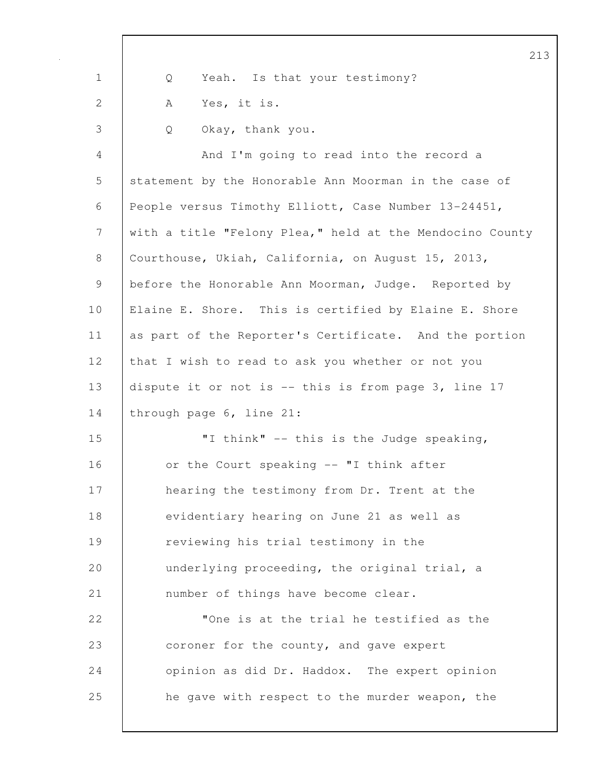|              | 21                                                       |
|--------------|----------------------------------------------------------|
| $\mathbf 1$  | Yeah. Is that your testimony?<br>Q                       |
| $\mathbf{2}$ | Yes, it is.<br>Α                                         |
| 3            | Okay, thank you.<br>Q                                    |
| 4            | And I'm going to read into the record a                  |
| 5            | statement by the Honorable Ann Moorman in the case of    |
| 6            | People versus Timothy Elliott, Case Number 13-24451,     |
| 7            | with a title "Felony Plea," held at the Mendocino County |
| $8\,$        | Courthouse, Ukiah, California, on August 15, 2013,       |
| 9            | before the Honorable Ann Moorman, Judge. Reported by     |
| 10           | Elaine E. Shore. This is certified by Elaine E. Shore    |
| 11           | as part of the Reporter's Certificate. And the portion   |
| 12           | that I wish to read to ask you whether or not you        |
| 13           | dispute it or not is -- this is from page 3, line 17     |
| 14           | through page 6, line 21:                                 |
| 15           | "I think" -- this is the Judge speaking,                 |
| 16           | or the Court speaking -- "I think after                  |
| 17           | hearing the testimony from Dr. Trent at the              |
| 18           | evidentiary hearing on June 21 as well as                |
| 19           | reviewing his trial testimony in the                     |
| 20           | underlying proceeding, the original trial, a             |
| 21           | number of things have become clear.                      |
| 22           | "One is at the trial he testified as the                 |
| 23           | coroner for the county, and gave expert                  |
| 24           | opinion as did Dr. Haddox. The expert opinion            |
| 25           | he gave with respect to the murder weapon, the           |
|              |                                                          |

 $\mathsf{l}$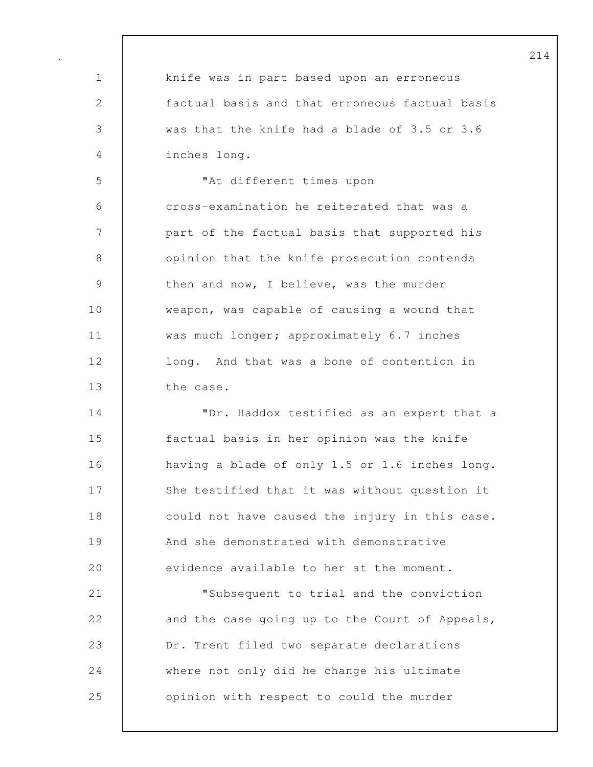1 knife was in part based upon an erroneous 2 factual basis and that erroneous factual basis 3 was that the knife had a blade of 3.5 or 3.6 4 inches long. 5 "At different times upon 6 cross-examination he reiterated that was a 7 part of the factual basis that supported his 8 **b** opinion that the knife prosecution contends 9 then and now, I believe, was the murder 10 weapon, was capable of causing a wound that 11 | was much longer; approximately 6.7 inches 12 **long.** And that was a bone of contention in 13 the case. 14 **I** TDr. Haddox testified as an expert that a 15 factual basis in her opinion was the knife 16 having a blade of only 1.5 or 1.6 inches long. 17 She testified that it was without question it 18 could not have caused the injury in this case. 19 And she demonstrated with demonstrative 20 evidence available to her at the moment. 21 "Subsequent to trial and the conviction 22 and the case going up to the Court of Appeals, 23 **Dr.** Trent filed two separate declarations 24 where not only did he change his ultimate 25 **opinion with respect to could the murder**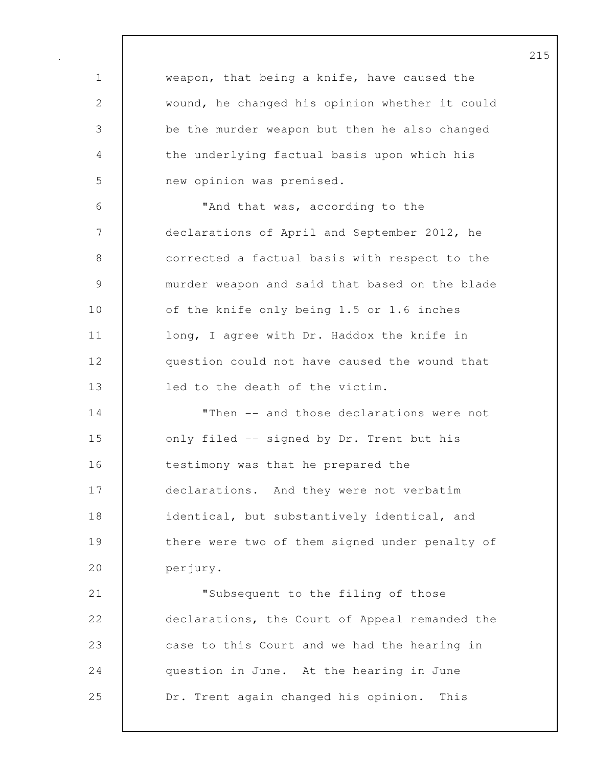1 weapon, that being a knife, have caused the 2 wound, he changed his opinion whether it could 3 be the murder weapon but then he also changed 4 the underlying factual basis upon which his 5 new opinion was premised. 6 "And that was, according to the 7 declarations of April and September 2012, he 8 **b** corrected a factual basis with respect to the 9 murder weapon and said that based on the blade 10 | of the knife only being 1.5 or 1.6 inches 11 | long, I agree with Dr. Haddox the knife in 12 question could not have caused the wound that 13 **led** to the death of the victim. 14 | Then -- and those declarations were not 15 | only filed -- signed by Dr. Trent but his 16 **testimony was that he prepared the** 17 declarations. And they were not verbatim 18 identical, but substantively identical, and 19 there were two of them signed under penalty of 20 perjury. 21 "Subsequent to the filing of those 22 declarations, the Court of Appeal remanded the 23 case to this Court and we had the hearing in 24 **question in June.** At the hearing in June 25 Dr. Trent again changed his opinion. This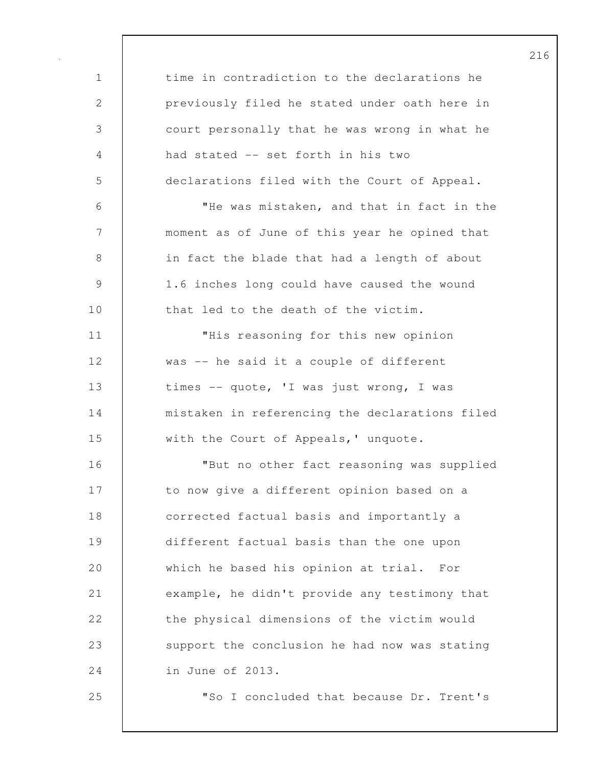| $\mathbf 1$    | time in contradiction to the declarations he   |
|----------------|------------------------------------------------|
| 2              | previously filed he stated under oath here in  |
| $\mathfrak{Z}$ | court personally that he was wrong in what he  |
| 4              | had stated -- set forth in his two             |
| 5              | declarations filed with the Court of Appeal.   |
| 6              | "He was mistaken, and that in fact in the      |
| $\overline{7}$ | moment as of June of this year he opined that  |
| $8\,$          | in fact the blade that had a length of about   |
| $\mathcal{G}$  | 1.6 inches long could have caused the wound    |
| 10             | that led to the death of the victim.           |
| 11             | "His reasoning for this new opinion            |
| 12             | was -- he said it a couple of different        |
| 13             | times -- quote, 'I was just wrong, I was       |
| 14             | mistaken in referencing the declarations filed |
| 15             | with the Court of Appeals, ' unquote.          |
| 16             | "But no other fact reasoning was supplied      |
| 17             | to now give a different opinion based on a     |
| 18             | corrected factual basis and importantly a      |
| 19             | different factual basis than the one upon      |
| 20             | which he based his opinion at trial. For       |
| 21             | example, he didn't provide any testimony that  |
| 22             | the physical dimensions of the victim would    |
| 23             | support the conclusion he had now was stating  |
| 24             | in June of 2013.                               |
| 25             | "So I concluded that because Dr. Trent's       |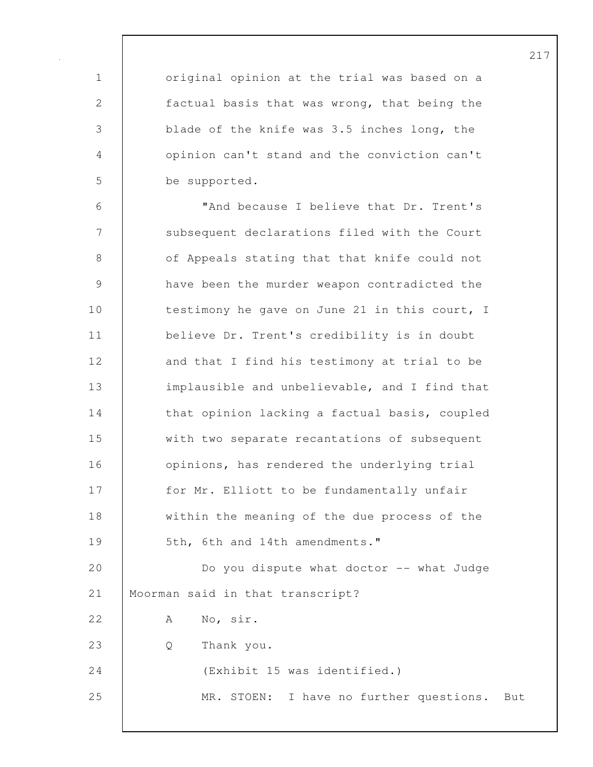1 | original opinion at the trial was based on a 2 factual basis that was wrong, that being the 3 blade of the knife was 3.5 inches long, the 4 opinion can't stand and the conviction can't 5 be supported.

6 "And because I believe that Dr. Trent's 7 Subsequent declarations filed with the Court 8 of Appeals stating that that knife could not 9 have been the murder weapon contradicted the 10 testimony he gave on June 21 in this court, I 11 believe Dr. Trent's credibility is in doubt 12 and that I find his testimony at trial to be 13 implausible and unbelievable, and I find that 14 that opinion lacking a factual basis, coupled 15 with two separate recantations of subsequent 16 **b** opinions, has rendered the underlying trial 17 | for Mr. Elliott to be fundamentally unfair 18 within the meaning of the due process of the 19 | 5th, 6th and 14th amendments." 20 **Do** you dispute what doctor -- what Judge 21 | Moorman said in that transcript? 22 A No, sir. 23 Q Thank you. 24 (Exhibit 15 was identified.) 25 MR. STOEN: I have no further questions. But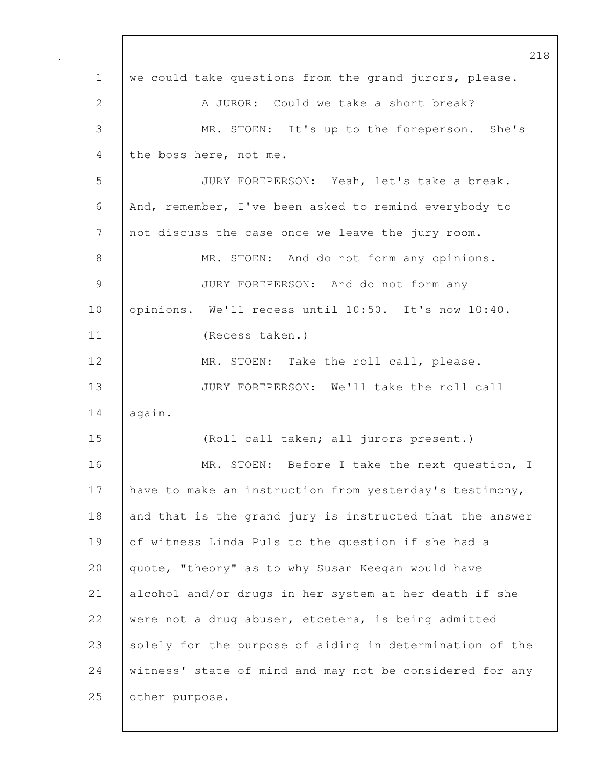|                | 218                                                      |
|----------------|----------------------------------------------------------|
| $\mathbf 1$    | we could take questions from the grand jurors, please.   |
| 2              | A JUROR: Could we take a short break?                    |
| 3              | MR. STOEN: It's up to the foreperson. She's              |
| 4              | the boss here, not me.                                   |
| 5              | JURY FOREPERSON: Yeah, let's take a break.               |
| 6              | And, remember, I've been asked to remind everybody to    |
| 7              | not discuss the case once we leave the jury room.        |
| 8              | MR. STOEN: And do not form any opinions.                 |
| $\overline{9}$ | JURY FOREPERSON: And do not form any                     |
| 10             | opinions. We'll recess until 10:50. It's now 10:40.      |
| 11             | (Recess taken.)                                          |
| 12             | MR. STOEN: Take the roll call, please.                   |
| 13             | JURY FOREPERSON: We'll take the roll call                |
| 14             | again.                                                   |
| 15             | (Roll call taken; all jurors present.)                   |
| 16             | MR. STOEN: Before I take the next question, I            |
| 17             | have to make an instruction from yesterday's testimony,  |
| 18             | and that is the grand jury is instructed that the answer |
| 19             | of witness Linda Puls to the question if she had a       |
| 20             | quote, "theory" as to why Susan Keegan would have        |
| 21             | alcohol and/or drugs in her system at her death if she   |
| 22             | were not a drug abuser, etcetera, is being admitted      |
| 23             | solely for the purpose of aiding in determination of the |
| 24             | witness' state of mind and may not be considered for any |
| 25             | other purpose.                                           |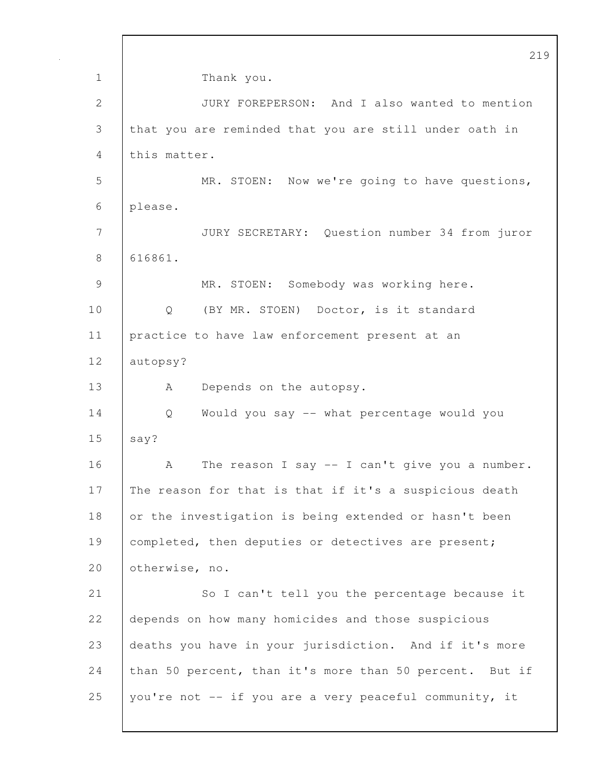219 1 Thank you. 2 JURY FOREPERSON: And I also wanted to mention 3 that you are reminded that you are still under oath in 4 this matter. 5 MR. STOEN: Now we're going to have questions, 6 please. 7 JURY SECRETARY: Question number 34 from juror 8 616861. 9 | MR. STOEN: Somebody was working here. 10 | Q (BY MR. STOEN) Doctor, is it standard 11 practice to have law enforcement present at an 12 autopsy? 13 | A Depends on the autopsy. 14 Q Would you say -- what percentage would you  $15$  say? 16 A The reason I say -- I can't give you a number. 17 The reason for that is that if it's a suspicious death 18 or the investigation is being extended or hasn't been 19 completed, then deputies or detectives are present; 20 otherwise, no. 21 So I can't tell you the percentage because it 22 depends on how many homicides and those suspicious 23 deaths you have in your jurisdiction. And if it's more 24 than 50 percent, than it's more than 50 percent. But if 25 you're not -- if you are a very peaceful community, it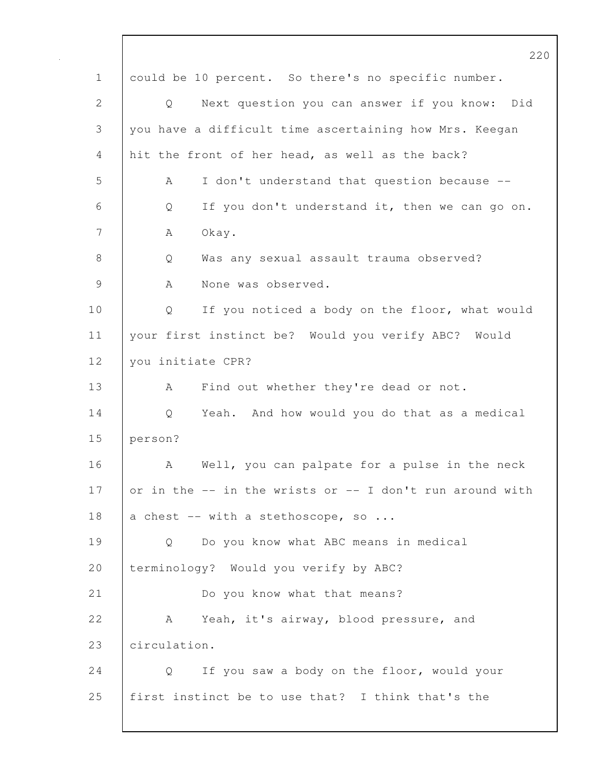|              | 220                                                      |
|--------------|----------------------------------------------------------|
| $\mathbf 1$  | could be 10 percent. So there's no specific number.      |
| $\mathbf{2}$ | Next question you can answer if you know: Did<br>Q       |
| 3            | you have a difficult time ascertaining how Mrs. Keegan   |
| 4            | hit the front of her head, as well as the back?          |
| 5            | I don't understand that question because --<br>A         |
| 6            | If you don't understand it, then we can go on.<br>Q      |
| 7            | Okay.<br>А                                               |
| $8\,$        | Was any sexual assault trauma observed?<br>Q             |
| 9            | None was observed.<br>A                                  |
| 10           | If you noticed a body on the floor, what would<br>Q      |
| 11           | your first instinct be? Would you verify ABC? Would      |
| 12           | you initiate CPR?                                        |
| 13           | Find out whether they're dead or not.<br>A               |
| 14           | Yeah. And how would you do that as a medical<br>Q        |
| 15           | person?                                                  |
| 16           | Well, you can palpate for a pulse in the neck<br>А       |
| 17           | or in the -- in the wrists or -- I don't run around with |
| 18           | a chest -- with a stethoscope, so                        |
| 19           | Do you know what ABC means in medical<br>Q               |
| 20           | terminology? Would you verify by ABC?                    |
| 21           | Do you know what that means?                             |
| 22           | Yeah, it's airway, blood pressure, and<br>A              |
| 23           | circulation.                                             |
| 24           | If you saw a body on the floor, would your<br>Q          |
| 25           | first instinct be to use that? I think that's the        |
|              |                                                          |

 $\mathbf I$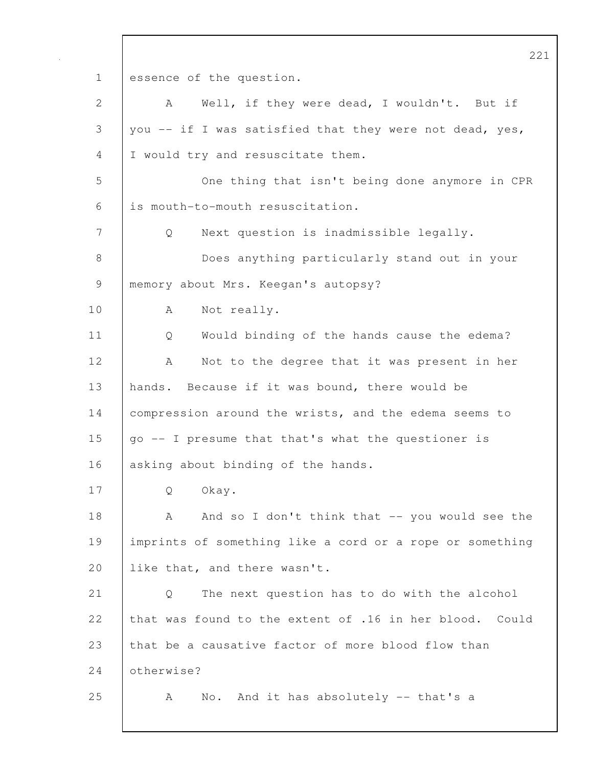221 1 essence of the question. 2 A Well, if they were dead, I wouldn't. But if 3 you -- if I was satisfied that they were not dead, yes, 4 I would try and resuscitate them. 5 One thing that isn't being done anymore in CPR 6 is mouth-to-mouth resuscitation. 7 Q Next question is inadmissible legally. 8 Does anything particularly stand out in your 9 | memory about Mrs. Keegan's autopsy? 10 A Not really. 11 Q Would binding of the hands cause the edema? 12 | A Not to the degree that it was present in her 13 hands. Because if it was bound, there would be 14 | compression around the wrists, and the edema seems to 15  $\int$  go -- I presume that that's what the questioner is 16 asking about binding of the hands. 17 Q Okay. 18 A And so I don't think that -- you would see the 19 imprints of something like a cord or a rope or something 20 **like that, and there wasn't.** 21 Q The next question has to do with the alcohol 22 that was found to the extent of .16 in her blood. Could 23 that be a causative factor of more blood flow than 24 **C** otherwise? 25 A No. And it has absolutely -- that's a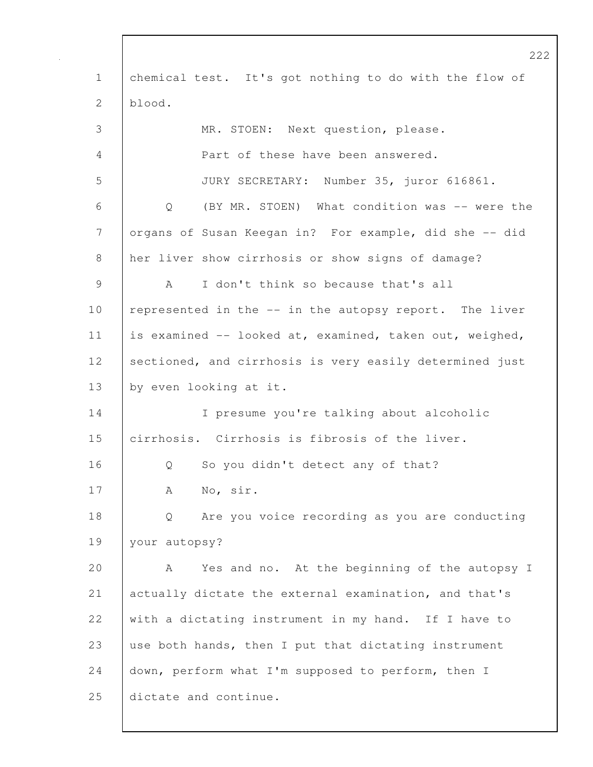222 1 chemical test. It's got nothing to do with the flow of 2  $blood.$ 3 MR. STOEN: Next question, please. 4 Part of these have been answered. 5 JURY SECRETARY: Number 35, juror 616861. 6 Q (BY MR. STOEN) What condition was -- were the 7 organs of Susan Keegan in? For example, did she -- did 8 her liver show cirrhosis or show signs of damage? 9 A I don't think so because that's all 10 | represented in the -- in the autopsy report. The liver 11 is examined -- looked at, examined, taken out, weighed, 12 sectioned, and cirrhosis is very easily determined just 13 by even looking at it. 14 I presume you're talking about alcoholic 15 cirrhosis. Cirrhosis is fibrosis of the liver. 16 |  $\qquad$  0 So you didn't detect any of that? 17 | A No, sir. 18 Q Are you voice recording as you are conducting 19 your autopsy? 20 A Yes and no. At the beginning of the autopsy I 21 actually dictate the external examination, and that's 22 with a dictating instrument in my hand. If I have to 23 use both hands, then I put that dictating instrument 24 down, perform what I'm supposed to perform, then I 25 dictate and continue.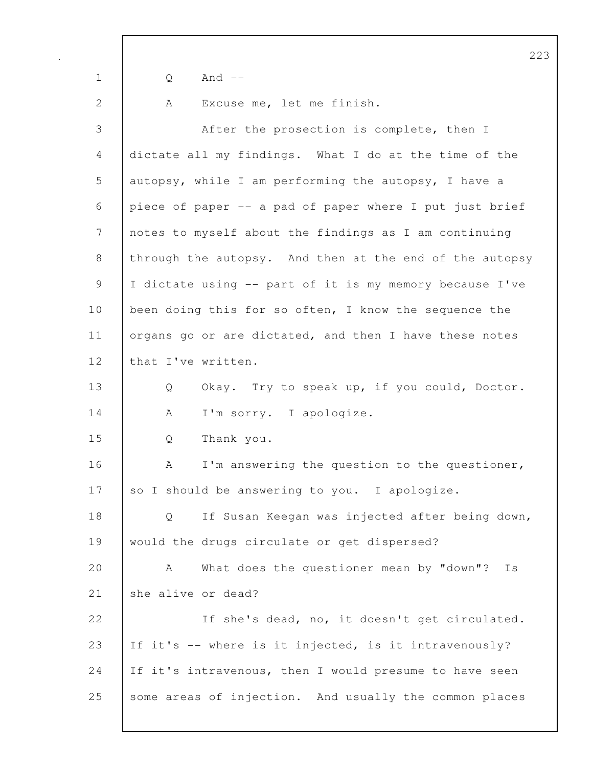|             | $\mathcal{Z}$                                           |
|-------------|---------------------------------------------------------|
| $\mathbf 1$ | And $--$<br>Q                                           |
| 2           | Excuse me, let me finish.<br>A                          |
| 3           | After the prosection is complete, then I                |
| 4           | dictate all my findings. What I do at the time of the   |
| 5           | autopsy, while I am performing the autopsy, I have a    |
| 6           | piece of paper -- a pad of paper where I put just brief |
| 7           | notes to myself about the findings as I am continuing   |
| 8           | through the autopsy. And then at the end of the autopsy |
| 9           | I dictate using -- part of it is my memory because I've |
| 10          | been doing this for so often, I know the sequence the   |
| 11          | organs go or are dictated, and then I have these notes  |
| 12          | that I've written.                                      |
| 13          | Okay. Try to speak up, if you could, Doctor.<br>Q       |
| 14          | I'm sorry. I apologize.<br>А                            |
| 15          | Thank you.<br>Q                                         |
| 16          | I'm answering the question to the questioner,<br>A      |
| 17          | so I should be answering to you. I apologize.           |
| 18          | If Susan Keegan was injected after being down,<br>Q     |
| 19          | would the drugs circulate or get dispersed?             |
| 20          | What does the questioner mean by "down"?<br>Is<br>A     |
| 21          | she alive or dead?                                      |
| 22          | If she's dead, no, it doesn't get circulated.           |
| 23          | If it's -- where is it injected, is it intravenously?   |
| 24          | If it's intravenous, then I would presume to have seen  |
| 25          | some areas of injection. And usually the common places  |
|             |                                                         |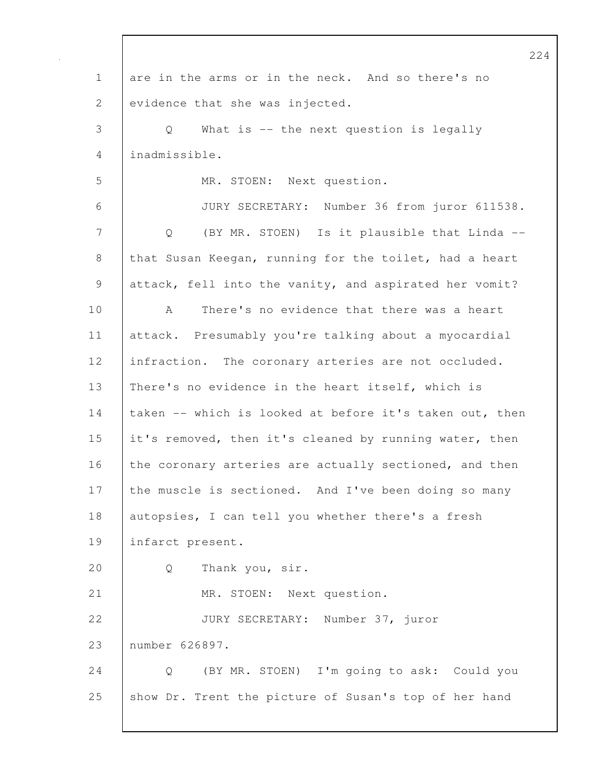1 are in the arms or in the neck. And so there's no 2 evidence that she was injected. 3 Q What is -- the next question is legally 4 inadmissible. 5 MR. STOEN: Next question. 6 JURY SECRETARY: Number 36 from juror 611538. 7 Q (BY MR. STOEN) Is it plausible that Linda -- 8 that Susan Keegan, running for the toilet, had a heart 9 attack, fell into the vanity, and aspirated her vomit? 10 A There's no evidence that there was a heart 11 attack. Presumably you're talking about a myocardial 12 | infraction. The coronary arteries are not occluded. 13 | There's no evidence in the heart itself, which is 14 taken -- which is looked at before it's taken out, then 15 it's removed, then it's cleaned by running water, then 16 the coronary arteries are actually sectioned, and then 17 the muscle is sectioned. And I've been doing so many 18 autopsies, I can tell you whether there's a fresh 19 infarct present. 20 Q Thank you, sir. 21 | MR. STOEN: Next question. 22 JURY SECRETARY: Number 37, juror 23 number 626897. 24 Q (BY MR. STOEN) I'm going to ask: Could you 25 show Dr. Trent the picture of Susan's top of her hand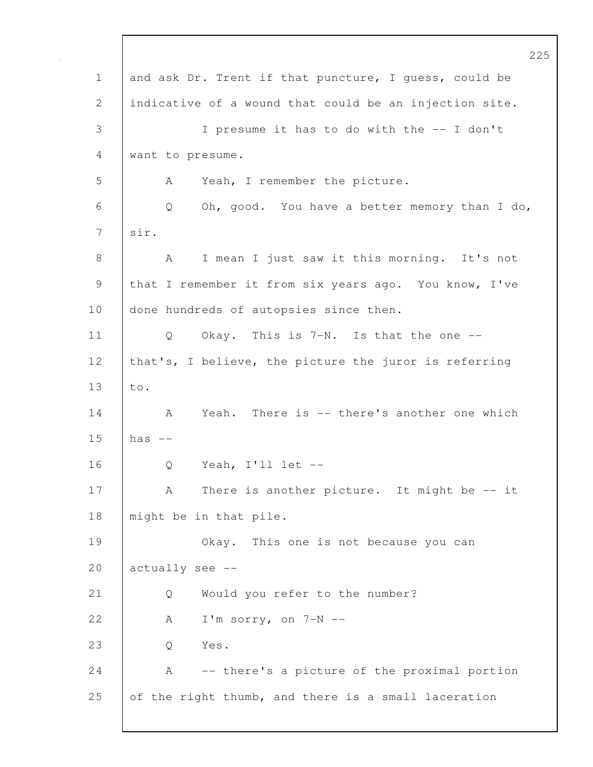|              | 225                                                    |
|--------------|--------------------------------------------------------|
| $\mathbf 1$  | and ask Dr. Trent if that puncture, I quess, could be  |
| $\mathbf{2}$ | indicative of a wound that could be an injection site. |
| 3            | I presume it has to do with the -- I don't             |
| 4            | want to presume.                                       |
| 5            | Yeah, I remember the picture.<br>A                     |
| 6            | Oh, good. You have a better memory than I do,<br>Q     |
| 7            | sir.                                                   |
| 8            | I mean I just saw it this morning. It's not<br>A       |
| $\mathsf 9$  | that I remember it from six years ago. You know, I've  |
| 10           | done hundreds of autopsies since then.                 |
| 11           | Okay. This is 7-N. Is that the one --<br>Q             |
| 12           | that's, I believe, the picture the juror is referring  |
| 13           | to.                                                    |
| 14           | Yeah. There is -- there's another one which<br>A       |
| 15           | has $--$                                               |
| 16           | Yeah, I'll let --<br>Q                                 |
| 17           | There is another picture. It might be -- it<br>А       |
| 18           | might be in that pile.                                 |
| 19           | Okay.<br>This one is not because you can               |
| 20           | actually see --                                        |
| 21           | Would you refer to the number?<br>Q                    |
| 22           | I'm sorry, on $7-N$ --<br>A                            |
| 23           | Yes.<br>Q                                              |
| 24           | Α<br>-- there's a picture of the proximal portion      |
| 25           | of the right thumb, and there is a small laceration    |
|              |                                                        |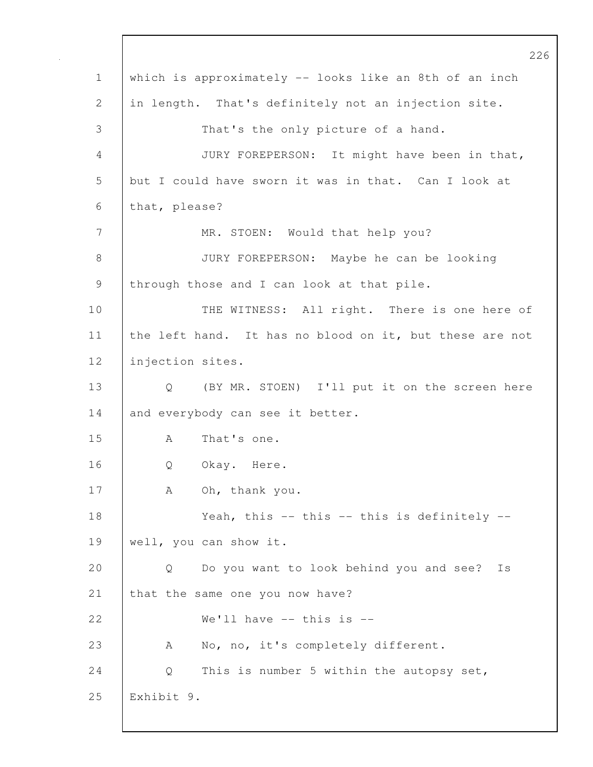226 1 which is approximately -- looks like an 8th of an inch 2 in length. That's definitely not an injection site. 3 That's the only picture of a hand. 4 JURY FOREPERSON: It might have been in that, 5 but I could have sworn it was in that. Can I look at 6 that, please? 7 | MR. STOEN: Would that help you? 8 JURY FOREPERSON: Maybe he can be looking 9 through those and I can look at that pile. 10 THE WITNESS: All right. There is one here of 11 the left hand. It has no blood on it, but these are not 12 | injection sites. 13 Q (BY MR. STOEN) I'll put it on the screen here 14 and everybody can see it better. 15 A That's one. 16 | O Okay. Here. 17 | A Oh, thank you. 18 Veah, this -- this -- this is definitely --19 | well, you can show it. 20 Q Do you want to look behind you and see? Is 21 that the same one you now have? 22  $\blacksquare$  We'll have -- this is --23 A No, no, it's completely different. 24 Q This is number 5 within the autopsy set, 25 Exhibit 9.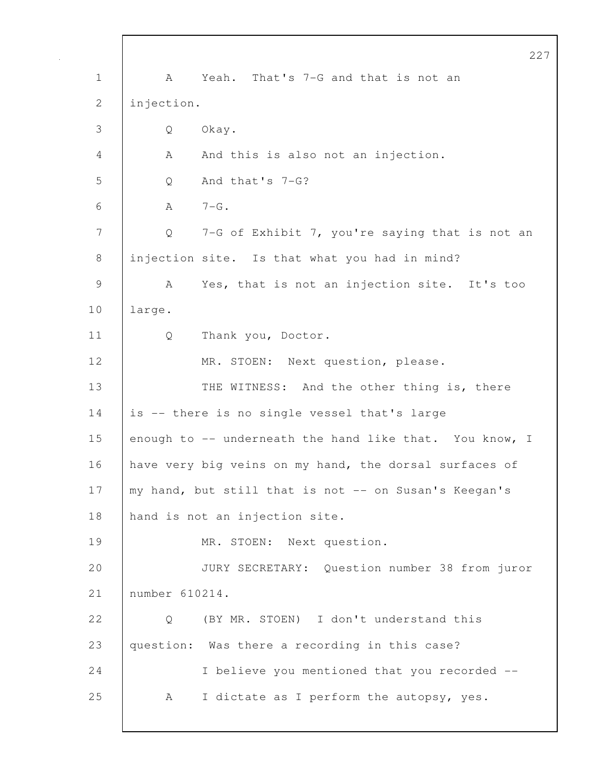|              | 227                                                     |
|--------------|---------------------------------------------------------|
| $\mathbf 1$  | Yeah. That's 7-G and that is not an<br>A                |
| $\mathbf{2}$ | injection.                                              |
| 3            | Okay.<br>Q                                              |
| 4            | And this is also not an injection.<br>A                 |
| 5            | And that's 7-G?<br>Q                                    |
| 6            | $7-G$ .<br>A                                            |
| 7            | 7-G of Exhibit 7, you're saying that is not an<br>Q     |
| 8            | injection site. Is that what you had in mind?           |
| 9            | Yes, that is not an injection site. It's too<br>A       |
| 10           | large.                                                  |
| 11           | Thank you, Doctor.<br>Q                                 |
| 12           | MR. STOEN: Next question, please.                       |
| 13           | THE WITNESS: And the other thing is, there              |
| 14           | is -- there is no single vessel that's large            |
| 15           | enough to -- underneath the hand like that. You know, I |
| 16           | have very big veins on my hand, the dorsal surfaces of  |
| 17           | my hand, but still that is not -- on Susan's Keegan's   |
| 18           | hand is not an injection site.                          |
| 19           | MR. STOEN: Next question.                               |
| 20           | JURY SECRETARY: Question number 38 from juror           |
| 21           | number 610214.                                          |
| 22           | (BY MR. STOEN) I don't understand this<br>Q             |
| 23           | question: Was there a recording in this case?           |
| 24           | I believe you mentioned that you recorded --            |
| 25           | I dictate as I perform the autopsy, yes.<br>A           |
|              |                                                         |

 $\mathbf I$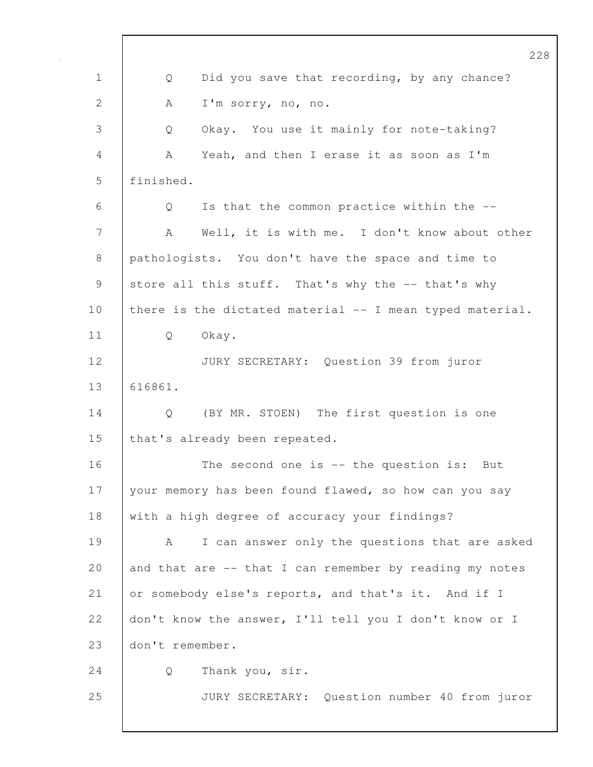|              | 228                                                      |
|--------------|----------------------------------------------------------|
| $\mathbf 1$  | Did you save that recording, by any chance?<br>Q         |
| $\mathbf{2}$ | I'm sorry, no, no.<br>А                                  |
| 3            | Okay. You use it mainly for note-taking?<br>Q            |
| 4            | Yeah, and then I erase it as soon as I'm<br>А            |
| 5            | finished.                                                |
| 6            | Is that the common practice within the --<br>Q           |
| 7            | Well, it is with me. I don't know about other<br>A       |
| 8            | pathologists. You don't have the space and time to       |
| 9            | store all this stuff. That's why the -- that's why       |
| 10           | there is the dictated material -- I mean typed material. |
| 11           | Okay.<br>Q                                               |
| 12           | JURY SECRETARY: Question 39 from juror                   |
| 13           | 616861.                                                  |
| 14           | Q<br>(BY MR. STOEN) The first question is one            |
| 15           | that's already been repeated.                            |
| 16           | The second one is $-$ the question is: But               |
| 17           | your memory has been found flawed, so how can you say    |
| 18           | with a high degree of accuracy your findings?            |
| 19           | I can answer only the questions that are asked<br>A      |
| 20           | and that are -- that I can remember by reading my notes  |
| 21           | or somebody else's reports, and that's it. And if I      |
| 22           | don't know the answer, I'll tell you I don't know or I   |
| 23           | don't remember.                                          |
| 24           | Thank you, sir.<br>Q                                     |
| 25           | JURY SECRETARY: Question number 40 from juror            |
|              |                                                          |

 $\mathbf{I}$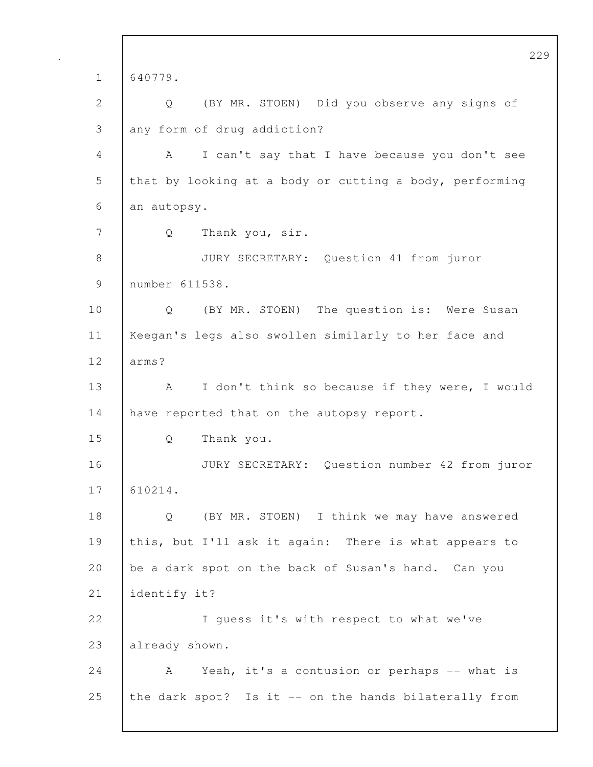229 1 640779. 2 Q (BY MR. STOEN) Did you observe any signs of 3 any form of drug addiction? 4 A I can't say that I have because you don't see 5 that by looking at a body or cutting a body, performing 6 an autopsy. 7 Q Thank you, sir. 8 JURY SECRETARY: Question 41 from juror 9 number 611538. 10 | Q (BY MR. STOEN) The question is: Were Susan 11 Keegan's legs also swollen similarly to her face and 12 arms? 13 | A I don't think so because if they were, I would 14 have reported that on the autopsy report. 15 Q Thank you. 16 JURY SECRETARY: Question number 42 from juror 17 610214. 18 Q (BY MR. STOEN) I think we may have answered 19 this, but I'll ask it again: There is what appears to 20 be a dark spot on the back of Susan's hand. Can you 21 identify it? 22 | I guess it's with respect to what we've 23 already shown. 24 A Yeah, it's a contusion or perhaps -- what is 25 the dark spot? Is it -- on the hands bilaterally from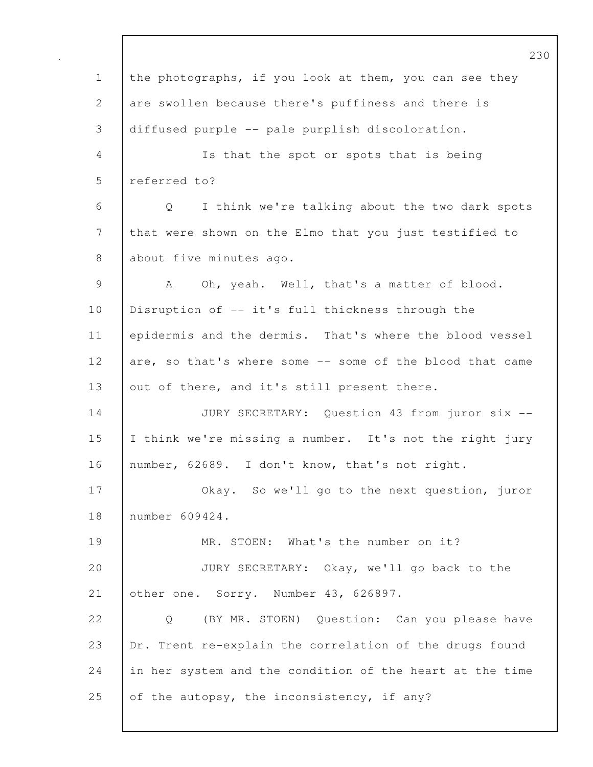230 1 the photographs, if you look at them, you can see they 2 are swollen because there's puffiness and there is 3 diffused purple -- pale purplish discoloration. 4 Is that the spot or spots that is being 5 referred to? 6 Q I think we're talking about the two dark spots 7 that were shown on the Elmo that you just testified to 8 about five minutes ago. 9 A Oh, yeah. Well, that's a matter of blood. 10 Disruption of -- it's full thickness through the 11 epidermis and the dermis. That's where the blood vessel 12 are, so that's where some -- some of the blood that came 13 | out of there, and it's still present there. 14 JURY SECRETARY: Question 43 from juror six -- 15 I think we're missing a number. It's not the right jury 16 number, 62689. I don't know, that's not right. 17 | Okay. So we'll go to the next question, juror 18 number 609424. 19 | MR. STOEN: What's the number on it? 20 JURY SECRETARY: Okay, we'll go back to the 21 other one. Sorry. Number 43, 626897. 22 Q (BY MR. STOEN) Question: Can you please have 23 Dr. Trent re-explain the correlation of the drugs found 24 in her system and the condition of the heart at the time 25 of the autopsy, the inconsistency, if any?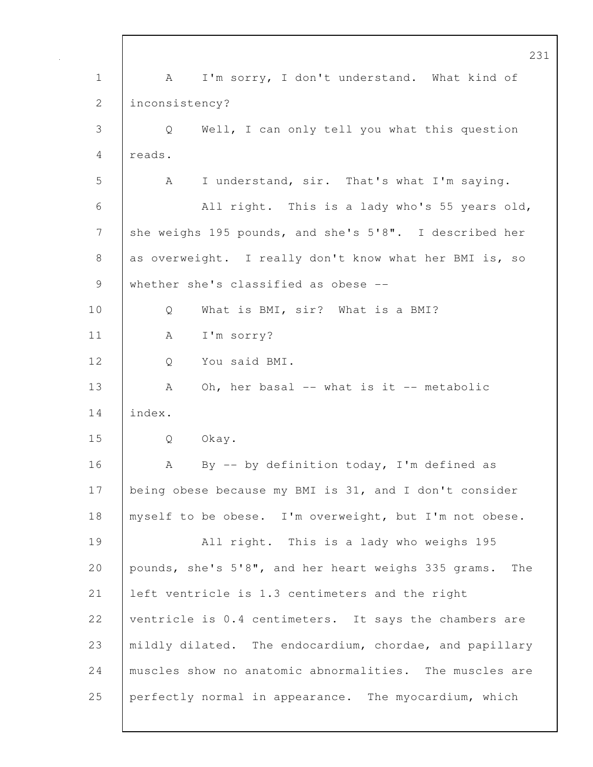231 1 | A I'm sorry, I don't understand. What kind of 2 | inconsistency? 3 Q Well, I can only tell you what this question 4 reads. 5 A I understand, sir. That's what I'm saying. 6 All right. This is a lady who's 55 years old, 7 she weighs 195 pounds, and she's 5'8". I described her 8 as overweight. I really don't know what her BMI is, so 9 whether she's classified as obese --10 Q What is BMI, sir? What is a BMI? 11 | A I'm sorry? 12 Q You said BMI. 13 | A Oh, her basal -- what is it -- metabolic 14 index. 15 Q Okay. 16 | A By -- by definition today, I'm defined as 17 | being obese because my BMI is 31, and I don't consider 18 | myself to be obese. I'm overweight, but I'm not obese. 19 All right. This is a lady who weighs 195 20 pounds, she's 5'8", and her heart weighs 335 grams. The 21 left ventricle is 1.3 centimeters and the right 22 ventricle is 0.4 centimeters. It says the chambers are 23 mildly dilated. The endocardium, chordae, and papillary 24 muscles show no anatomic abnormalities. The muscles are 25 perfectly normal in appearance. The myocardium, which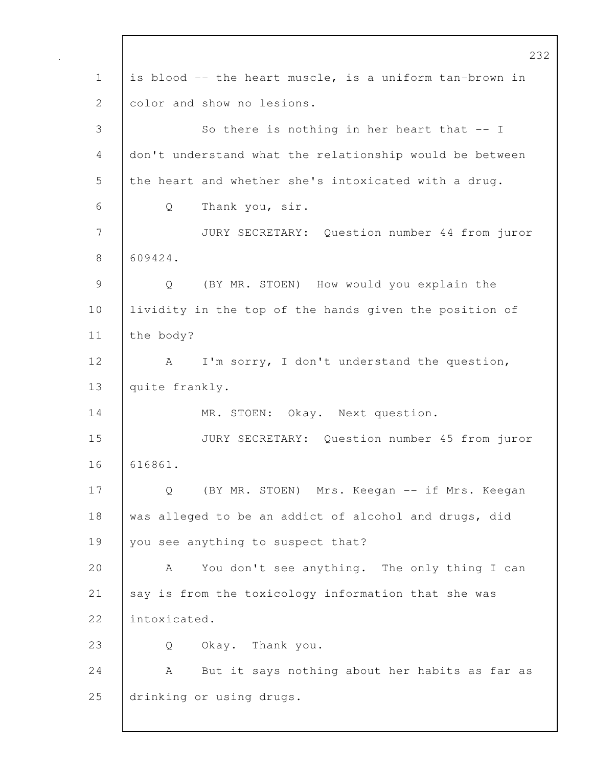232 1 is blood -- the heart muscle, is a uniform tan-brown in 2 color and show no lesions. 3 So there is nothing in her heart that -- I 4 don't understand what the relationship would be between 5 the heart and whether she's intoxicated with a drug. 6 Q Thank you, sir. 7 JURY SECRETARY: Question number 44 from juror 8 609424. 9 Q (BY MR. STOEN) How would you explain the 10 Iividity in the top of the hands given the position of 11 the body? 12 | A I'm sorry, I don't understand the question, 13 quite frankly. 14 | MR. STOEN: Okay. Next question. 15 JURY SECRETARY: Question number 45 from juror 16 616861. 17 | Q (BY MR. STOEN) Mrs. Keegan -- if Mrs. Keegan 18 was alleged to be an addict of alcohol and drugs, did 19 | you see anything to suspect that? 20 A You don't see anything. The only thing I can 21 | say is from the toxicology information that she was 22 intoxicated. 23 Q Okay. Thank you. 24 | A But it says nothing about her habits as far as 25 drinking or using drugs.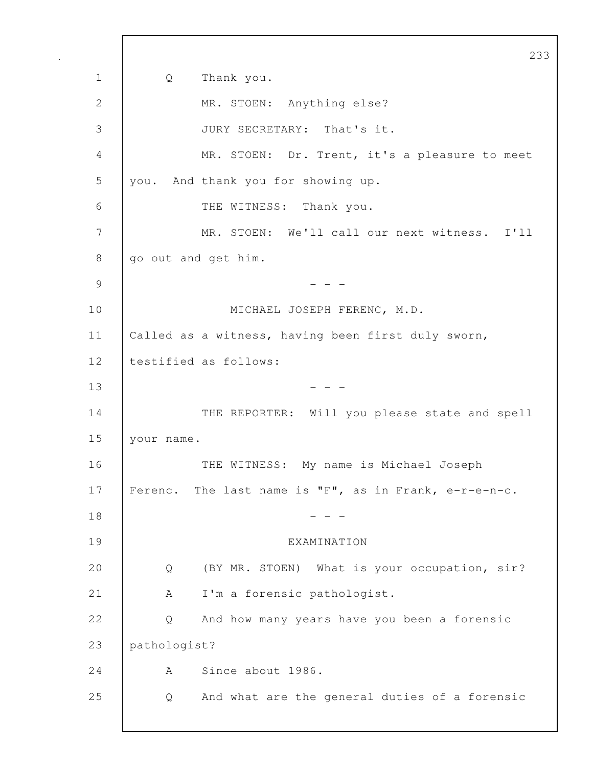233 1 Q Thank you. 2 MR. STOEN: Anything else? 3 JURY SECRETARY: That's it. 4 MR. STOEN: Dr. Trent, it's a pleasure to meet 5 you. And thank you for showing up. 6 THE WITNESS: Thank you. 7 MR. STOEN: We'll call our next witness. I'll 8 | go out and get him.  $9 \t - -$ 10 MICHAEL JOSEPH FERENC, M.D. 11 Called as a witness, having been first duly sworn, 12 testified as follows:  $13$  - - -14 THE REPORTER: Will you please state and spell 15 your name. 16 THE WITNESS: My name is Michael Joseph 17 Ferenc. The last name is "F", as in Frank, e-r-e-n-c.  $18$  - - -19 EXAMINATION 20 Q (BY MR. STOEN) What is your occupation, sir? 21 | A I'm a forensic pathologist. 22 Q And how many years have you been a forensic 23 pathologist? 24 A Since about 1986. 25 Q And what are the general duties of a forensic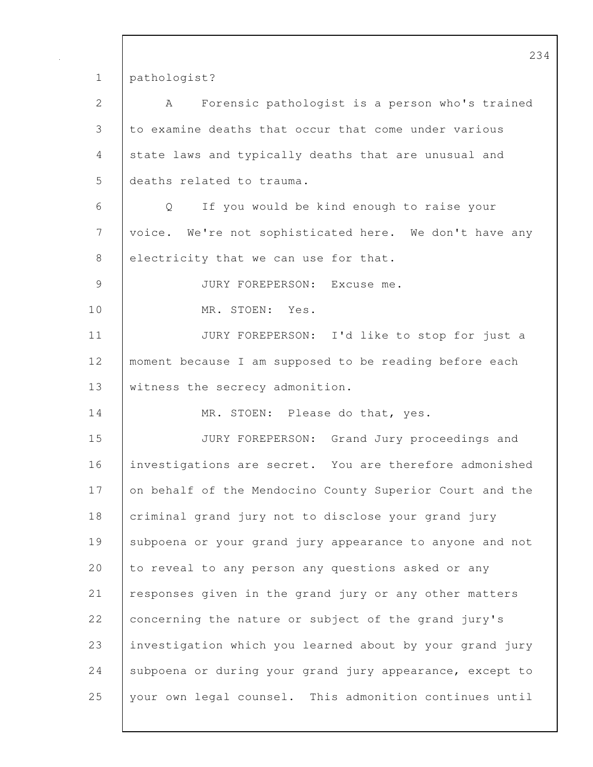1 pathologist?

| $\overline{2}$ | Forensic pathologist is a person who's trained<br>A      |
|----------------|----------------------------------------------------------|
| $\mathcal{S}$  | to examine deaths that occur that come under various     |
| 4              | state laws and typically deaths that are unusual and     |
| 5              | deaths related to trauma.                                |
| 6              | Q<br>If you would be kind enough to raise your           |
| 7              | voice. We're not sophisticated here. We don't have any   |
| $8\,$          | electricity that we can use for that.                    |
| $\mathcal{G}$  | JURY FOREPERSON: Excuse me.                              |
| 10             | MR. STOEN: Yes.                                          |
| 11             | JURY FOREPERSON: I'd like to stop for just a             |
| 12             | moment because I am supposed to be reading before each   |
| 13             | witness the secrecy admonition.                          |
| 14             | MR. STOEN: Please do that, yes.                          |
| 15             | JURY FOREPERSON: Grand Jury proceedings and              |
| 16             | investigations are secret. You are therefore admonished  |
| 17             | on behalf of the Mendocino County Superior Court and the |
| 18             | criminal grand jury not to disclose your grand jury      |
| 19             | subpoena or your grand jury appearance to anyone and not |
| 20             | to reveal to any person any questions asked or any       |
| 21             | responses given in the grand jury or any other matters   |
| 22             | concerning the nature or subject of the grand jury's     |
| 23             | investigation which you learned about by your grand jury |
| 24             | subpoena or during your grand jury appearance, except to |
| 25             | your own legal counsel. This admonition continues until  |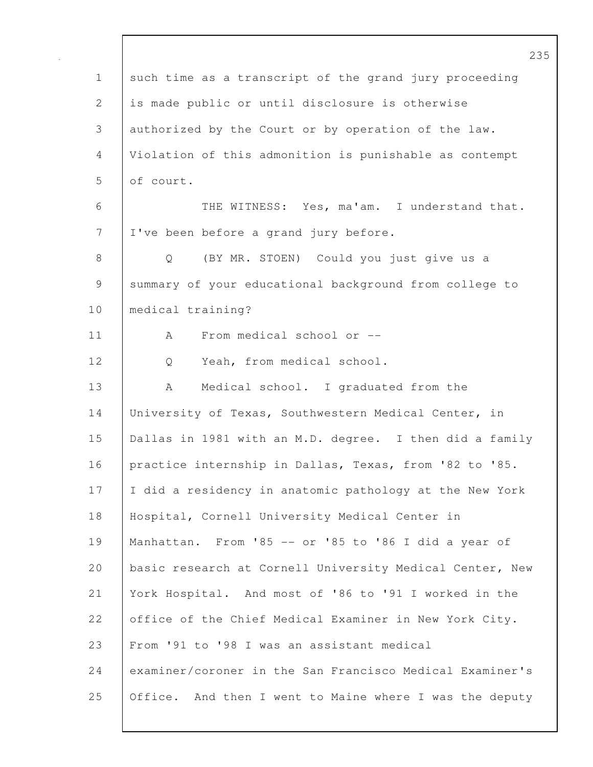|                 | 23                                                       |
|-----------------|----------------------------------------------------------|
| $\mathbf 1$     | such time as a transcript of the grand jury proceeding   |
| 2               | is made public or until disclosure is otherwise          |
| 3               | authorized by the Court or by operation of the law.      |
| 4               | Violation of this admonition is punishable as contempt   |
| 5               | of court.                                                |
| 6               | THE WITNESS: Yes, ma'am. I understand that.              |
| $7\phantom{.0}$ | I've been before a grand jury before.                    |
| $8\,$           | (BY MR. STOEN) Could you just give us a<br>$\mathsf{Q}$  |
| 9               | summary of your educational background from college to   |
| 10              | medical training?                                        |
| 11              | From medical school or --<br>A                           |
| 12              | Yeah, from medical school.<br>Q                          |
| 13              | Medical school. I graduated from the<br>A                |
| 14              | University of Texas, Southwestern Medical Center, in     |
| 15              | Dallas in 1981 with an M.D. degree. I then did a family  |
| 16              | practice internship in Dallas, Texas, from '82 to '85.   |
| 17              | I did a residency in anatomic pathology at the New York  |
| 18              | Hospital, Cornell University Medical Center in           |
| 19              | Manhattan. From '85 -- or '85 to '86 I did a year of     |
| 20              | basic research at Cornell University Medical Center, New |
| 21              | York Hospital. And most of '86 to '91 I worked in the    |
| 22              | office of the Chief Medical Examiner in New York City.   |
| 23              | From '91 to '98 I was an assistant medical               |
| 24              | examiner/coroner in the San Francisco Medical Examiner's |
| 25              | Office. And then I went to Maine where I was the deputy  |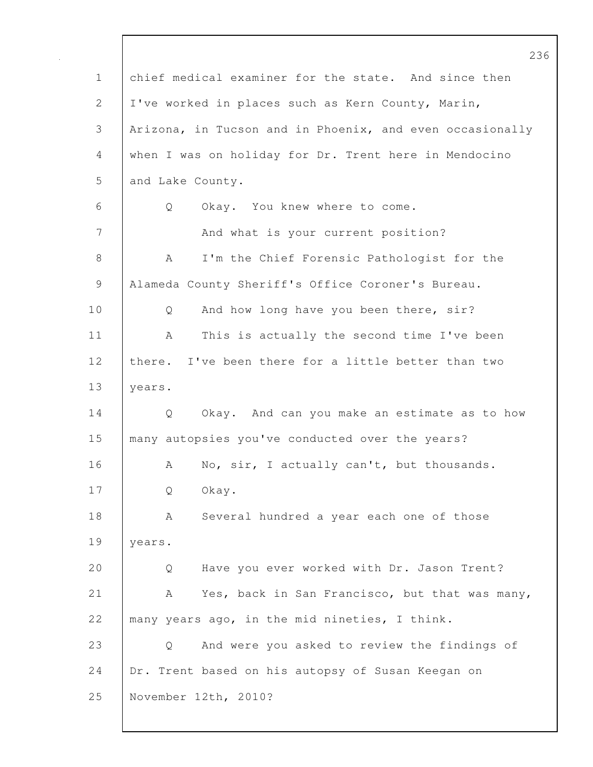|              | 23                                                       |
|--------------|----------------------------------------------------------|
| $\mathbf 1$  | chief medical examiner for the state. And since then     |
| $\mathbf{2}$ | I've worked in places such as Kern County, Marin,        |
| 3            | Arizona, in Tucson and in Phoenix, and even occasionally |
| 4            | when I was on holiday for Dr. Trent here in Mendocino    |
| 5            | and Lake County.                                         |
| 6            | Q<br>Okay. You knew where to come.                       |
| 7            | And what is your current position?                       |
| $8\,$        | I'm the Chief Forensic Pathologist for the<br>A          |
| $\mathsf 9$  | Alameda County Sheriff's Office Coroner's Bureau.        |
| 10           | And how long have you been there, sir?<br>Q              |
| 11           | This is actually the second time I've been<br>A          |
| 12           | I've been there for a little better than two<br>there.   |
| 13           | years.                                                   |
| 14           | Q<br>Okay. And can you make an estimate as to how        |
| 15           | many autopsies you've conducted over the years?          |
| 16           | No, sir, I actually can't, but thousands.<br>A           |
| 17           | Okay.<br>Q                                               |
| 18           | Several hundred a year each one of those<br>А            |
| 19           | years.                                                   |
| 20           | Have you ever worked with Dr. Jason Trent?<br>Q          |
| 21           | Yes, back in San Francisco, but that was many,<br>A      |
| 22           | many years ago, in the mid nineties, I think.            |
| 23           | And were you asked to review the findings of<br>Q        |
| 24           | Dr. Trent based on his autopsy of Susan Keegan on        |
| 25           | November 12th, 2010?                                     |
|              |                                                          |

 $\mathbf l$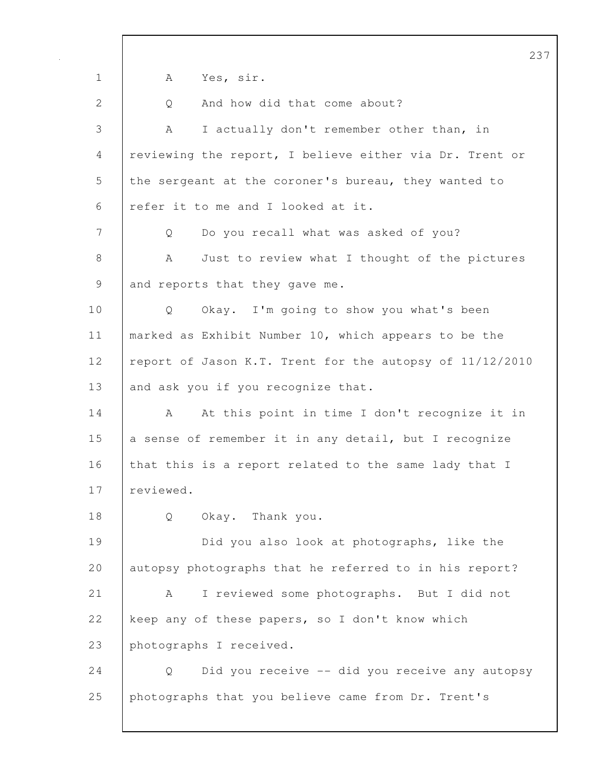237 1 | A Yes, sir. 2 | Q And how did that come about? 3 A I actually don't remember other than, in 4 reviewing the report, I believe either via Dr. Trent or 5 the sergeant at the coroner's bureau, they wanted to 6 refer it to me and I looked at it. 7 Q Do you recall what was asked of you? 8 A Just to review what I thought of the pictures 9 and reports that they gave me. 10 | Q Okay. I'm going to show you what's been 11 | marked as Exhibit Number 10, which appears to be the 12 | report of Jason K.T. Trent for the autopsy of 11/12/2010 13 and ask you if you recognize that. 14 A At this point in time I don't recognize it in 15 a sense of remember it in any detail, but I recognize 16 that this is a report related to the same lady that I 17 | reviewed. 18 Q Okay. Thank you. 19 Did you also look at photographs, like the 20 autopsy photographs that he referred to in his report? 21 A I reviewed some photographs. But I did not 22 keep any of these papers, so I don't know which 23 photographs I received. 24 Q Did you receive -- did you receive any autopsy 25 photographs that you believe came from Dr. Trent's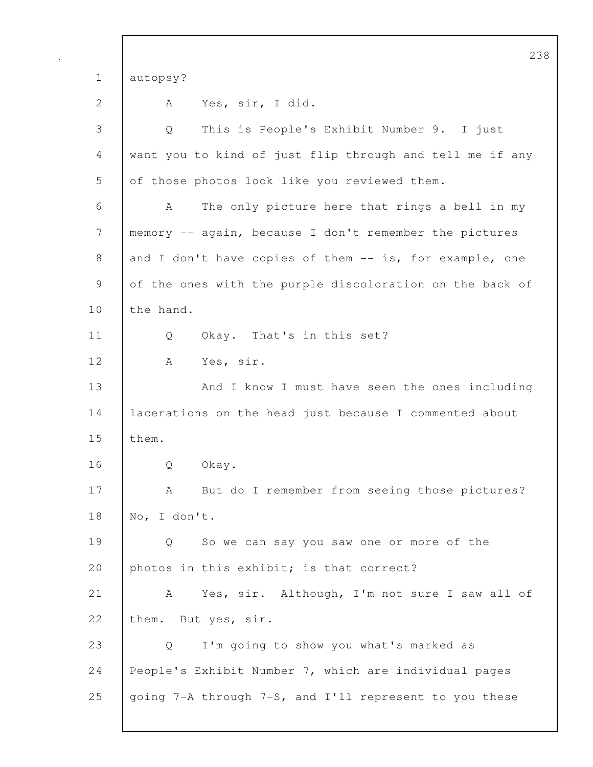238 1 autopsy? 2 A Yes, sir, I did. 3 Q This is People's Exhibit Number 9. I just 4 want you to kind of just flip through and tell me if any 5 of those photos look like you reviewed them. 6 A The only picture here that rings a bell in my 7 memory -- again, because I don't remember the pictures 8 and I don't have copies of them -- is, for example, one 9 of the ones with the purple discoloration on the back of 10 the hand. 11 Q Okay. That's in this set? 12 A Yes, sir. 13 And I know I must have seen the ones including 14 lacerations on the head just because I commented about 15 them. 16 | O Okay. 17 | A But do I remember from seeing those pictures? 18 No, I don't. 19 Q So we can say you saw one or more of the 20 photos in this exhibit; is that correct? 21 | A Yes, sir. Although, I'm not sure I saw all of 22 them. But yes, sir. 23 Q I'm going to show you what's marked as 24 People's Exhibit Number 7, which are individual pages 25  $\frac{1}{25}$  going 7-A through 7-S, and I'll represent to you these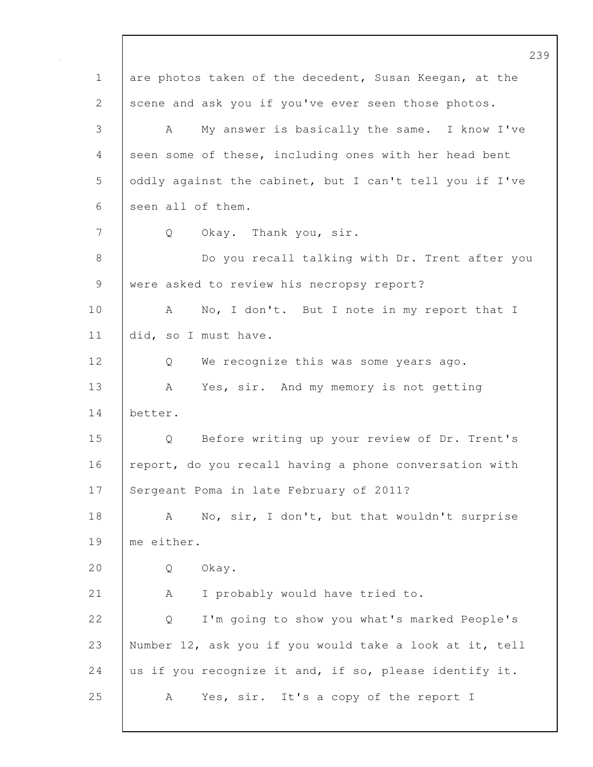239 1 are photos taken of the decedent, Susan Keegan, at the 2 scene and ask you if you've ever seen those photos. 3 A My answer is basically the same. I know I've 4 seen some of these, including ones with her head bent 5 oddly against the cabinet, but I can't tell you if I've 6 seen all of them. 7 | Q Okay. Thank you, sir. 8 Do you recall talking with Dr. Trent after you 9 were asked to review his necropsy report? 10 | A No, I don't. But I note in my report that I 11 did, so I must have. 12 Q We recognize this was some years ago. 13 | A Yes, sir. And my memory is not getting 14 better. 15 Q Before writing up your review of Dr. Trent's 16 report, do you recall having a phone conversation with 17 Sergeant Poma in late February of 2011? 18 | A No, sir, I don't, but that wouldn't surprise 19 me either. 20 | O Okay. 21 | A I probably would have tried to. 22 | Q I'm going to show you what's marked People's 23 Number 12, ask you if you would take a look at it, tell 24 us if you recognize it and, if so, please identify it. 25 A Yes, sir. It's a copy of the report I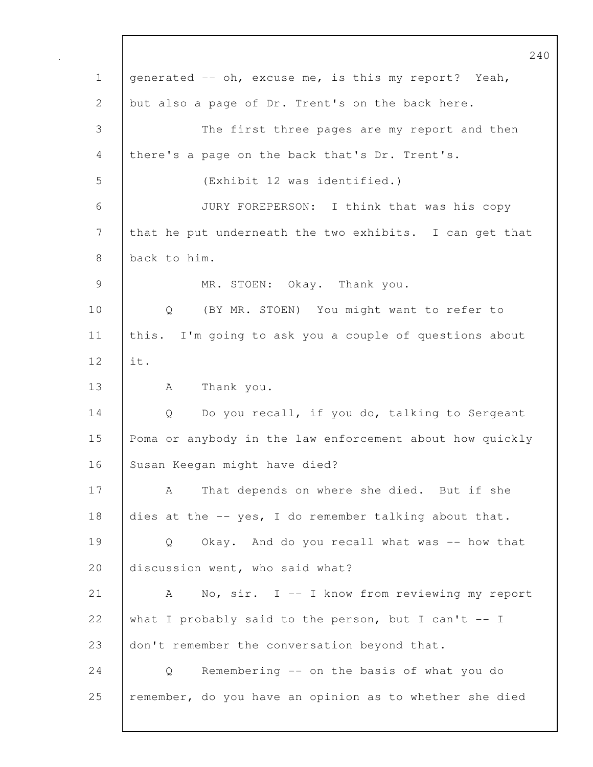240 1 generated -- oh, excuse me, is this my report? Yeah, 2 but also a page of Dr. Trent's on the back here. 3 The first three pages are my report and then 4 there's a page on the back that's Dr. Trent's. 5 (Exhibit 12 was identified.) 6 JURY FOREPERSON: I think that was his copy 7 that he put underneath the two exhibits. I can get that 8 back to him. 9 MR. STOEN: Okay. Thank you. 10 | Q (BY MR. STOEN) You might want to refer to 11 this. I'm going to ask you a couple of questions about 12 it. 13 | A Thank you. 14 Q Do you recall, if you do, talking to Sergeant 15 Poma or anybody in the law enforcement about how quickly 16 Susan Keegan might have died? 17 A That depends on where she died. But if she 18 dies at the -- yes, I do remember talking about that. 19 Q Okay. And do you recall what was -- how that 20 discussion went, who said what? 21 | A No, sir. I -- I know from reviewing my report 22 what I probably said to the person, but I can't  $-1$ 23 don't remember the conversation beyond that. 24 Q Remembering -- on the basis of what you do 25 | remember, do you have an opinion as to whether she died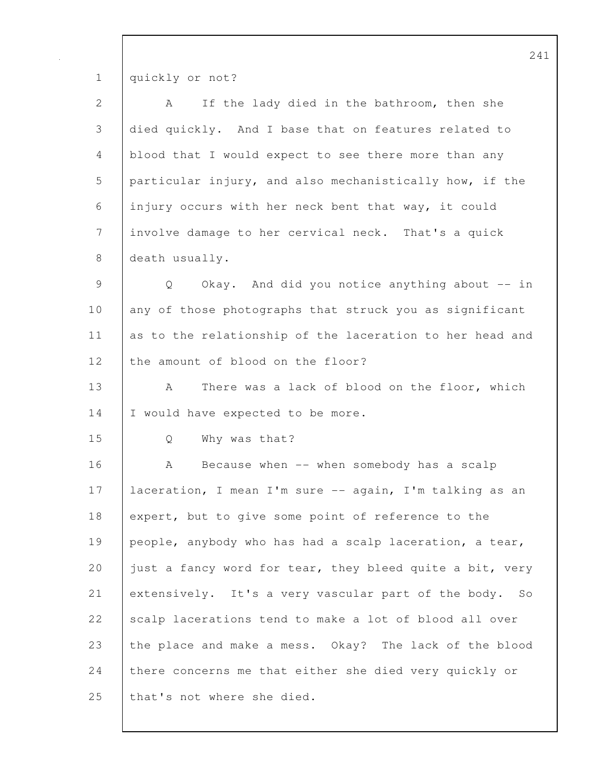1 quickly or not?

| $\overline{2}$ | A If the lady died in the bathroom, then she              |
|----------------|-----------------------------------------------------------|
| $\mathcal{S}$  | died quickly. And I base that on features related to      |
|                | 4 blood that I would expect to see there more than any    |
|                | 5 particular injury, and also mechanistically how, if the |
|                | 6 injury occurs with her neck bent that way, it could     |
|                | 7 involve damage to her cervical neck. That's a quick     |
|                | $8$ death usually.                                        |

9 Q Okay. And did you notice anything about -- in 10 any of those photographs that struck you as significant 11 as to the relationship of the laceration to her head and 12 | the amount of blood on the floor?

13 | A There was a lack of blood on the floor, which 14 I would have expected to be more.

15 Q Why was that?

16 | A Because when -- when somebody has a scalp 17 laceration, I mean I'm sure -- again, I'm talking as an 18 expert, but to give some point of reference to the 19 people, anybody who has had a scalp laceration, a tear, 20 just a fancy word for tear, they bleed quite a bit, very 21 extensively. It's a very vascular part of the body. So 22 scalp lacerations tend to make a lot of blood all over 23 the place and make a mess. Okay? The lack of the blood 24 there concerns me that either she died very quickly or 25 | that's not where she died.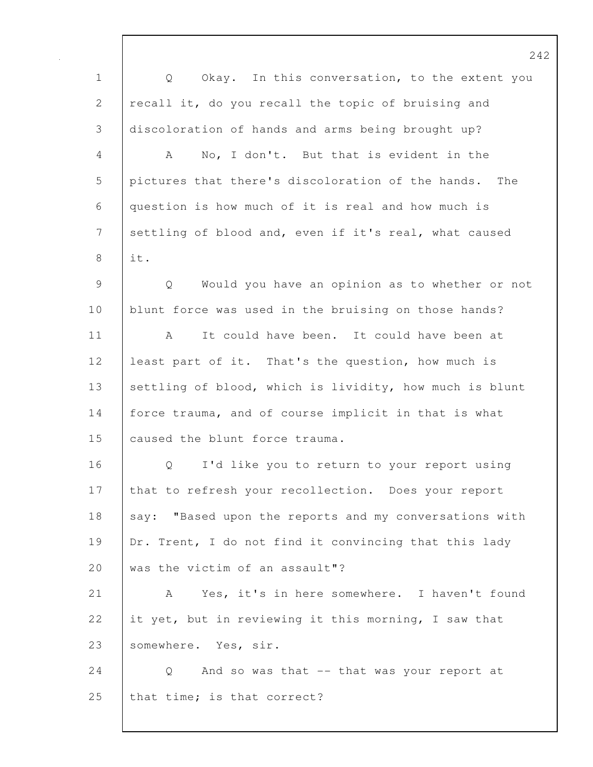242 1 Q Okay. In this conversation, to the extent you 2 recall it, do you recall the topic of bruising and 3 discoloration of hands and arms being brought up? 4 A No, I don't. But that is evident in the 5 pictures that there's discoloration of the hands. The 6 question is how much of it is real and how much is 7 settling of blood and, even if it's real, what caused  $8$  it. 9 Q Would you have an opinion as to whether or not 10 blunt force was used in the bruising on those hands? 11 A It could have been. It could have been at 12 least part of it. That's the question, how much is 13 settling of blood, which is lividity, how much is blunt 14 | force trauma, and of course implicit in that is what 15 caused the blunt force trauma. 16 | O I'd like you to return to your report using 17 that to refresh your recollection. Does your report 18 say: "Based upon the reports and my conversations with 19 | Dr. Trent, I do not find it convincing that this lady 20 was the victim of an assault"? 21 | A Yes, it's in here somewhere. I haven't found 22 it yet, but in reviewing it this morning, I saw that 23 | somewhere. Yes, sir. 24 Q And so was that -- that was your report at 25 | that time; is that correct?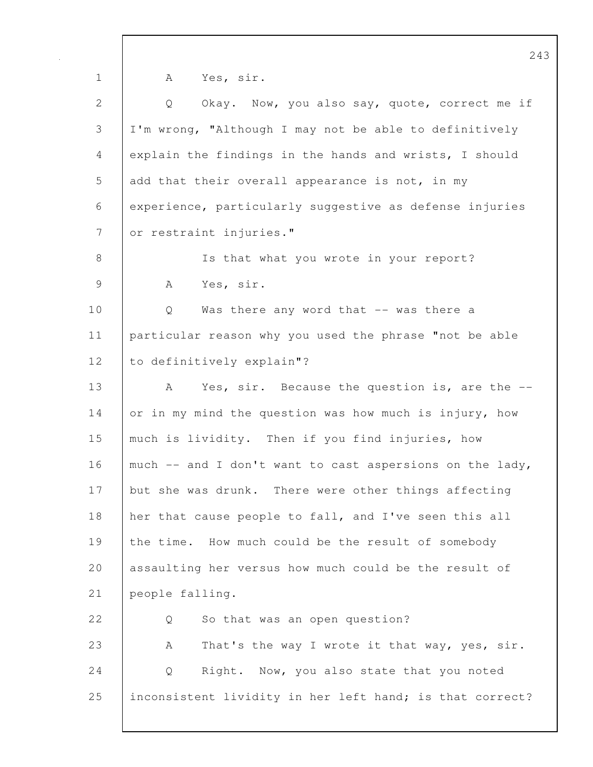243 1 | A Yes, sir. 2 Q Okay. Now, you also say, quote, correct me if 3 I'm wrong, "Although I may not be able to definitively 4 explain the findings in the hands and wrists, I should 5 add that their overall appearance is not, in my 6 experience, particularly suggestive as defense injuries 7 or restraint injuries." 8 | Is that what you wrote in your report? 9 | A Yes, sir. 10 | Q Was there any word that -- was there a 11 particular reason why you used the phrase "not be able 12 | to definitively explain"? 13 A Yes, sir. Because the question is, are the --14 or in my mind the question was how much is injury, how 15 much is lividity. Then if you find injuries, how 16 | much  $-$  and I don't want to cast aspersions on the lady, 17 but she was drunk. There were other things affecting 18 her that cause people to fall, and I've seen this all 19 the time. How much could be the result of somebody 20 assaulting her versus how much could be the result of 21 people falling. 22 |  $\overline{O}$  So that was an open question? 23 A That's the way I wrote it that way, yes, sir. 24 Q Right. Now, you also state that you noted 25 inconsistent lividity in her left hand; is that correct?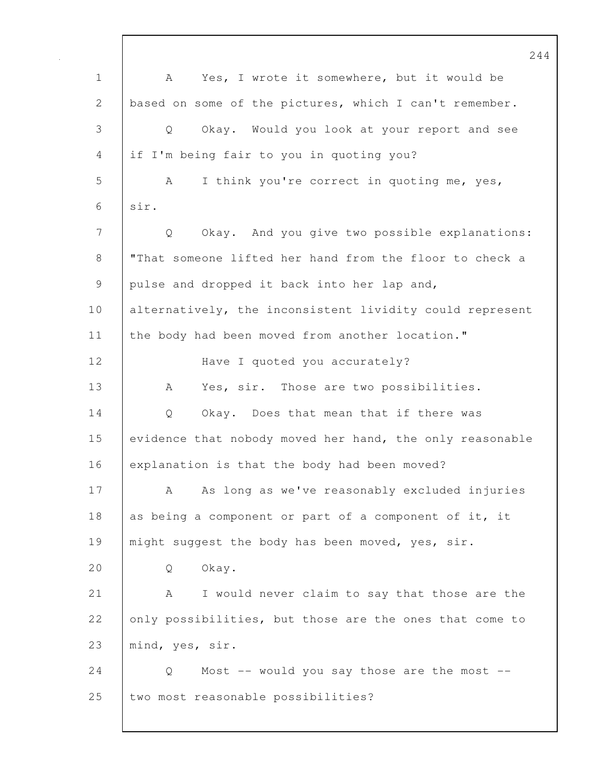244 1 A Yes, I wrote it somewhere, but it would be 2 based on some of the pictures, which I can't remember. 3 Q Okay. Would you look at your report and see 4 if I'm being fair to you in quoting you? 5 A I think you're correct in quoting me, yes, 6 sir. 7 Q Okay. And you give two possible explanations: 8 "That someone lifted her hand from the floor to check a 9 pulse and dropped it back into her lap and, 10 alternatively, the inconsistent lividity could represent 11 the body had been moved from another location." 12 | Have I quoted you accurately? 13 | A Yes, sir. Those are two possibilities. 14 Q Okay. Does that mean that if there was 15 evidence that nobody moved her hand, the only reasonable 16 explanation is that the body had been moved? 17 A As long as we've reasonably excluded injuries 18 as being a component or part of a component of it, it 19 | might suggest the body has been moved, yes, sir. 20 | O Okay. 21 | A I would never claim to say that those are the 22 only possibilities, but those are the ones that come to 23 mind, yes, sir. 24 | Q Most -- would you say those are the most --25 | two most reasonable possibilities?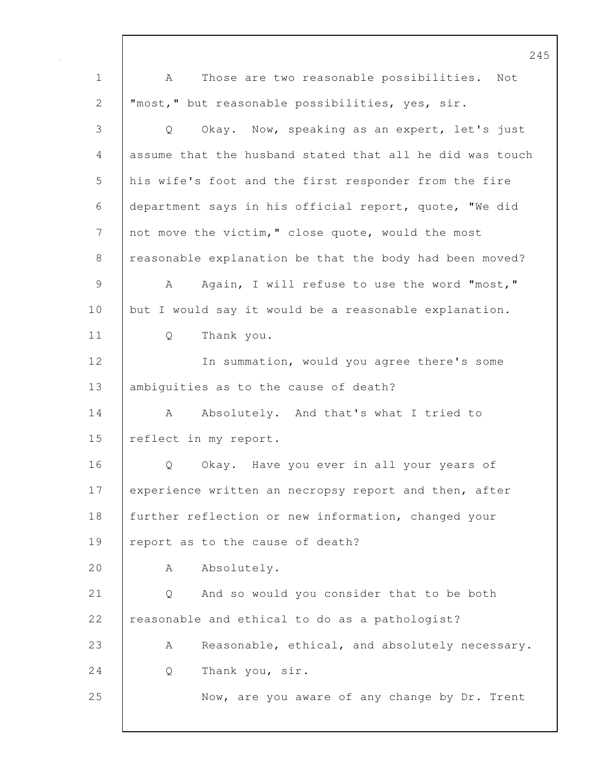245 1 A Those are two reasonable possibilities. Not 2 "most," but reasonable possibilities, yes, sir. 3 Q Okay. Now, speaking as an expert, let's just 4 assume that the husband stated that all he did was touch 5 his wife's foot and the first responder from the fire 6 department says in his official report, quote, "We did 7 not move the victim," close quote, would the most 8 | reasonable explanation be that the body had been moved? 9 A Again, I will refuse to use the word "most," 10 but I would say it would be a reasonable explanation. 11 Q Thank you. 12 In summation, would you agree there's some 13 | ambiguities as to the cause of death? 14 A Absolutely. And that's what I tried to 15 | reflect in my report. 16 | O Okay. Have you ever in all your years of 17 experience written an necropsy report and then, after 18 further reflection or new information, changed your 19 | report as to the cause of death? 20 A Absolutely. 21 Q And so would you consider that to be both 22 reasonable and ethical to do as a pathologist? 23 A Reasonable, ethical, and absolutely necessary. 24 | Q Thank you, sir. 25 Now, are you aware of any change by Dr. Trent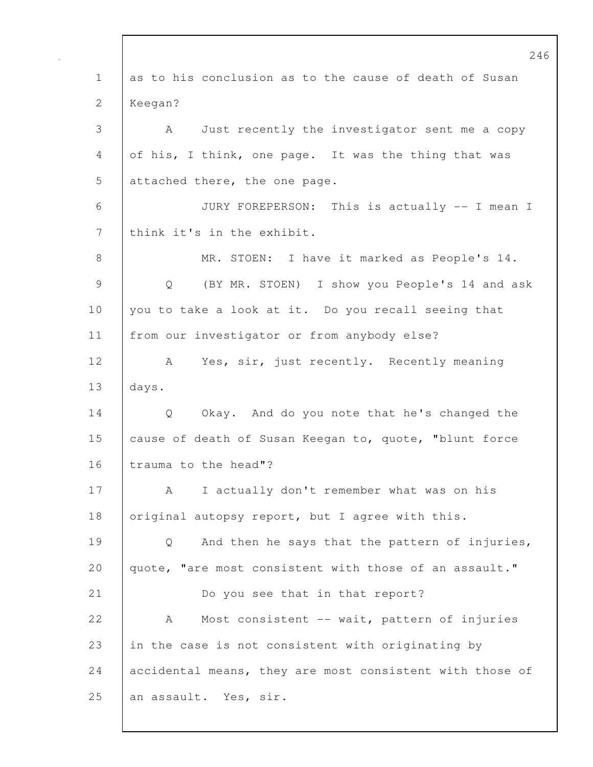246 1 as to his conclusion as to the cause of death of Susan 2 Keegan? 3 A Just recently the investigator sent me a copy 4 of his, I think, one page. It was the thing that was 5 attached there, the one page. 6 JURY FOREPERSON: This is actually -- I mean I 7 | think it's in the exhibit. 8 | MR. STOEN: I have it marked as People's 14. 9 Q (BY MR. STOEN) I show you People's 14 and ask 10 | you to take a look at it. Do you recall seeing that 11 from our investigator or from anybody else? 12 | A Yes, sir, just recently. Recently meaning 13 days. 14 Q Okay. And do you note that he's changed the 15 cause of death of Susan Keegan to, quote, "blunt force 16 | trauma to the head"? 17 | A I actually don't remember what was on his 18 | original autopsy report, but I agree with this. 19 Q And then he says that the pattern of injuries, 20 | quote, "are most consistent with those of an assault." 21 Do you see that in that report? 22 A Most consistent -- wait, pattern of injuries 23 in the case is not consistent with originating by 24 accidental means, they are most consistent with those of 25 an assault. Yes, sir.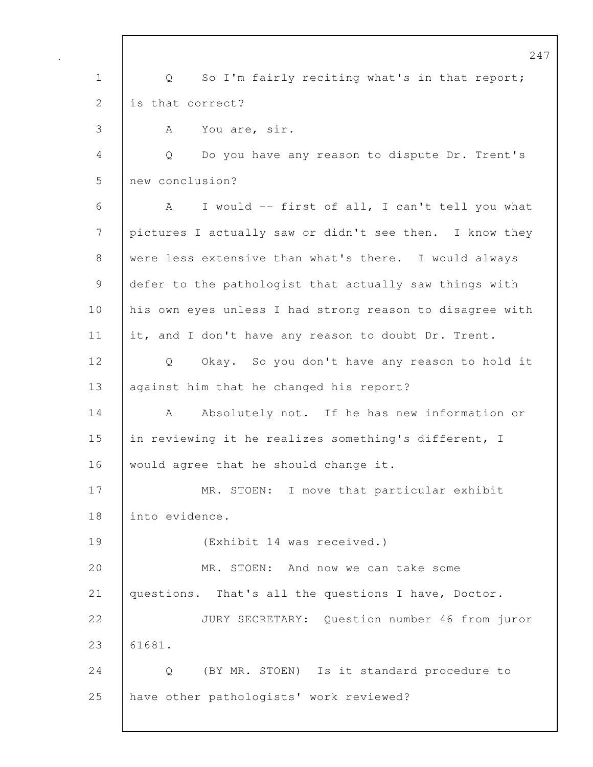247 1 | Q So I'm fairly reciting what's in that report; 2 **is that correct?** 3 A You are, sir. 4 Q Do you have any reason to dispute Dr. Trent's 5 new conclusion? 6 A I would -- first of all, I can't tell you what 7 pictures I actually saw or didn't see then. I know they 8 were less extensive than what's there. I would always 9 defer to the pathologist that actually saw things with 10 | his own eyes unless I had strong reason to disagree with 11 it, and I don't have any reason to doubt Dr. Trent. 12 Q Okay. So you don't have any reason to hold it 13 against him that he changed his report? 14 A Absolutely not. If he has new information or 15 in reviewing it he realizes something's different, I 16 would agree that he should change it. 17 | MR. STOEN: I move that particular exhibit 18 into evidence. 19 (Exhibit 14 was received.) 20 MR. STOEN: And now we can take some 21 questions. That's all the questions I have, Doctor. 22 JURY SECRETARY: Question number 46 from juror 23 61681. 24 Q (BY MR. STOEN) Is it standard procedure to 25 have other pathologists' work reviewed?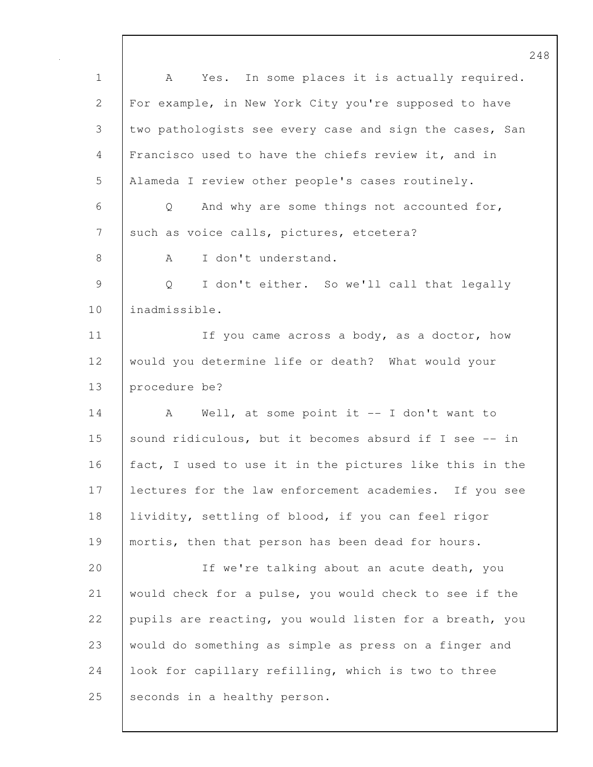248 1 A Yes. In some places it is actually required. 2 For example, in New York City you're supposed to have 3 two pathologists see every case and sign the cases, San 4 Francisco used to have the chiefs review it, and in 5 Alameda I review other people's cases routinely. 6 Q And why are some things not accounted for, 7 such as voice calls, pictures, etcetera? 8 A I don't understand. 9 Q I don't either. So we'll call that legally 10 inadmissible. 11 | If you came across a body, as a doctor, how 12 would you determine life or death? What would your 13 procedure be? 14 | A Well, at some point it -- I don't want to 15 sound ridiculous, but it becomes absurd if I see -- in 16 fact, I used to use it in the pictures like this in the 17 lectures for the law enforcement academies. If you see 18 lividity, settling of blood, if you can feel rigor 19 | mortis, then that person has been dead for hours. 20 If we're talking about an acute death, you 21 would check for a pulse, you would check to see if the 22 pupils are reacting, you would listen for a breath, you 23 would do something as simple as press on a finger and 24 | look for capillary refilling, which is two to three 25 seconds in a healthy person.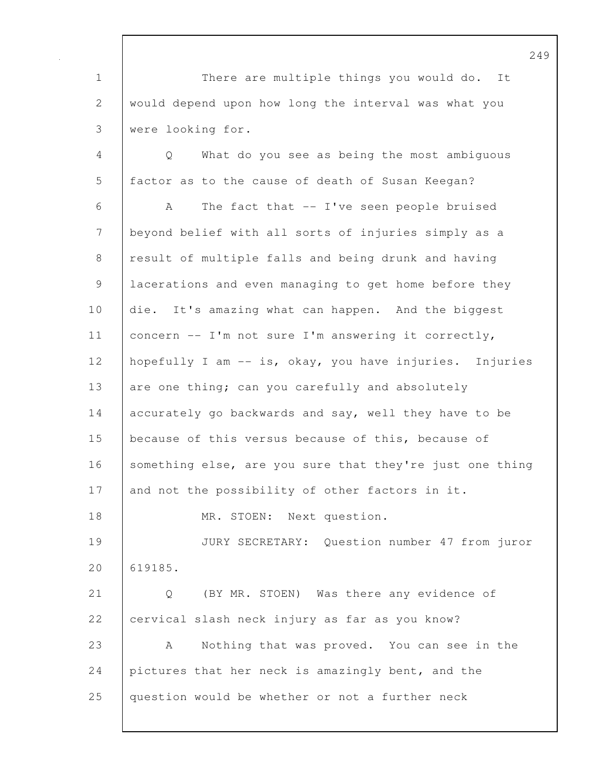1 There are multiple things you would do. It 2 would depend upon how long the interval was what you 3 were looking for.

4 Q What do you see as being the most ambiguous 5 factor as to the cause of death of Susan Keegan? 6 A The fact that -- I've seen people bruised 7 beyond belief with all sorts of injuries simply as a 8 | result of multiple falls and being drunk and having 9 | lacerations and even managing to get home before they 10 die. It's amazing what can happen. And the biggest 11 concern -- I'm not sure I'm answering it correctly, 12 hopefully I am -- is, okay, you have injuries. Injuries 13 are one thing; can you carefully and absolutely 14 accurately go backwards and say, well they have to be 15 because of this versus because of this, because of 16 Something else, are you sure that they're just one thing 17 and not the possibility of other factors in it. 18 | MR. STOEN: Next question. 19 JURY SECRETARY: Question number 47 from juror 20 619185. 21 Q (BY MR. STOEN) Was there any evidence of 22 cervical slash neck injury as far as you know? 23 A Nothing that was proved. You can see in the 24 pictures that her neck is amazingly bent, and the

25 question would be whether or not a further neck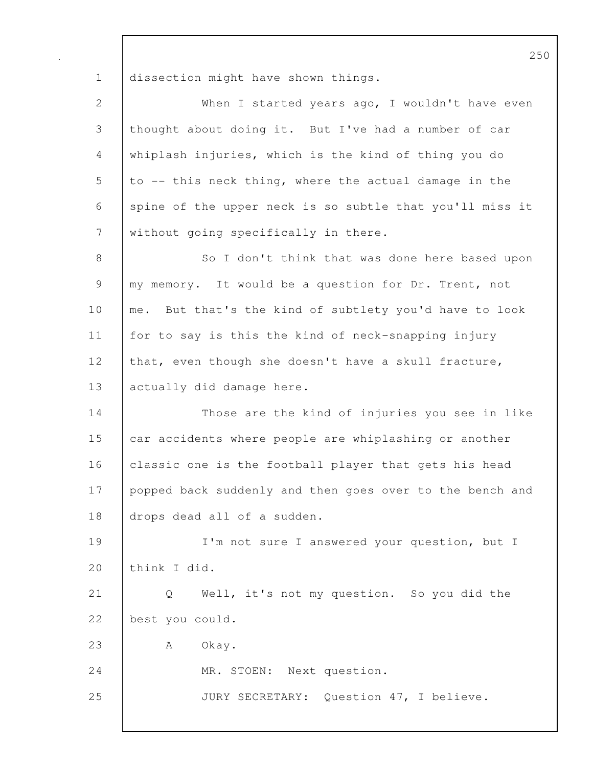1 dissection might have shown things.

| $\mathbf{2}$    | When I started years ago, I wouldn't have even           |
|-----------------|----------------------------------------------------------|
| $\mathfrak{Z}$  | thought about doing it. But I've had a number of car     |
| $\overline{4}$  | whiplash injuries, which is the kind of thing you do     |
| 5               | to -- this neck thing, where the actual damage in the    |
| 6               | spine of the upper neck is so subtle that you'll miss it |
| $7\phantom{.0}$ | without going specifically in there.                     |
| $\,8\,$         | So I don't think that was done here based upon           |
| $\mathsf 9$     | my memory. It would be a question for Dr. Trent, not     |
| 10              | me. But that's the kind of subtlety you'd have to look   |
| 11              | for to say is this the kind of neck-snapping injury      |
| 12              | that, even though she doesn't have a skull fracture,     |
| 13              | actually did damage here.                                |
| 14              | Those are the kind of injuries you see in like           |
| 15              | car accidents where people are whiplashing or another    |
| 16              | classic one is the football player that gets his head    |
| 17              | popped back suddenly and then goes over to the bench and |
| 18              | drops dead all of a sudden.                              |
| 19              | I'm not sure I answered your question, but I             |
| 20              | think I did.                                             |
| 21              | Well, it's not my question. So you did the<br>Q          |
| 22              | best you could.                                          |
| 23              | A<br>Okay.                                               |
| 24              | MR. STOEN: Next question.                                |
| 25              | JURY SECRETARY: Question 47, I believe.                  |
|                 |                                                          |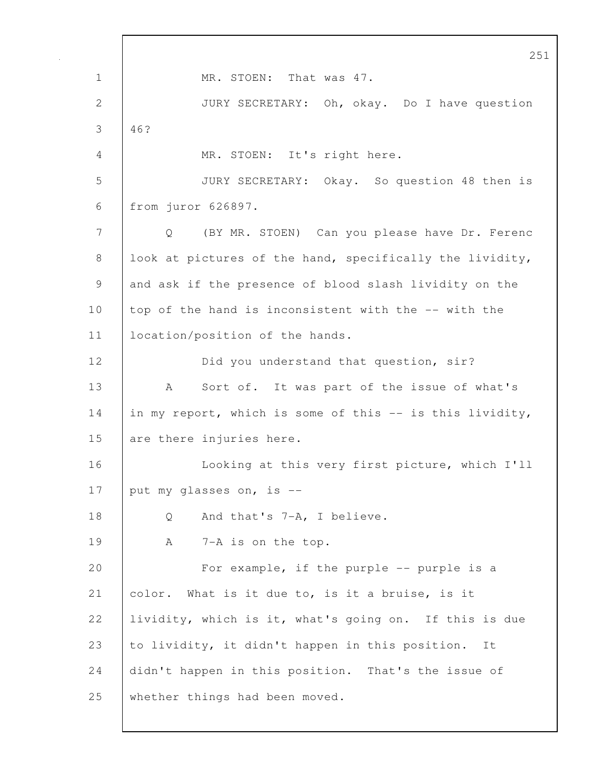251 1 MR. STOEN: That was 47. 2 JURY SECRETARY: Oh, okay. Do I have question 3 46? 4 MR. STOEN: It's right here. 5 JURY SECRETARY: Okay. So question 48 then is 6 from juror 626897. 7 Q (BY MR. STOEN) Can you please have Dr. Ferenc 8 | look at pictures of the hand, specifically the lividity, 9 and ask if the presence of blood slash lividity on the 10 top of the hand is inconsistent with the -- with the 11 | location/position of the hands. 12 Did you understand that question, sir? 13 | A Sort of. It was part of the issue of what's 14 in my report, which is some of this -- is this lividity, 15 are there injuries here. 16 **Looking at this very first picture, which I'll** 17  $\vert$  put my glasses on, is --18 Q And that's 7-A, I believe. 19 | A 7-A is on the top. 20 | For example, if the purple -- purple is a 21 color. What is it due to, is it a bruise, is it 22 lividity, which is it, what's going on. If this is due 23 to lividity, it didn't happen in this position. It 24 didn't happen in this position. That's the issue of 25 whether things had been moved.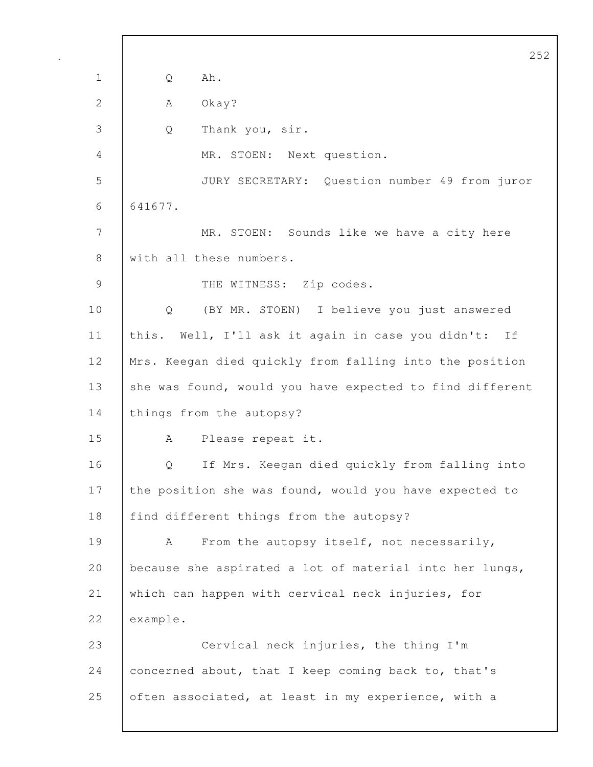252 1 Q Ah. 2 | A Okay? 3 Q Thank you, sir. 4 MR. STOEN: Next question. 5 JURY SECRETARY: Question number 49 from juror 6 641677. 7 MR. STOEN: Sounds like we have a city here 8 with all these numbers. 9 THE WITNESS: Zip codes. 10 Q (BY MR. STOEN) I believe you just answered 11 | this. Well, I'll ask it again in case you didn't: If 12 Mrs. Keegan died quickly from falling into the position 13 she was found, would you have expected to find different 14 | things from the autopsy? 15 A Please repeat it. 16 Q If Mrs. Keegan died quickly from falling into 17 the position she was found, would you have expected to 18 | find different things from the autopsy? 19 | A From the autopsy itself, not necessarily, 20 | because she aspirated a lot of material into her lungs, 21 which can happen with cervical neck injuries, for 22 example. 23 Cervical neck injuries, the thing I'm 24 concerned about, that I keep coming back to, that's 25 often associated, at least in my experience, with a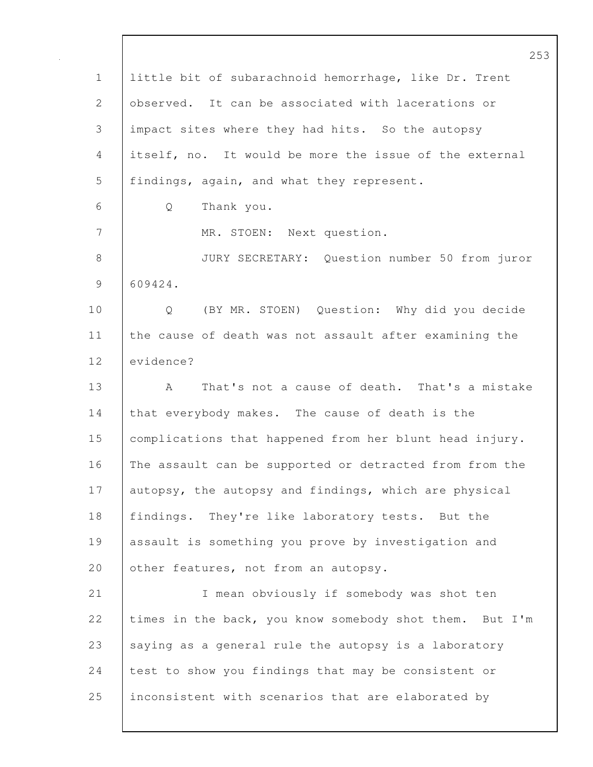253 1 little bit of subarachnoid hemorrhage, like Dr. Trent 2 observed. It can be associated with lacerations or 3 impact sites where they had hits. So the autopsy 4 itself, no. It would be more the issue of the external 5 | findings, again, and what they represent. 6 Q Thank you. 7 MR. STOEN: Next question. 8 JURY SECRETARY: Question number 50 from juror 9 609424. 10 Q (BY MR. STOEN) Question: Why did you decide 11 the cause of death was not assault after examining the 12 evidence? 13 | A That's not a cause of death. That's a mistake 14 that everybody makes. The cause of death is the 15 complications that happened from her blunt head injury. 16 The assault can be supported or detracted from from the 17 autopsy, the autopsy and findings, which are physical 18 findings. They're like laboratory tests. But the 19 assault is something you prove by investigation and 20 other features, not from an autopsy. 21 I mean obviously if somebody was shot ten 22 times in the back, you know somebody shot them. But I'm 23 saying as a general rule the autopsy is a laboratory 24 test to show you findings that may be consistent or 25 inconsistent with scenarios that are elaborated by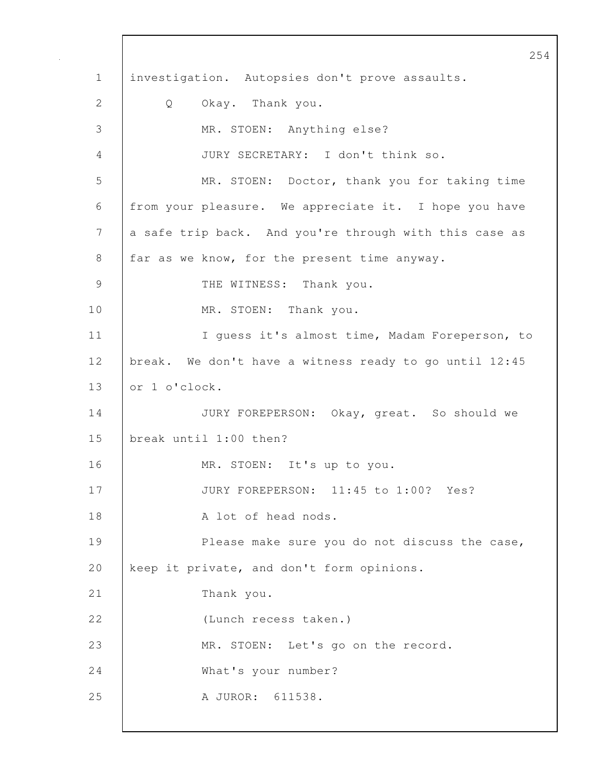254 1 investigation. Autopsies don't prove assaults. 2 Q Okay. Thank you. 3 MR. STOEN: Anything else? 4 JURY SECRETARY: I don't think so. 5 MR. STOEN: Doctor, thank you for taking time 6 from your pleasure. We appreciate it. I hope you have 7 a safe trip back. And you're through with this case as 8 far as we know, for the present time anyway. 9 THE WITNESS: Thank you. 10 MR. STOEN: Thank you. 11 | I guess it's almost time, Madam Foreperson, to 12 break. We don't have a witness ready to go until 12:45 13 or 1 o'clock. 14 JURY FOREPERSON: Okay, great. So should we 15 break until 1:00 then? 16 MR. STOEN: It's up to you. 17 JURY FOREPERSON: 11:45 to 1:00? Yes? 18 | A lot of head nods. 19 Please make sure you do not discuss the case, 20 keep it private, and don't form opinions. 21 Thank you. 22 (Lunch recess taken.) 23 MR. STOEN: Let's go on the record. 24 What's your number? 25 A JUROR: 611538.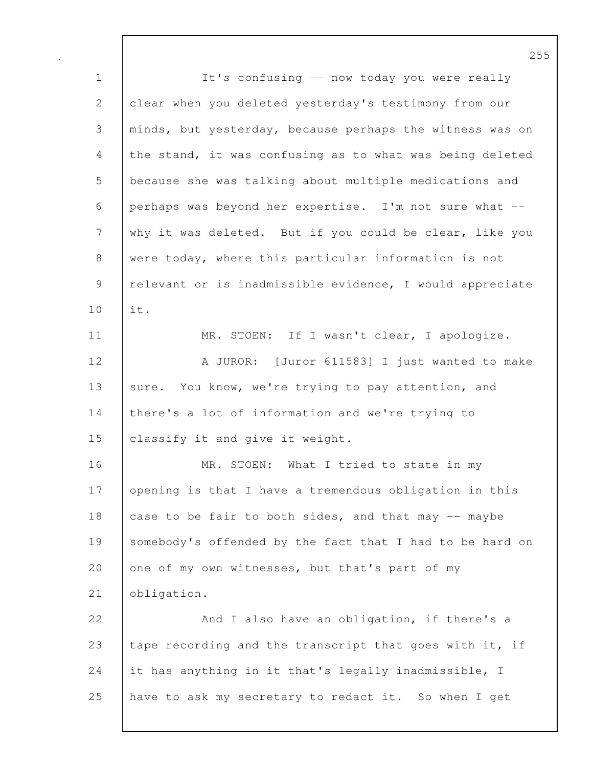1 | It's confusing -- now today you were really 2 clear when you deleted yesterday's testimony from our 3 minds, but yesterday, because perhaps the witness was on 4 the stand, it was confusing as to what was being deleted 5 because she was talking about multiple medications and 6 perhaps was beyond her expertise. I'm not sure what -- 7 why it was deleted. But if you could be clear, like you 8 were today, where this particular information is not 9 | relevant or is inadmissible evidence, I would appreciate 10 it. 11 | MR. STOEN: If I wasn't clear, I apologize. 12 A JUROR: [Juror 611583] I just wanted to make 13 sure. You know, we're trying to pay attention, and 14 | there's a lot of information and we're trying to 15 **classify it and give it weight.** 16 | MR. STOEN: What I tried to state in my 17 opening is that I have a tremendous obligation in this 18 case to be fair to both sides, and that may  $-$  maybe 19 Somebody's offended by the fact that I had to be hard on 20 one of my own witnesses, but that's part of my 21 obligation. 22 And I also have an obligation, if there's a 23 tape recording and the transcript that goes with it, if 24 it has anything in it that's legally inadmissible, I 25 have to ask my secretary to redact it. So when I get

255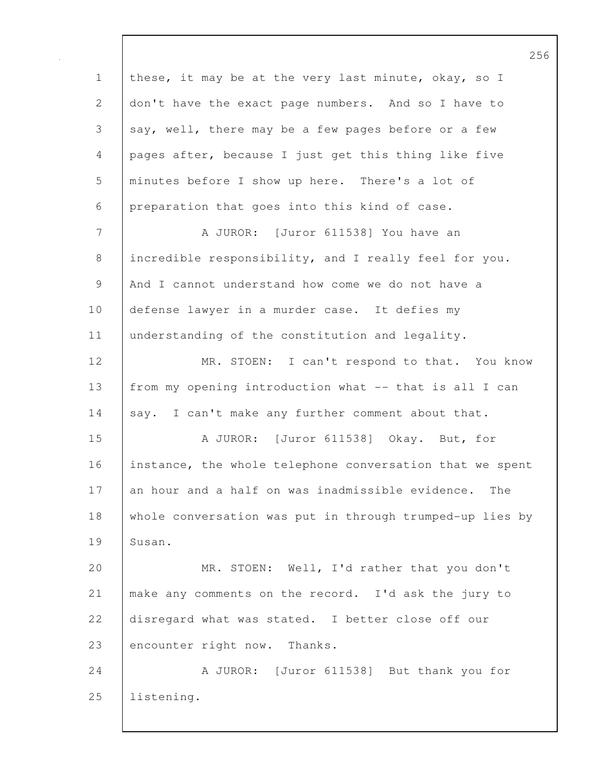1 these, it may be at the very last minute, okay, so I 2 don't have the exact page numbers. And so I have to 3 say, well, there may be a few pages before or a few 4 pages after, because I just get this thing like five 5 minutes before I show up here. There's a lot of 6 preparation that goes into this kind of case. 7 | A JUROR: [Juror 611538] You have an 8 incredible responsibility, and I really feel for you. 9 And I cannot understand how come we do not have a 10 defense lawyer in a murder case. It defies my 11 understanding of the constitution and legality. 12 MR. STOEN: I can't respond to that. You know 13 from my opening introduction what -- that is all I can 14 say. I can't make any further comment about that. 15 A JUROR: [Juror 611538] Okay. But, for 16 instance, the whole telephone conversation that we spent 17 an hour and a half on was inadmissible evidence. The 18 whole conversation was put in through trumped-up lies by 19 Susan. 20 | MR. STOEN: Well, I'd rather that you don't 21 make any comments on the record. I'd ask the jury to 22 disregard what was stated. I better close off our 23 encounter right now. Thanks. 24 A JUROR: [Juror 611538] But thank you for 25 listening.

256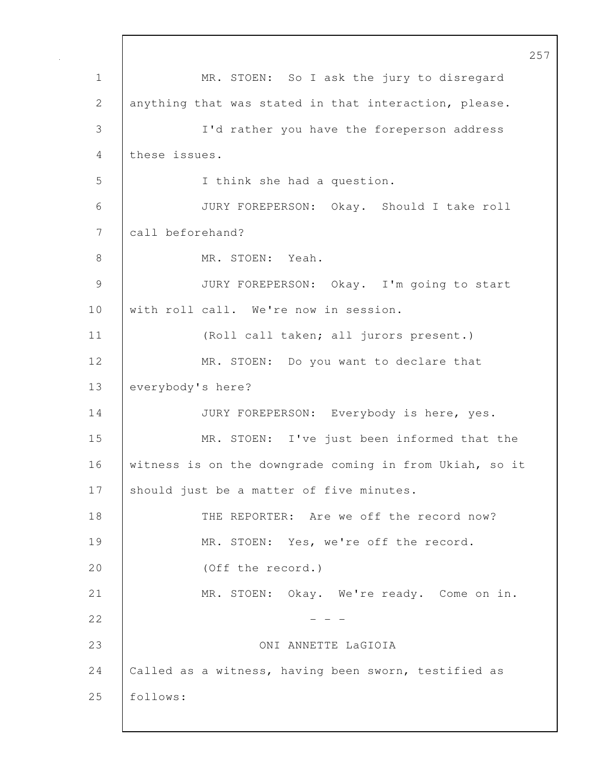257 1 | MR. STOEN: So I ask the jury to disregard 2 anything that was stated in that interaction, please. 3 I'd rather you have the foreperson address 4 these issues. 5 I think she had a question. 6 JURY FOREPERSON: Okay. Should I take roll 7 call beforehand? 8 MR. STOEN: Yeah. 9 JURY FOREPERSON: Okay. I'm going to start 10 with roll call. We're now in session. 11 (Roll call taken; all jurors present.) 12 MR. STOEN: Do you want to declare that 13 everybody's here? 14 JURY FOREPERSON: Everybody is here, yes. 15 MR. STOEN: I've just been informed that the 16 witness is on the downgrade coming in from Ukiah, so it 17 Should just be a matter of five minutes. 18 THE REPORTER: Are we off the record now? 19 MR. STOEN: Yes, we're off the record. 20 (Off the record.) 21 | MR. STOEN: Okay. We're ready. Come on in.  $22$  - - -23 ONI ANNETTE LaGIOIA 24 | Called as a witness, having been sworn, testified as 25 follows: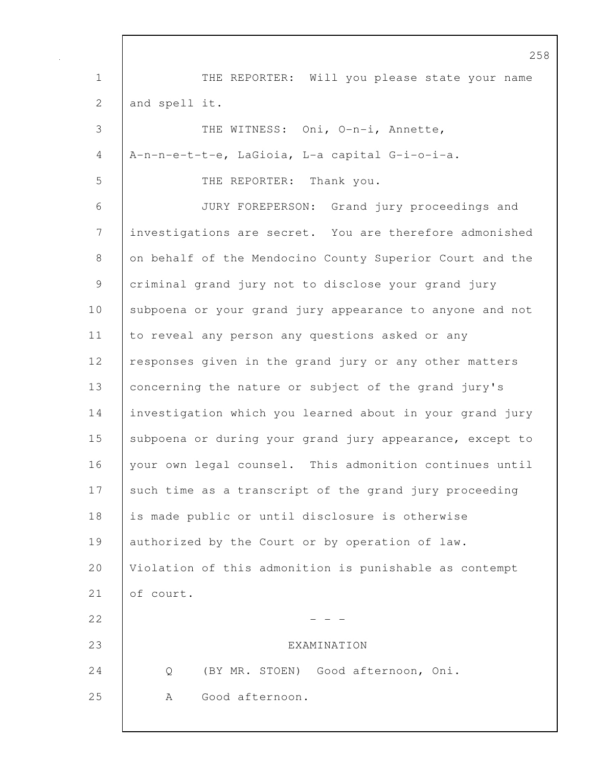258 1 THE REPORTER: Will you please state your name 2 and spell it. 3 THE WITNESS: Oni, O-n-i, Annette, 4 A-n-n-e-t-t-e, LaGioia, L-a capital G-i-o-i-a. 5 THE REPORTER: Thank you. 6 JURY FOREPERSON: Grand jury proceedings and 7 investigations are secret. You are therefore admonished 8 on behalf of the Mendocino County Superior Court and the 9 criminal grand jury not to disclose your grand jury 10 Subpoena or your grand jury appearance to anyone and not 11 to reveal any person any questions asked or any 12 | responses given in the grand jury or any other matters 13 concerning the nature or subject of the grand jury's 14 investigation which you learned about in your grand jury 15 | subpoena or during your grand jury appearance, except to 16 your own legal counsel. This admonition continues until 17 such time as a transcript of the grand jury proceeding 18 is made public or until disclosure is otherwise 19 authorized by the Court or by operation of law. 20 Violation of this admonition is punishable as contempt 21 of court.  $22$  - - -23 EXAMINATION 24 Q (BY MR. STOEN) Good afternoon, Oni. 25 | A Good afternoon.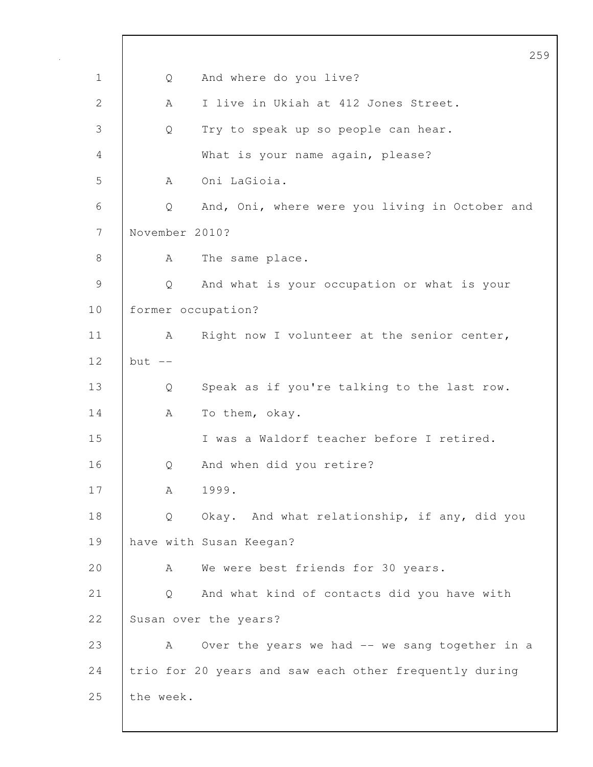|               |                    | 25                                                     |
|---------------|--------------------|--------------------------------------------------------|
| $\mathbf 1$   | Q                  | And where do you live?                                 |
| 2             | A                  | I live in Ukiah at 412 Jones Street.                   |
| 3             | Q                  | Try to speak up so people can hear.                    |
| 4             |                    | What is your name again, please?                       |
| 5             | A                  | Oni LaGioia.                                           |
| 6             | Q                  | And, Oni, where were you living in October and         |
| 7             | November 2010?     |                                                        |
| $8\,$         | A                  | The same place.                                        |
| $\mathcal{G}$ | Q                  | And what is your occupation or what is your            |
| 10            | former occupation? |                                                        |
| 11            | А                  | Right now I volunteer at the senior center,            |
| 12            | $but --$           |                                                        |
| 13            | Q                  | Speak as if you're talking to the last row.            |
| 14            | A                  | To them, okay.                                         |
| 15            |                    | I was a Waldorf teacher before I retired.              |
| 16            | Q                  | And when did you retire?                               |
| 17            | А                  | 1999.                                                  |
| 18            | Q                  | Okay. And what relationship, if any, did you           |
| 19            |                    | have with Susan Keegan?                                |
| 20            | A                  | We were best friends for 30 years.                     |
| 21            | Q                  | And what kind of contacts did you have with            |
| 22            |                    | Susan over the years?                                  |
| 23            | A                  | Over the years we had -- we sang together in a         |
| 24            |                    | trio for 20 years and saw each other frequently during |
| 25            | the week.          |                                                        |
|               |                    |                                                        |

259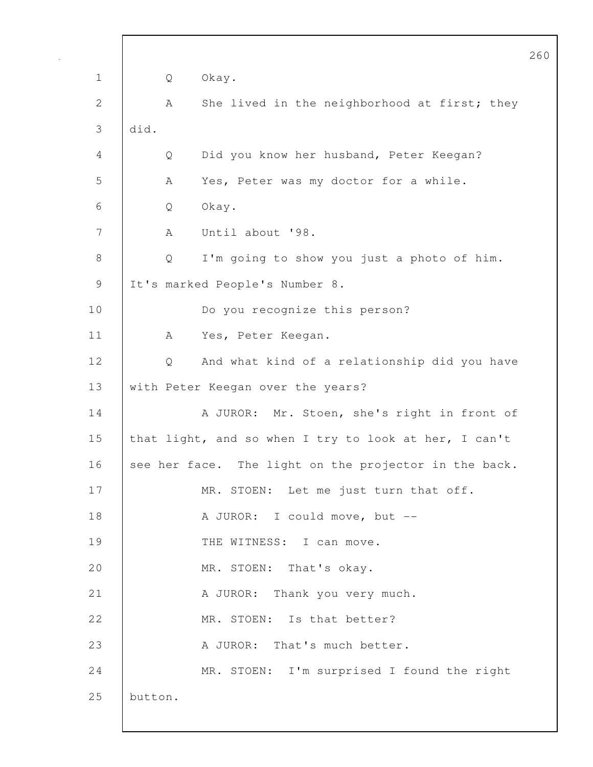|              |         |   |                                                       | 260 |
|--------------|---------|---|-------------------------------------------------------|-----|
| $\mathbf 1$  |         | Q | Okay.                                                 |     |
| $\mathbf{2}$ |         | Α | She lived in the neighborhood at first; they          |     |
| 3            | did.    |   |                                                       |     |
| 4            |         | Q | Did you know her husband, Peter Keegan?               |     |
| 5            |         | A | Yes, Peter was my doctor for a while.                 |     |
| 6            |         | Q | Okay.                                                 |     |
| 7            |         | A | Until about '98.                                      |     |
| $8\,$        |         | Q | I'm going to show you just a photo of him.            |     |
| 9            |         |   | It's marked People's Number 8.                        |     |
| 10           |         |   | Do you recognize this person?                         |     |
| 11           |         | A | Yes, Peter Keegan.                                    |     |
| 12           |         | Q | And what kind of a relationship did you have          |     |
| 13           |         |   | with Peter Keegan over the years?                     |     |
| 14           |         |   | A JUROR: Mr. Stoen, she's right in front of           |     |
| 15           |         |   | that light, and so when I try to look at her, I can't |     |
| 16           |         |   | see her face. The light on the projector in the back. |     |
| 17           |         |   | MR. STOEN: Let me just turn that off.                 |     |
| 18           |         |   | A JUROR: I could move, but --                         |     |
| 19           |         |   | THE WITNESS: I can move.                              |     |
| 20           |         |   | MR. STOEN: That's okay.                               |     |
| 21           |         |   | A JUROR: Thank you very much.                         |     |
| 22           |         |   | MR. STOEN: Is that better?                            |     |
| 23           |         |   | A JUROR: That's much better.                          |     |
| 24           |         |   | MR. STOEN: I'm surprised I found the right            |     |
| 25           | button. |   |                                                       |     |
|              |         |   |                                                       |     |

 $\mathsf{l}$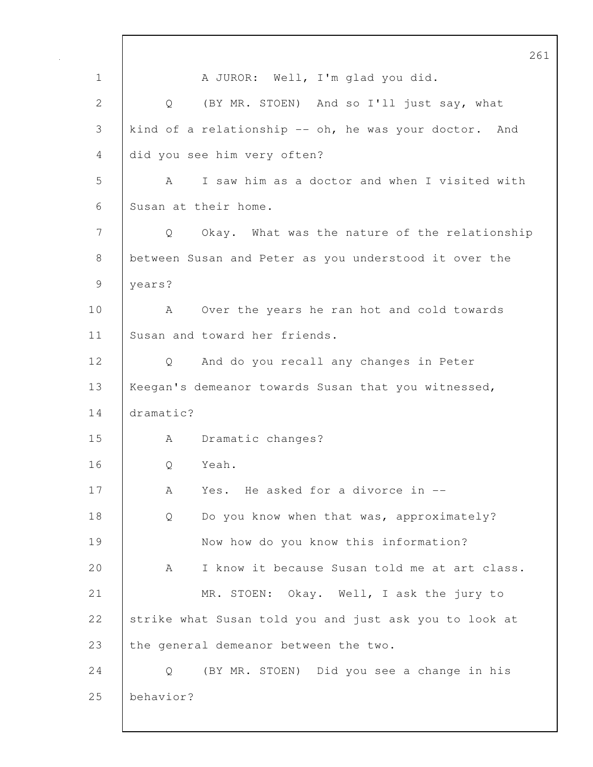|              | 261                                                    |
|--------------|--------------------------------------------------------|
| $\mathbf 1$  | A JUROR: Well, I'm glad you did.                       |
| $\mathbf{2}$ | (BY MR. STOEN) And so I'll just say, what<br>Q         |
| 3            | kind of a relationship -- oh, he was your doctor. And  |
| 4            | did you see him very often?                            |
| 5            | I saw him as a doctor and when I visited with<br>A     |
| 6            | Susan at their home.                                   |
| 7            | Okay. What was the nature of the relationship<br>Q     |
| $8\,$        | between Susan and Peter as you understood it over the  |
| 9            | years?                                                 |
| 10           | Over the years he ran hot and cold towards<br>A        |
| 11           | Susan and toward her friends.                          |
| 12           | And do you recall any changes in Peter<br>Q            |
| 13           | Keegan's demeanor towards Susan that you witnessed,    |
| 14           | dramatic?                                              |
| 15           | Dramatic changes?<br>A                                 |
| 16           | Yeah.<br>Q                                             |
| 17           | Yes. He asked for a divorce in --<br>Α                 |
| 18           | Do you know when that was, approximately?<br>Q         |
| 19           | Now how do you know this information?                  |
| 20           | I know it because Susan told me at art class.<br>A     |
| 21           | MR. STOEN: Okay. Well, I ask the jury to               |
| 22           | strike what Susan told you and just ask you to look at |
| 23           | the general demeanor between the two.                  |
| 24           | (BY MR. STOEN) Did you see a change in his<br>Q        |
| 25           | behavior?                                              |
|              |                                                        |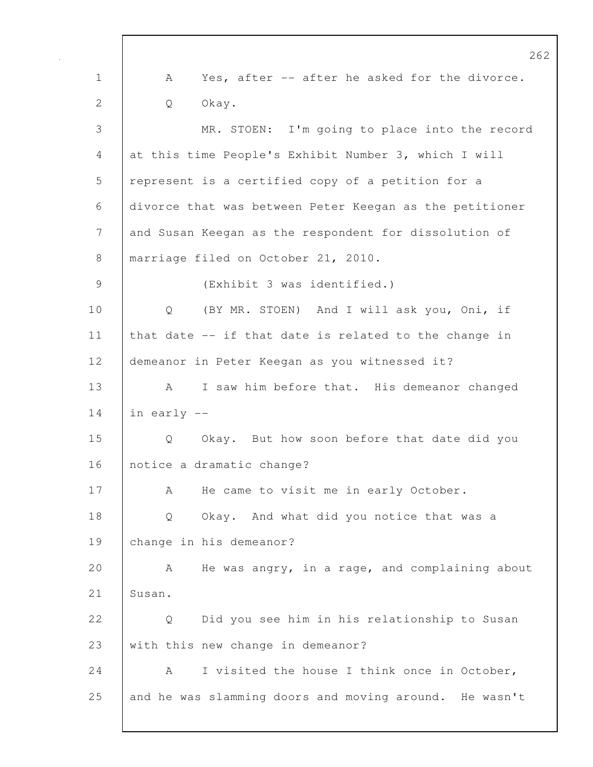262 1 A Yes, after -- after he asked for the divorce. 2 Q Okay. 3 MR. STOEN: I'm going to place into the record 4 at this time People's Exhibit Number 3, which I will 5 represent is a certified copy of a petition for a 6 divorce that was between Peter Keegan as the petitioner 7 and Susan Keegan as the respondent for dissolution of 8 | marriage filed on October 21, 2010. 9 (Exhibit 3 was identified.) 10 Q (BY MR. STOEN) And I will ask you, Oni, if 11 that date -- if that date is related to the change in 12 demeanor in Peter Keegan as you witnessed it? 13 | A I saw him before that. His demeanor changed  $14$  in early  $-$ 15 Q Okay. But how soon before that date did you 16 notice a dramatic change? 17 | A He came to visit me in early October. 18 Q Okay. And what did you notice that was a 19 change in his demeanor? 20 A He was angry, in a rage, and complaining about 21 | Susan. 22 | O Did you see him in his relationship to Susan 23 with this new change in demeanor? 24 A I visited the house I think once in October, 25 and he was slamming doors and moving around. He wasn't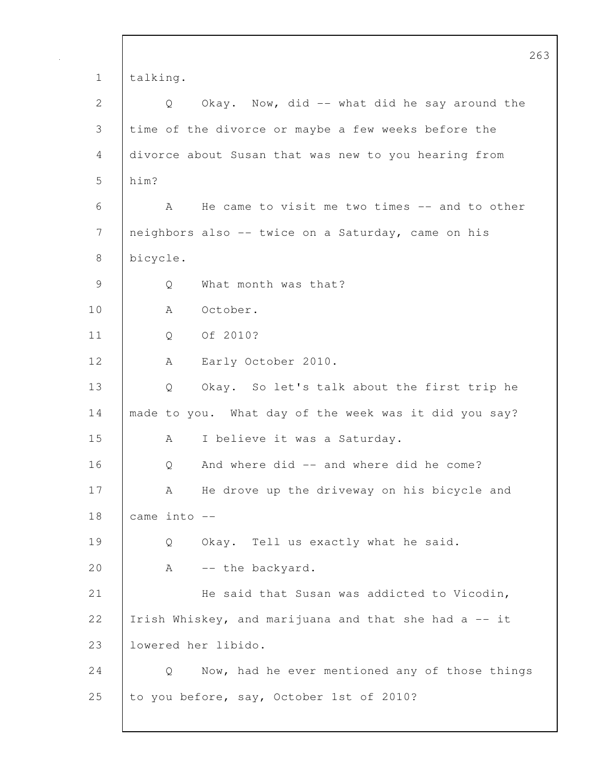|              | 263                                                   |  |
|--------------|-------------------------------------------------------|--|
| $\mathbf 1$  | talking.                                              |  |
| $\mathbf{2}$ | Okay. Now, did -- what did he say around the<br>Q     |  |
| 3            | time of the divorce or maybe a few weeks before the   |  |
| 4            | divorce about Susan that was new to you hearing from  |  |
| 5            | him?                                                  |  |
| 6            | He came to visit me two times -- and to other<br>A    |  |
| 7            | neighbors also -- twice on a Saturday, came on his    |  |
| 8            | bicycle.                                              |  |
| 9            | What month was that?<br>Q                             |  |
| 10           | October.<br>A                                         |  |
| 11           | Of 2010?<br>Q                                         |  |
| 12           | Early October 2010.<br>A                              |  |
| 13           | Okay. So let's talk about the first trip he<br>Q      |  |
| 14           | made to you. What day of the week was it did you say? |  |
| 15           | I believe it was a Saturday.<br>A                     |  |
| 16           | And where did -- and where did he come?<br>Q          |  |
| 17           | He drove up the driveway on his bicycle and<br>Α      |  |
| 18           | came into --                                          |  |
| 19           | Okay. Tell us exactly what he said.<br>Q              |  |
| 20           | -- the backyard.<br>A                                 |  |
| 21           | He said that Susan was addicted to Vicodin,           |  |
| 22           | Irish Whiskey, and marijuana and that she had a -- it |  |
| 23           | lowered her libido.                                   |  |
| 24           | Now, had he ever mentioned any of those things<br>Q   |  |
| 25           | to you before, say, October 1st of 2010?              |  |
|              |                                                       |  |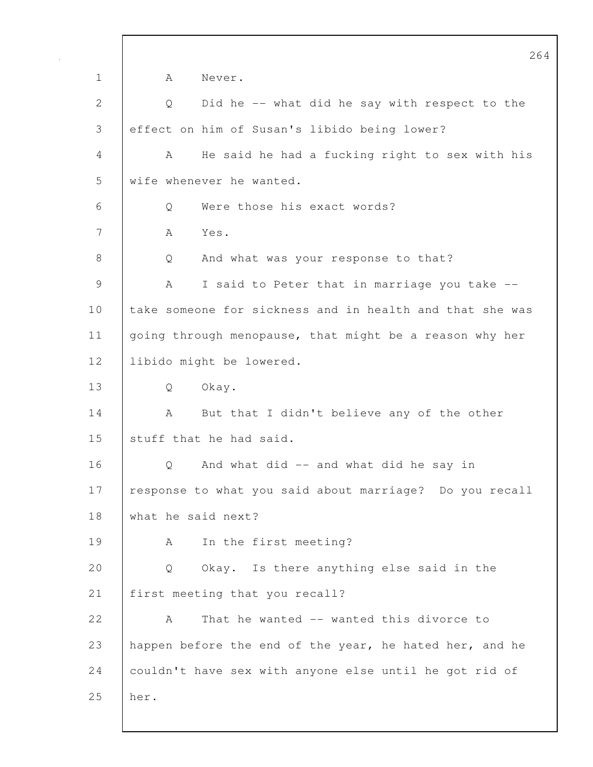264 1 | A Never. 2 Q Did he -- what did he say with respect to the 3 effect on him of Susan's libido being lower? 4 A He said he had a fucking right to sex with his 5 wife whenever he wanted. 6 | O Were those his exact words? 7 A Yes. 8 | Q And what was your response to that? 9 | A I said to Peter that in marriage you take --10 take someone for sickness and in health and that she was 11 going through menopause, that might be a reason why her 12 libido might be lowered. 13 Q Okay. 14 A But that I didn't believe any of the other 15 stuff that he had said. 16 | O And what did -- and what did he say in 17 | response to what you said about marriage? Do you recall 18 what he said next? 19 | A In the first meeting? 20 Q Okay. Is there anything else said in the 21 | first meeting that you recall? 22 A That he wanted -- wanted this divorce to 23 happen before the end of the year, he hated her, and he 24 couldn't have sex with anyone else until he got rid of 25 her.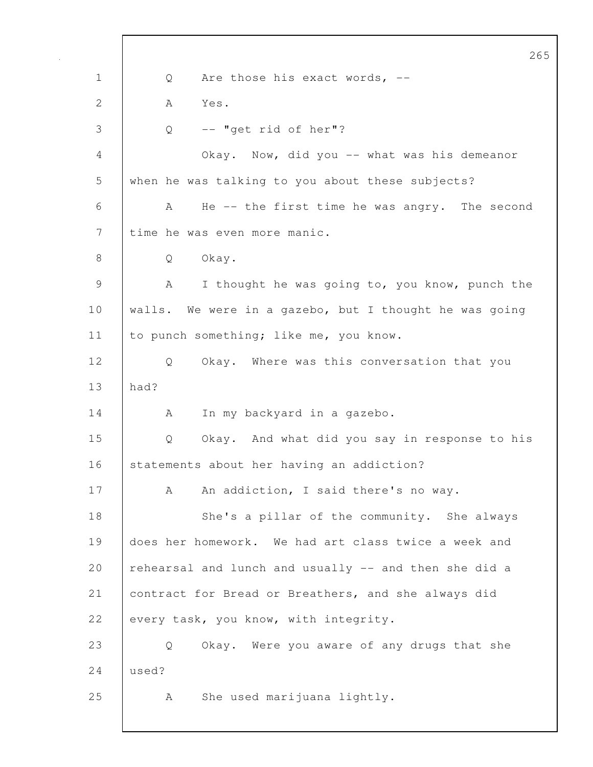265 1 | Q Are those his exact words, --2 A Yes. 3 Q -- "get rid of her"? 4 Okay. Now, did you -- what was his demeanor 5 when he was talking to you about these subjects? 6 A He -- the first time he was angry. The second 7 time he was even more manic. 8 Q Okay. 9 | A I thought he was going to, you know, punch the 10 | walls. We were in a gazebo, but I thought he was going 11 to punch something; like me, you know. 12 Q Okay. Where was this conversation that you 13 had? 14 | A In my backyard in a gazebo. 15 Q Okay. And what did you say in response to his 16 statements about her having an addiction? 17 | A An addiction, I said there's no way. 18 | She's a pillar of the community. She always 19 does her homework. We had art class twice a week and 20  $\vert$  rehearsal and lunch and usually  $\vert$ - and then she did a 21 contract for Bread or Breathers, and she always did 22 every task, you know, with integrity. 23 Q Okay. Were you aware of any drugs that she 24 used? 25 A She used marijuana lightly.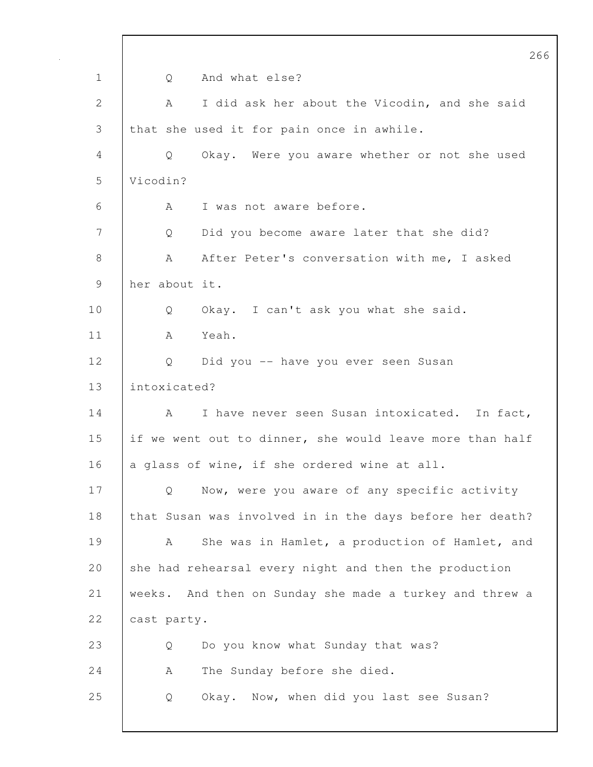|              | 266                                                      |
|--------------|----------------------------------------------------------|
| $\mathbf 1$  | And what else?<br>Q                                      |
| $\mathbf{2}$ | I did ask her about the Vicodin, and she said<br>A       |
| 3            | that she used it for pain once in awhile.                |
| 4            | Okay. Were you aware whether or not she used<br>Q        |
| 5            | Vicodin?                                                 |
| 6            | I was not aware before.<br>A                             |
| 7            | Did you become aware later that she did?<br>Q            |
| 8            | After Peter's conversation with me, I asked<br>A         |
| 9            | her about it.                                            |
| 10           | Okay. I can't ask you what she said.<br>Q                |
| 11           | Yeah.<br>A                                               |
| 12           | Did you -- have you ever seen Susan<br>Q                 |
| 13           | intoxicated?                                             |
| 14           | I have never seen Susan intoxicated. In fact,<br>A       |
| 15           | if we went out to dinner, she would leave more than half |
| 16           | a glass of wine, if she ordered wine at all.             |
| 17           | Now, were you aware of any specific activity<br>Q        |
| 18           | that Susan was involved in in the days before her death? |
| 19           | She was in Hamlet, a production of Hamlet, and<br>A      |
| 20           | she had rehearsal every night and then the production    |
| 21           | weeks. And then on Sunday she made a turkey and threw a  |
| 22           | cast party.                                              |
| 23           | Do you know what Sunday that was?<br>Q                   |
| 24           | The Sunday before she died.<br>A                         |
| 25           | Okay. Now, when did you last see Susan?<br>Q             |
|              |                                                          |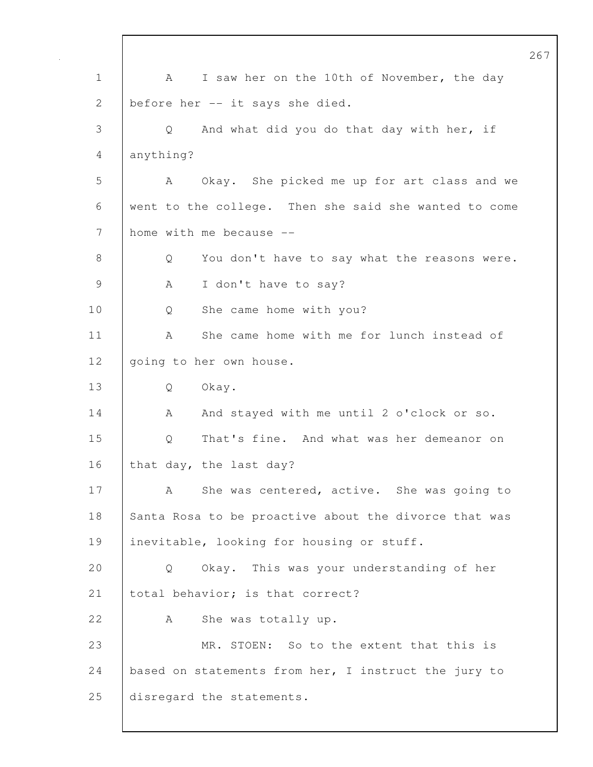1 A I saw her on the 10th of November, the day 2 before her -- it says she died. 3 Q And what did you do that day with her, if 4 anything? 5 A Okay. She picked me up for art class and we 6 went to the college. Then she said she wanted to come 7 home with me because --8 Q You don't have to say what the reasons were. 9 | A I don't have to say? 10 Q She came home with you? 11 | A She came home with me for lunch instead of 12 going to her own house. 13 Q Okay. 14 A And stayed with me until 2 o'clock or so. 15 Q That's fine. And what was her demeanor on 16 that day, the last day? 17 A She was centered, active. She was going to 18 Santa Rosa to be proactive about the divorce that was 19 | inevitable, looking for housing or stuff. 20 Q Okay. This was your understanding of her 21 | total behavior; is that correct? 22 A She was totally up. 23 MR. STOEN: So to the extent that this is 24 based on statements from her, I instruct the jury to 25 disregard the statements.

267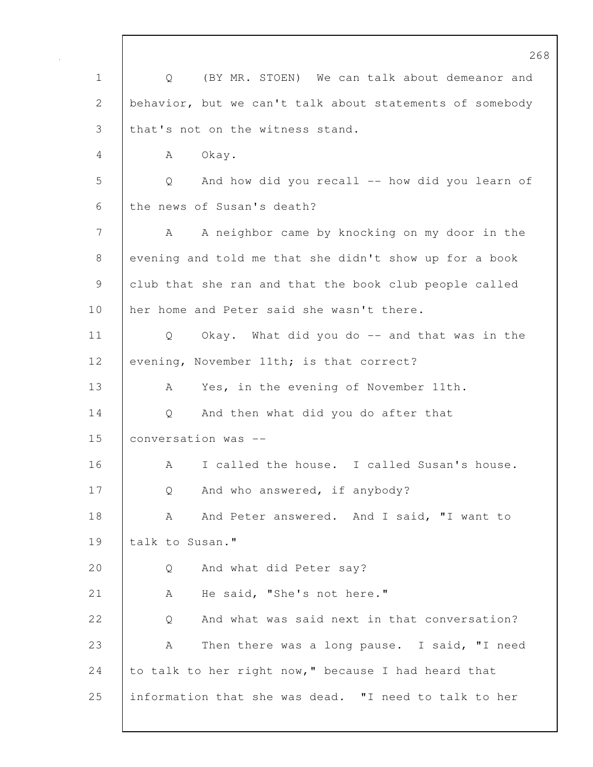268 1 Q (BY MR. STOEN) We can talk about demeanor and 2 behavior, but we can't talk about statements of somebody 3 that's not on the witness stand. 4 A Okay. 5 Q And how did you recall -- how did you learn of 6 the news of Susan's death? 7 A A neighbor came by knocking on my door in the 8 evening and told me that she didn't show up for a book 9 club that she ran and that the book club people called 10 her home and Peter said she wasn't there. 11 Q Okay. What did you do -- and that was in the 12 evening, November 11th; is that correct? 13 A Yes, in the evening of November 11th. 14 Q And then what did you do after that 15 conversation was -- 16 A I called the house. I called Susan's house. 17 Q And who answered, if anybody? 18 A And Peter answered. And I said, "I want to 19 talk to Susan." 20 Q And what did Peter say? 21 A He said, "She's not here." 22 |  $\sim$  0 And what was said next in that conversation? 23 A Then there was a long pause. I said, "I need 24 to talk to her right now," because I had heard that 25 information that she was dead. "I need to talk to her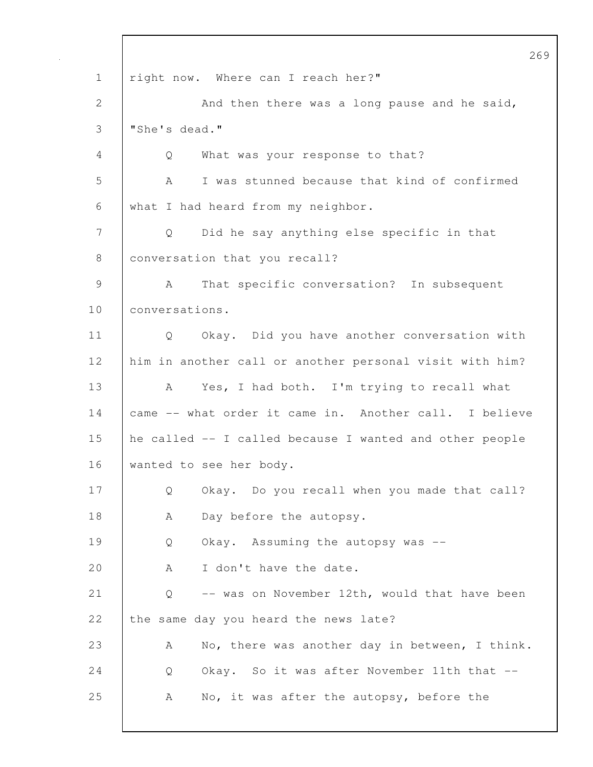|             | 26                                                             |
|-------------|----------------------------------------------------------------|
| $\mathbf 1$ | right now. Where can I reach her?"                             |
| 2           | And then there was a long pause and he said,                   |
| 3           | "She's dead."                                                  |
| 4           | What was your response to that?<br>Q                           |
| 5           | I was stunned because that kind of confirmed<br>A              |
| 6           | what I had heard from my neighbor.                             |
| 7           | Did he say anything else specific in that<br>$Q \qquad \qquad$ |
| 8           | conversation that you recall?                                  |
| 9           | That specific conversation? In subsequent<br>A                 |
| 10          | conversations.                                                 |
| 11          | Q Okay. Did you have another conversation with                 |
| 12          | him in another call or another personal visit with him?        |
| 13          | Yes, I had both. I'm trying to recall what<br>A                |
| 14          | came -- what order it came in. Another call. I believe         |
| 15          | he called -- I called because I wanted and other people        |
| 16          | wanted to see her body.                                        |
| 17          | Okay. Do you recall when you made that call?<br>Q              |
| 18          | Day before the autopsy.<br>А                                   |
| 19          | Okay. Assuming the autopsy was --<br>Q                         |
| 20          | I don't have the date.<br>A                                    |
| 21          | -- was on November 12th, would that have been<br>Q             |
| 22          | the same day you heard the news late?                          |
| 23          | No, there was another day in between, I think.<br>A            |
| 24          | Okay. So it was after November 11th that --<br>Q               |
| 25          | No, it was after the autopsy, before the<br>A                  |
|             |                                                                |

 $\mathsf{l}$ 

269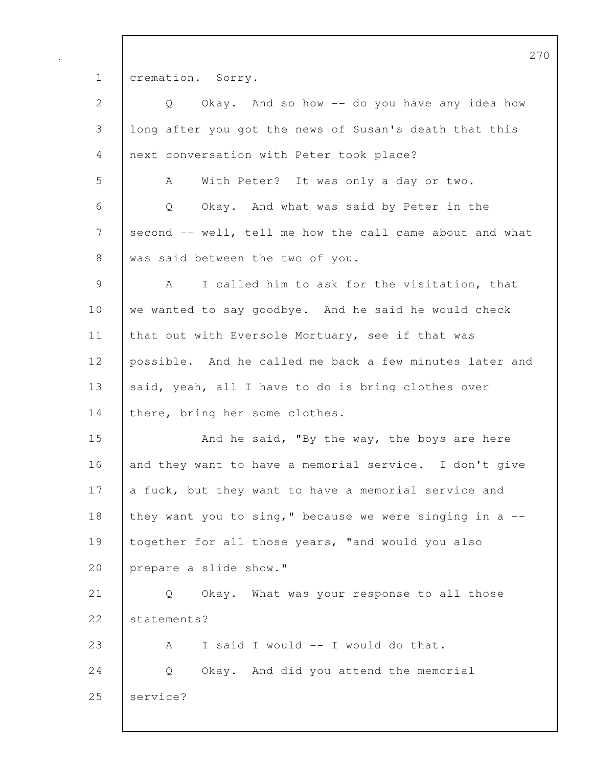1 cremation. Sorry.

| 2  | Okay. And so how -- do you have any idea how<br>Q          |
|----|------------------------------------------------------------|
| 3  | long after you got the news of Susan's death that this     |
| 4  | next conversation with Peter took place?                   |
| 5  | With Peter? It was only a day or two.<br>A                 |
| 6  | Okay. And what was said by Peter in the<br>Q               |
| 7  | second -- well, tell me how the call came about and what   |
| 8  | was said between the two of you.                           |
| 9  | I called him to ask for the visitation, that<br>A          |
| 10 | we wanted to say goodbye. And he said he would check       |
| 11 | that out with Eversole Mortuary, see if that was           |
| 12 | possible. And he called me back a few minutes later and    |
| 13 | said, yeah, all I have to do is bring clothes over         |
| 14 | there, bring her some clothes.                             |
| 15 | And he said, "By the way, the boys are here                |
| 16 | and they want to have a memorial service. I don't give     |
| 17 | a fuck, but they want to have a memorial service and       |
| 18 | they want you to sing," because we were singing in a $-$ - |
| 19 | together for all those years, "and would you also          |
| 20 | prepare a slide show."                                     |
| 21 | Okay. What was your response to all those<br>Q             |
| 22 | statements?                                                |
| 23 | I said I would -- I would do that.<br>A                    |
| 24 | Okay. And did you attend the memorial<br>Q                 |
| 25 | service?                                                   |
|    |                                                            |

270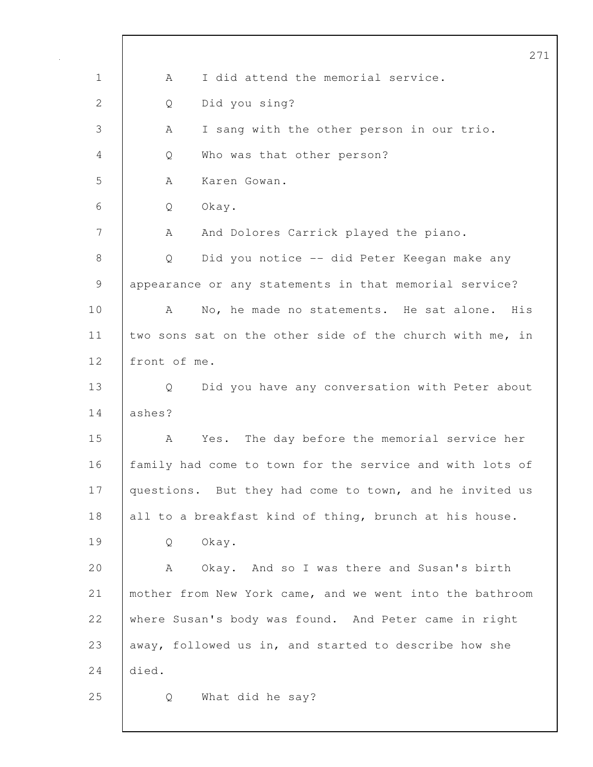|              | 27                                                       |
|--------------|----------------------------------------------------------|
| $\mathbf 1$  | I did attend the memorial service.<br>A                  |
| $\mathbf{2}$ | Did you sing?<br>Q                                       |
| 3            | I sang with the other person in our trio.<br>А           |
| 4            | Who was that other person?<br>Q                          |
| 5            | Karen Gowan.<br>A                                        |
| 6            | Q<br>Okay.                                               |
| 7            | And Dolores Carrick played the piano.<br>A               |
| $8\,$        | Did you notice -- did Peter Keegan make any<br>Q         |
| 9            | appearance or any statements in that memorial service?   |
| 10           | No, he made no statements. He sat alone. His<br>A        |
| 11           | two sons sat on the other side of the church with me, in |
| 12           | front of me.                                             |
| 13           | Did you have any conversation with Peter about<br>Q      |
| 14           | ashes?                                                   |
| 15           | Yes. The day before the memorial service her<br>A        |
| 16           | family had come to town for the service and with lots of |
| 17           | questions. But they had come to town, and he invited us  |
| 18           | all to a breakfast kind of thing, brunch at his house.   |
| 19           | Okay.<br>Q                                               |
| 20           | Α<br>And so I was there and Susan's birth<br>Okay.       |
| 21           | mother from New York came, and we went into the bathroom |
| 22           | where Susan's body was found. And Peter came in right    |
| 23           | away, followed us in, and started to describe how she    |
| 24           | died.                                                    |
| 25           | What did he say?<br>Q                                    |
|              |                                                          |

 $\mathsf{I}$ 

 $\mathbf 1$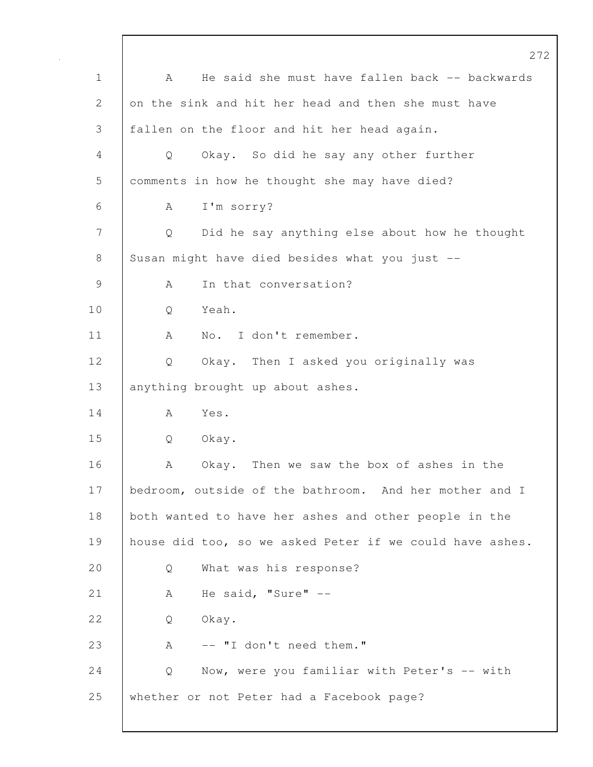272 1 | A He said she must have fallen back -- backwards 2 on the sink and hit her head and then she must have 3 fallen on the floor and hit her head again. 4 Q Okay. So did he say any other further 5 comments in how he thought she may have died? 6 A I'm sorry? 7 Q Did he say anything else about how he thought 8 Susan might have died besides what you just --9 A In that conversation? 10 Q Yeah. 11 | A No. I don't remember. 12 Q Okay. Then I asked you originally was 13 anything brought up about ashes.  $14$   $A$   $Y_{\text{eS}}$ . 15 Q Okay. 16 A Okay. Then we saw the box of ashes in the 17 | bedroom, outside of the bathroom. And her mother and I 18 both wanted to have her ashes and other people in the 19 | house did too, so we asked Peter if we could have ashes. 20 Q What was his response? 21 | A He said, "Sure" --22 | O Okay. 23 A -- "I don't need them." 24 | Q Now, were you familiar with Peter's -- with 25 whether or not Peter had a Facebook page?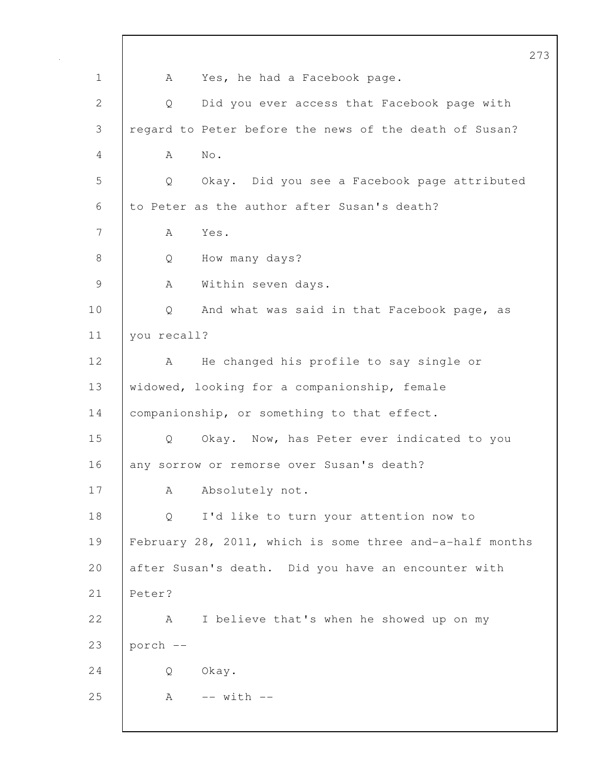273 1 | A Yes, he had a Facebook page. 2 Q Did you ever access that Facebook page with 3 regard to Peter before the news of the death of Susan? 4 A No. 5 Q Okay. Did you see a Facebook page attributed 6 to Peter as the author after Susan's death? 7 A Yes. 8 Q How many days? 9 | A Within seven days. 10 | Q And what was said in that Facebook page, as 11 you recall? 12 | A He changed his profile to say single or 13 widowed, looking for a companionship, female 14 | companionship, or something to that effect. 15 Q Okay. Now, has Peter ever indicated to you 16 any sorrow or remorse over Susan's death? 17 | A Absolutely not. 18 Q I'd like to turn your attention now to 19 February 28, 2011, which is some three and-a-half months 20 after Susan's death. Did you have an encounter with 21 Peter? 22 A I believe that's when he showed up on my 23  $|$  porch  $-$ 24 Q Okay. 25 | A -- with --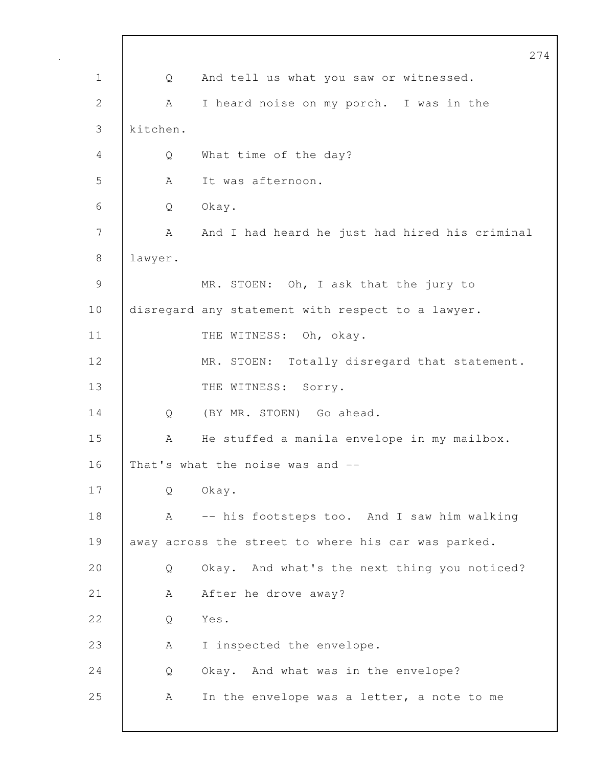|              |          |                                                     | 274 |
|--------------|----------|-----------------------------------------------------|-----|
| 1            | Q        | And tell us what you saw or witnessed.              |     |
| $\mathbf{2}$ | A        | I heard noise on my porch. I was in the             |     |
| 3            | kitchen. |                                                     |     |
| 4            | Q        | What time of the day?                               |     |
| 5            | A        | It was afternoon.                                   |     |
| 6            | Q        | Okay.                                               |     |
| 7            | A        | And I had heard he just had hired his criminal      |     |
| 8            | lawyer.  |                                                     |     |
| 9            |          | MR. STOEN: Oh, I ask that the jury to               |     |
| 10           |          | disregard any statement with respect to a lawyer.   |     |
| 11           |          | THE WITNESS: Oh, okay.                              |     |
| 12           |          | MR. STOEN: Totally disregard that statement.        |     |
| 13           |          | THE WITNESS:<br>Sorry.                              |     |
| 14           | Q        | (BY MR. STOEN) Go ahead.                            |     |
| 15           | A        | He stuffed a manila envelope in my mailbox.         |     |
| 16           |          | That's what the noise was and --                    |     |
| 17           | Q        | Okay.                                               |     |
| 18           | A        | -- his footsteps too. And I saw him walking         |     |
| 19           |          | away across the street to where his car was parked. |     |
| 20           | Q        | Okay. And what's the next thing you noticed?        |     |
| 21           | A        | After he drove away?                                |     |
| 22           | Q        | Yes.                                                |     |
| 23           | A        | I inspected the envelope.                           |     |
| 24           | Q        | Okay. And what was in the envelope?                 |     |
| 25           | A        | In the envelope was a letter, a note to me          |     |
|              |          |                                                     |     |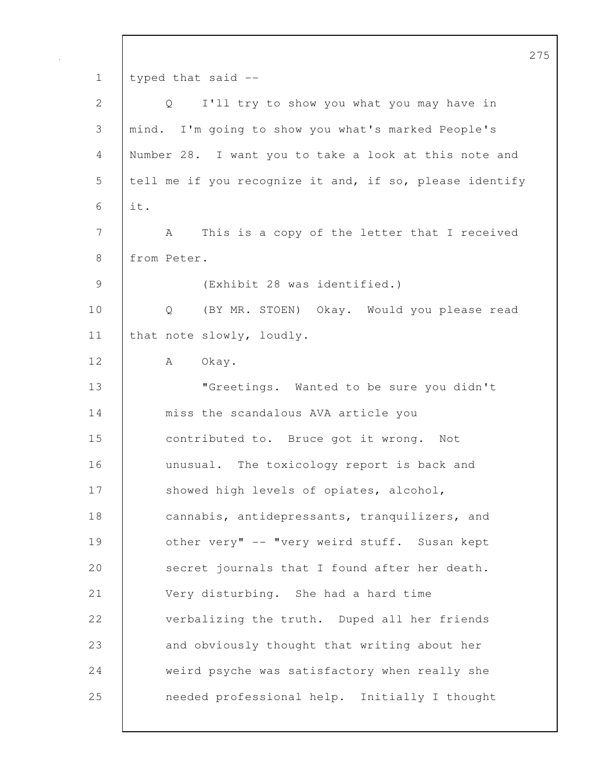275 1 typed that said -- 2 Q I'll try to show you what you may have in 3 mind. I'm going to show you what's marked People's 4 Number 28. I want you to take a look at this note and 5 | tell me if you recognize it and, if so, please identify 6 it. 7 A This is a copy of the letter that I received 8 | from Peter. 9 (Exhibit 28 was identified.) 10 Q (BY MR. STOEN) Okay. Would you please read 11 | that note slowly, loudly. 12 A Okay. 13 | **"Greetings.** Wanted to be sure you didn't 14 miss the scandalous AVA article you 15 contributed to. Bruce got it wrong. Not 16 unusual. The toxicology report is back and 17 Showed high levels of opiates, alcohol, 18 cannabis, antidepressants, tranquilizers, and 19 | other very" -- "very weird stuff. Susan kept 20 secret journals that I found after her death. 21 | Very disturbing. She had a hard time 22 verbalizing the truth. Duped all her friends 23 and obviously thought that writing about her 24 weird psyche was satisfactory when really she 25 needed professional help. Initially I thought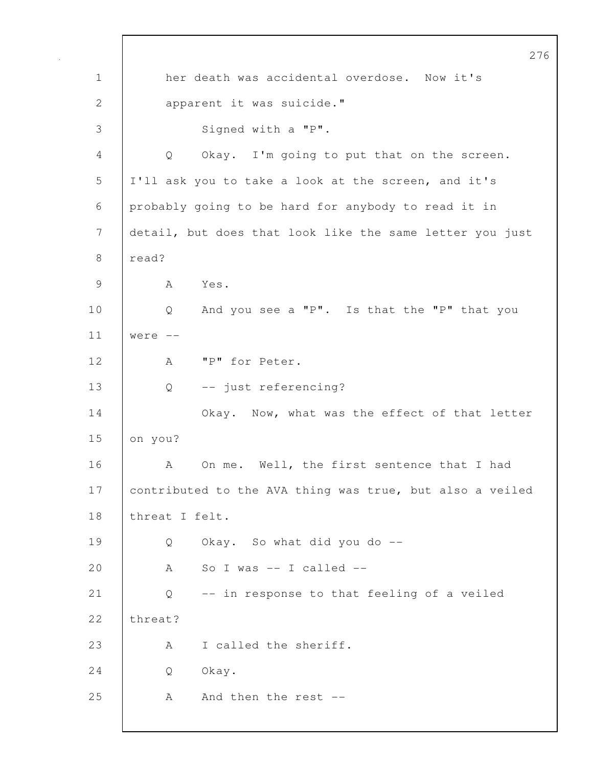276 1 her death was accidental overdose. Now it's 2 apparent it was suicide." 3 Signed with a "P". 4 Q Okay. I'm going to put that on the screen. 5 I'll ask you to take a look at the screen, and it's 6 probably going to be hard for anybody to read it in 7 detail, but does that look like the same letter you just 8 read? 9 A Yes. 10 | Q And you see a "P". Is that the "P" that you  $11$  were  $-$ 12 | A "P" for Peter. 13 Q -- just referencing? 14 | Okay. Now, what was the effect of that letter 15 on you? 16 A On me. Well, the first sentence that I had 17 | contributed to the AVA thing was true, but also a veiled 18 threat I felt. 19 Q Okay. So what did you do -- 20 A So I was -- I called --21 Q -- in response to that feeling of a veiled 22 threat? 23 A I called the sheriff. 24 Q Okay. 25 | A And then the rest --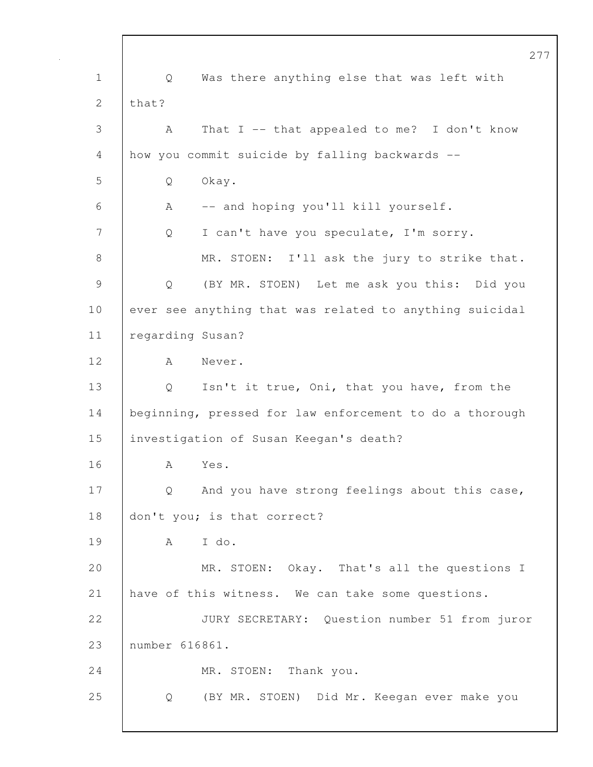277 1 Q Was there anything else that was left with 2  $|$  that? 3 A That I -- that appealed to me? I don't know 4 how you commit suicide by falling backwards -- 5 Q Okay. 6 A -- and hoping you'll kill yourself. 7 | Q I can't have you speculate, I'm sorry. 8 MR. STOEN: I'll ask the jury to strike that. 9 Q (BY MR. STOEN) Let me ask you this: Did you 10 ever see anything that was related to anything suicidal 11 | regarding Susan? 12 | A Never. 13 | Q Isn't it true, Oni, that you have, from the 14 | beginning, pressed for law enforcement to do a thorough 15 investigation of Susan Keegan's death? 16 A Yes. 17 | Q And you have strong feelings about this case, 18 don't you; is that correct? 19 A I do. 20 MR. STOEN: Okay. That's all the questions I 21 | have of this witness. We can take some questions. 22 JURY SECRETARY: Question number 51 from juror 23 number 616861. 24 MR. STOEN: Thank you. 25 Q (BY MR. STOEN) Did Mr. Keegan ever make you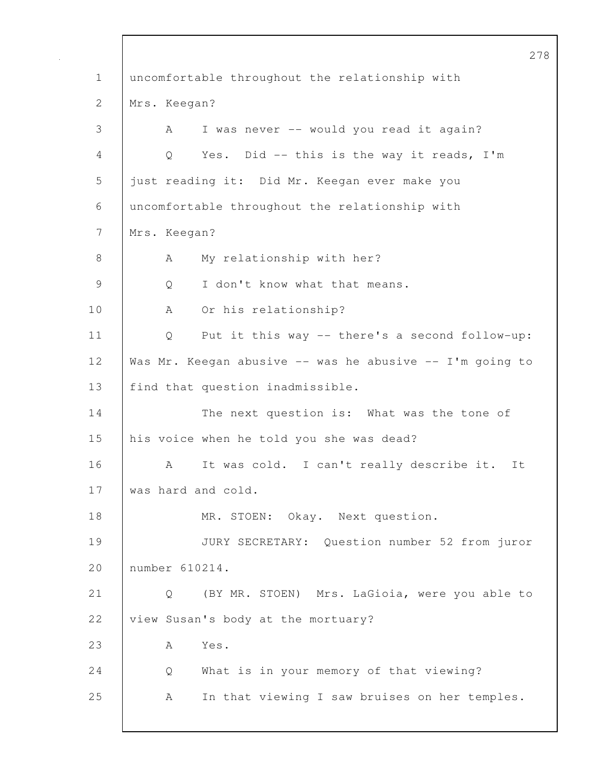278 1 uncomfortable throughout the relationship with 2 Mrs. Keegan? 3 A I was never -- would you read it again? 4 Q Yes. Did -- this is the way it reads, I'm 5 just reading it: Did Mr. Keegan ever make you 6 uncomfortable throughout the relationship with 7 Mrs. Keegan? 8 | A My relationship with her? 9 |  $\circ$  I don't know what that means. 10 | A Or his relationship? 11 Q Put it this way -- there's a second follow-up: 12 Was Mr. Keegan abusive -- was he abusive -- I'm going to 13 | find that question inadmissible. 14 | The next question is: What was the tone of 15 his voice when he told you she was dead? 16 A It was cold. I can't really describe it. It 17 was hard and cold. 18 | MR. STOEN: Okay. Next question. 19 JURY SECRETARY: Question number 52 from juror 20 number 610214. 21 Q (BY MR. STOEN) Mrs. LaGioia, were you able to 22 view Susan's body at the mortuary? 23 | A Yes. 24 Q What is in your memory of that viewing? 25 A In that viewing I saw bruises on her temples.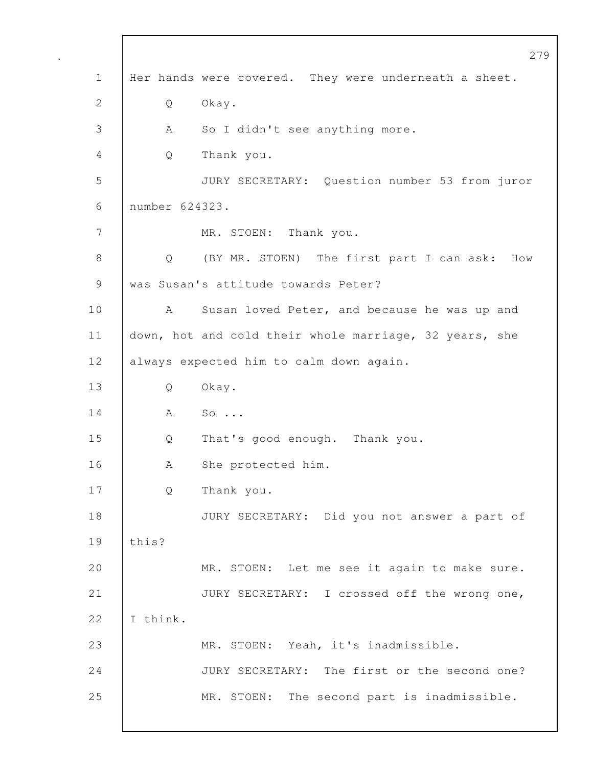279 1 | Her hands were covered. They were underneath a sheet. 2 Q Okay. 3 | A So I didn't see anything more. 4 Q Thank you. 5 JURY SECRETARY: Question number 53 from juror 6 number 624323. 7 MR. STOEN: Thank you. 8 Q (BY MR. STOEN) The first part I can ask: How 9 | was Susan's attitude towards Peter? 10 | A Susan loved Peter, and because he was up and 11 | down, hot and cold their whole marriage, 32 years, she 12 always expected him to calm down again. 13 Q Okay. 14 | A So... 15 Q That's good enough. Thank you. 16 | A She protected him. 17 Q Thank you. 18 JURY SECRETARY: Did you not answer a part of 19 this? 20 MR. STOEN: Let me see it again to make sure. 21 JURY SECRETARY: I crossed off the wrong one, 22  $I$  think. 23 MR. STOEN: Yeah, it's inadmissible. 24 JURY SECRETARY: The first or the second one? 25 MR. STOEN: The second part is inadmissible.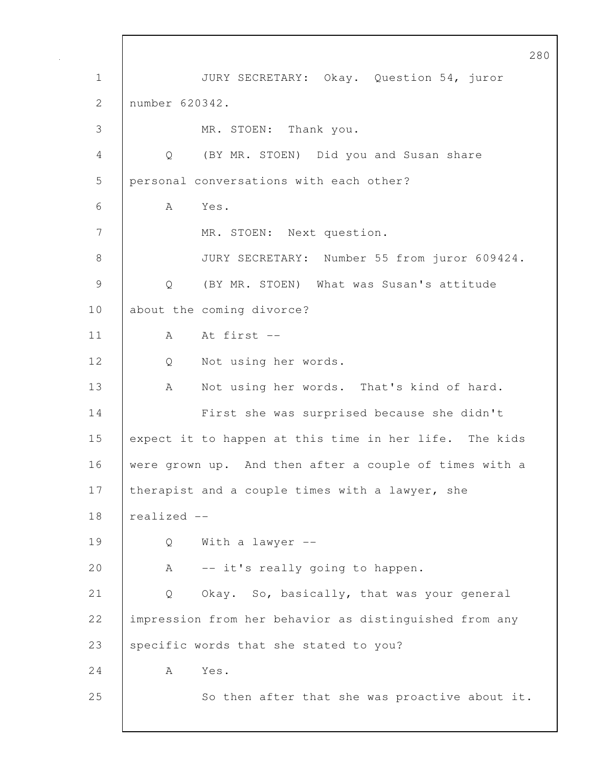280 1 JURY SECRETARY: Okay. Question 54, juror 2 number 620342. 3 MR. STOEN: Thank you. 4 Q (BY MR. STOEN) Did you and Susan share 5 personal conversations with each other? 6 A Yes. 7 MR. STOEN: Next question. 8 JURY SECRETARY: Number 55 from juror 609424. 9 | O (BY MR. STOEN) What was Susan's attitude 10 about the coming divorce? 11 | A At first --12 | Q Not using her words. 13 | A Not using her words. That's kind of hard. 14 First she was surprised because she didn't 15 expect it to happen at this time in her life. The kids 16 were grown up. And then after a couple of times with a 17 | therapist and a couple times with a lawyer, she 18  $|$  realized  $-$ 19 Q With a lawyer -- 20 | A -- it's really going to happen. 21 Q Okay. So, basically, that was your general 22 impression from her behavior as distinguished from any 23 specific words that she stated to you?  $24$  A Yes. 25 So then after that she was proactive about it.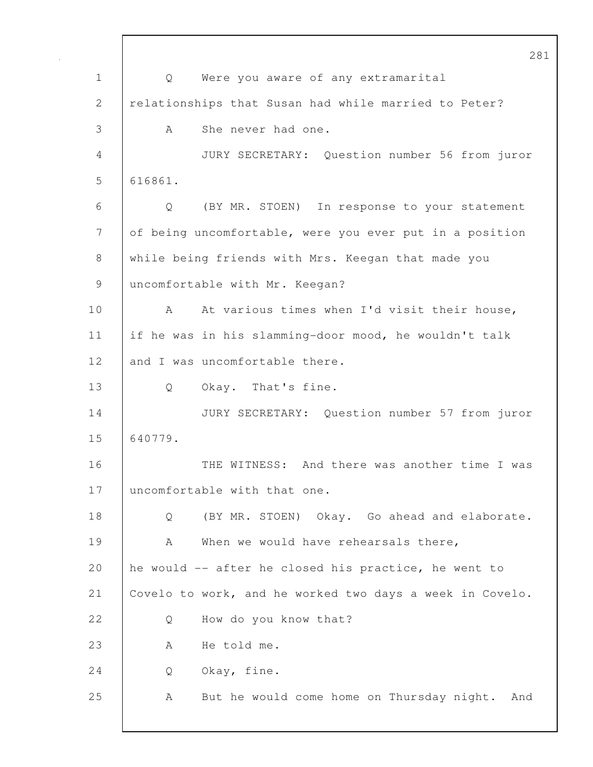281 1 Q Were you aware of any extramarital 2 | relationships that Susan had while married to Peter? 3 A She never had one. 4 JURY SECRETARY: Question number 56 from juror 5 616861. 6 Q (BY MR. STOEN) In response to your statement 7 of being uncomfortable, were you ever put in a position 8 while being friends with Mrs. Keegan that made you 9 | uncomfortable with Mr. Keegan? 10 | A At various times when I'd visit their house, 11 if he was in his slamming-door mood, he wouldn't talk 12 and I was uncomfortable there. 13 | Q Okay. That's fine. 14 JURY SECRETARY: Question number 57 from juror 15 640779. 16 THE WITNESS: And there was another time I was 17 uncomfortable with that one. 18 | Q (BY MR. STOEN) Okay. Go ahead and elaborate. 19 A When we would have rehearsals there, 20 he would -- after he closed his practice, he went to 21 Covelo to work, and he worked two days a week in Covelo. 22 |  $\qquad$  O How do you know that? 23 A He told me. 24 Q Okay, fine. 25 | A But he would come home on Thursday night. And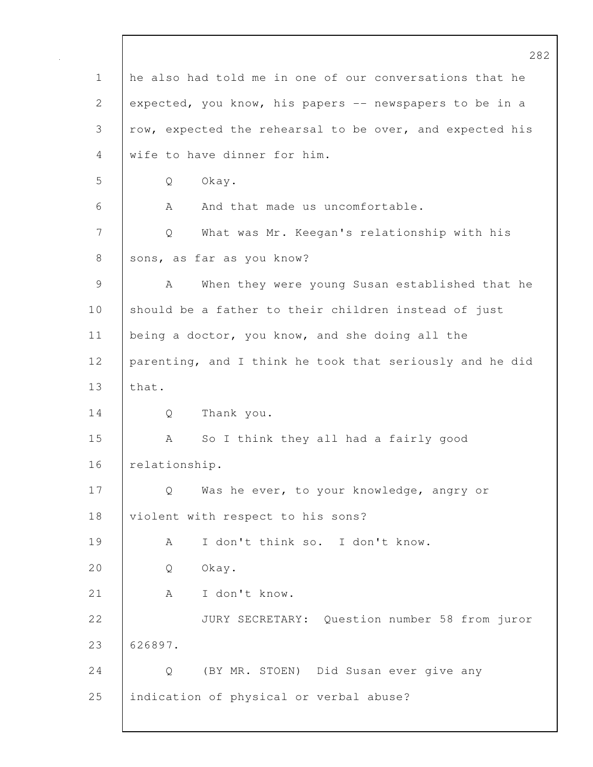282 1 he also had told me in one of our conversations that he 2 expected, you know, his papers -- newspapers to be in a 3 row, expected the rehearsal to be over, and expected his 4 wife to have dinner for him. 5 Q Okay. 6 A And that made us uncomfortable. 7 Q What was Mr. Keegan's relationship with his 8 | sons, as far as you know? 9 | A When they were young Susan established that he 10 should be a father to their children instead of just 11 | being a doctor, you know, and she doing all the 12 parenting, and I think he took that seriously and he did 13 that. 14 Q Thank you. 15 | A So I think they all had a fairly good 16 relationship. 17 | Q Was he ever, to your knowledge, angry or 18 | violent with respect to his sons? 19 A I don't think so. I don't know. 20 Q Okay. 21 | A I don't know. 22 JURY SECRETARY: Question number 58 from juror 23 626897. 24 Q (BY MR. STOEN) Did Susan ever give any 25 indication of physical or verbal abuse?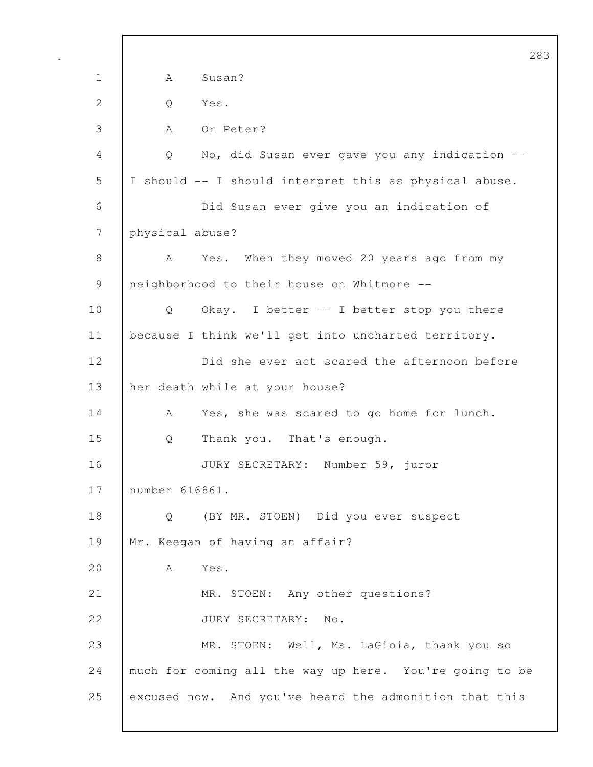1 | A Susan? 2 | Q Yes. 3 A Or Peter? 4 Q No, did Susan ever gave you any indication -- 5 I should -- I should interpret this as physical abuse. 6 Did Susan ever give you an indication of 7 physical abuse? 8 A Yes. When they moved 20 years ago from my 9 | neighborhood to their house on Whitmore --10 | Q Okay. I better -- I better stop you there 11 | because I think we'll get into uncharted territory. 12 Did she ever act scared the afternoon before 13 her death while at your house? 14 | A Yes, she was scared to go home for lunch. 15 Q Thank you. That's enough. 16 JURY SECRETARY: Number 59, juror 17 number 616861. 18 Q (BY MR. STOEN) Did you ever suspect 19 | Mr. Keegan of having an affair? 20 A Yes. 21 | MR. STOEN: Any other questions? 22 JURY SECRETARY: No. 23 MR. STOEN: Well, Ms. LaGioia, thank you so 24 much for coming all the way up here. You're going to be 25 excused now. And you've heard the admonition that this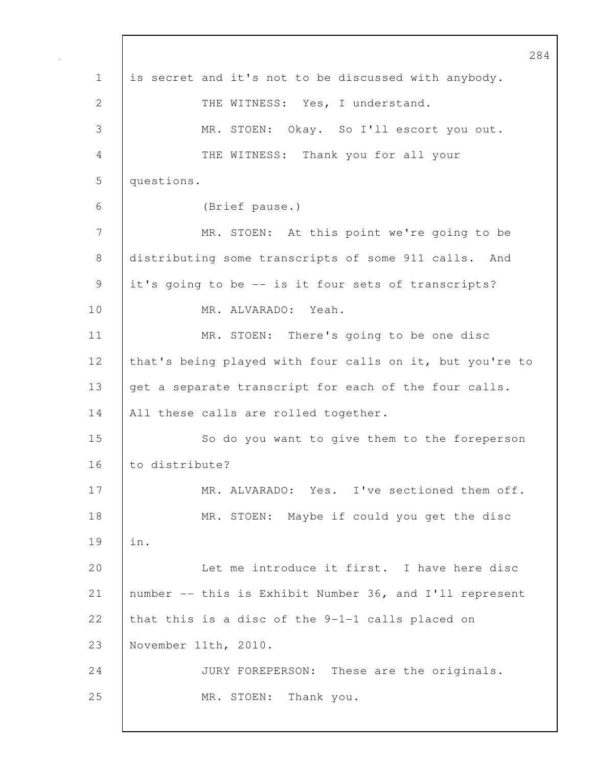284 1 is secret and it's not to be discussed with anybody. 2 THE WITNESS: Yes, I understand. 3 MR. STOEN: Okay. So I'll escort you out. 4 THE WITNESS: Thank you for all your 5 questions. 6 (Brief pause.) 7 MR. STOEN: At this point we're going to be 8 distributing some transcripts of some 911 calls. And 9 it's going to be -- is it four sets of transcripts? 10 MR. ALVARADO: Yeah. 11 | MR. STOEN: There's going to be one disc 12 that's being played with four calls on it, but you're to 13 get a separate transcript for each of the four calls. 14 | All these calls are rolled together. 15 | So do you want to give them to the foreperson 16 to distribute? 17 | MR. ALVARADO: Yes. I've sectioned them off. 18 MR. STOEN: Maybe if could you get the disc 19 in. 20 | Let me introduce it first. I have here disc 21 number -- this is Exhibit Number 36, and I'll represent 22 that this is a disc of the  $9-1-1$  calls placed on 23 November 11th, 2010. 24 JURY FOREPERSON: These are the originals. 25 | MR. STOEN: Thank you.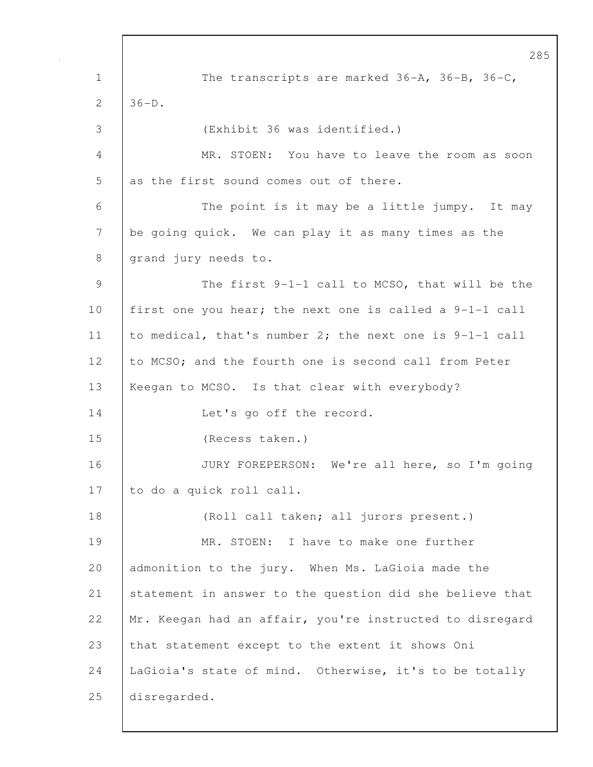285 1 The transcripts are marked 36-A, 36-B, 36-C,  $2 \mid 36-D.$ 3 (Exhibit 36 was identified.) 4 MR. STOEN: You have to leave the room as soon  $5$  as the first sound comes out of there. 6 The point is it may be a little jumpy. It may 7 be going quick. We can play it as many times as the 8 grand jury needs to. 9 The first 9-1-1 call to MCSO, that will be the 10 first one you hear; the next one is called a 9-1-1 call 11 to medical, that's number 2; the next one is 9-1-1 call 12 to MCSO; and the fourth one is second call from Peter 13 | Keegan to MCSO. Is that clear with everybody? 14 Let's go off the record. 15 (Recess taken.) 16 JURY FOREPERSON: We're all here, so I'm going 17 to do a quick roll call. 18 (Roll call taken; all jurors present.) 19 MR. STOEN: I have to make one further 20 admonition to the jury. When Ms. LaGioia made the 21 statement in answer to the question did she believe that 22 | Mr. Keegan had an affair, you're instructed to disregard 23 that statement except to the extent it shows Oni 24 | LaGioia's state of mind. Otherwise, it's to be totally 25 disregarded.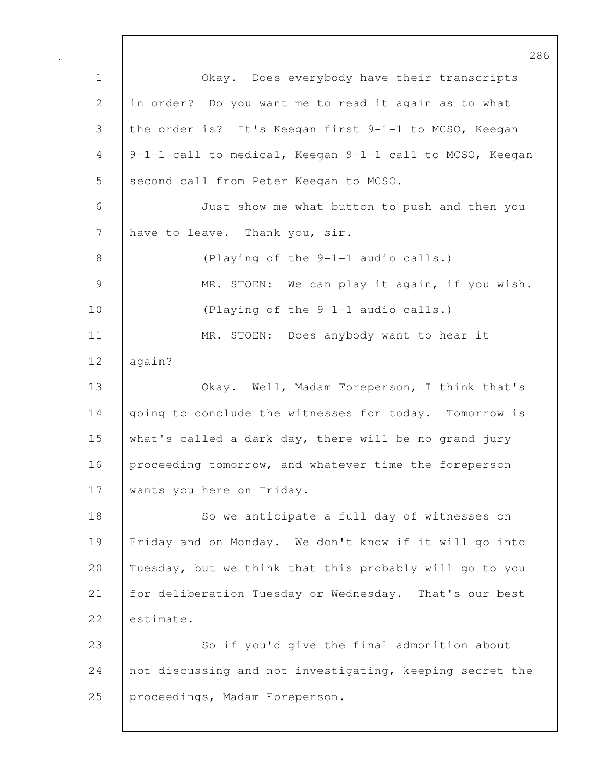286 1 Okay. Does everybody have their transcripts 2 in order? Do you want me to read it again as to what 3 the order is? It's Keegan first 9-1-1 to MCSO, Keegan 4 9-1-1 call to medical, Keegan 9-1-1 call to MCSO, Keegan 5 | second call from Peter Keegan to MCSO. 6 Just show me what button to push and then you 7 | have to leave. Thank you, sir. 8 (Playing of the 9-1-1 audio calls.) 9 | MR. STOEN: We can play it again, if you wish. 10 | (Playing of the 9-1-1 audio calls.) 11 | MR. STOEN: Does anybody want to hear it 12 again? 13 Okay. Well, Madam Foreperson, I think that's 14 going to conclude the witnesses for today. Tomorrow is 15 what's called a dark day, there will be no grand jury 16 proceeding tomorrow, and whatever time the foreperson 17 | wants you here on Friday. 18 | So we anticipate a full day of witnesses on 19 Friday and on Monday. We don't know if it will go into 20 Tuesday, but we think that this probably will go to you 21 for deliberation Tuesday or Wednesday. That's our best 22 estimate. 23 So if you'd give the final admonition about 24 not discussing and not investigating, keeping secret the 25 proceedings, Madam Foreperson.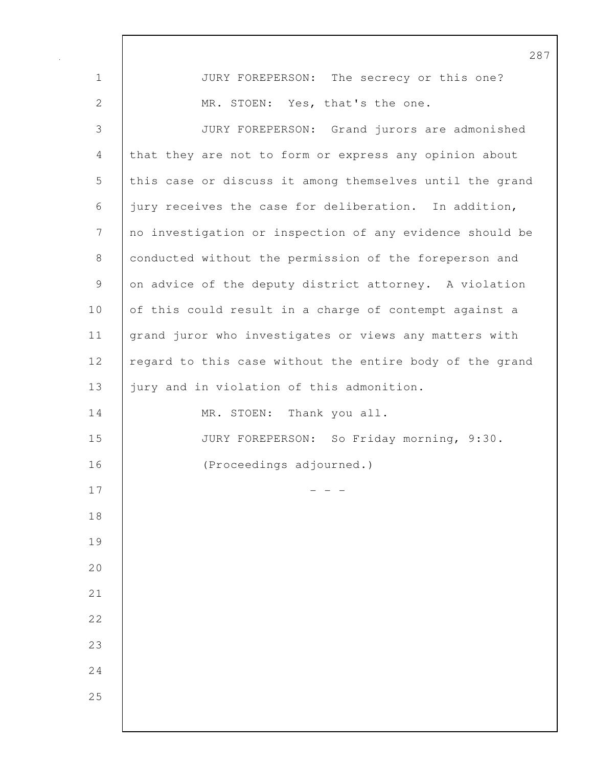|              | 28                                                       |
|--------------|----------------------------------------------------------|
| $\mathbf 1$  | JURY FOREPERSON: The secrecy or this one?                |
| $\mathbf{2}$ | MR. STOEN: Yes, that's the one.                          |
| 3            | JURY FOREPERSON: Grand jurors are admonished             |
| 4            | that they are not to form or express any opinion about   |
| 5            | this case or discuss it among themselves until the grand |
| 6            | jury receives the case for deliberation. In addition,    |
| 7            | no investigation or inspection of any evidence should be |
| 8            | conducted without the permission of the foreperson and   |
| 9            | on advice of the deputy district attorney. A violation   |
| 10           | of this could result in a charge of contempt against a   |
| 11           | grand juror who investigates or views any matters with   |
| 12           | regard to this case without the entire body of the grand |
| 13           | jury and in violation of this admonition.                |
| 14           | MR. STOEN: Thank you all.                                |
| 15           | JURY FOREPERSON: So Friday morning, 9:30.                |
| 16           | (Proceedings adjourned.)                                 |
| 17           |                                                          |
| 18           |                                                          |
| 19           |                                                          |
| 20           |                                                          |
| 21           |                                                          |
| 22           |                                                          |
| 23           |                                                          |
| 24           |                                                          |
| 25           |                                                          |
|              |                                                          |

 $\mathsf{I}$ 

7